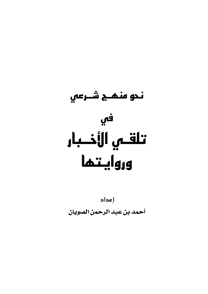

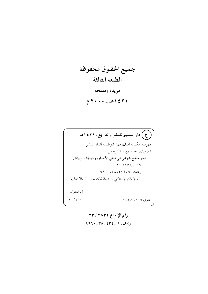جميع الحقوق محفوظة الطبعة الثالثة مزيدة ومنقحة  $7.112162 - 29.571$ 

رقم الإيداع ٢٣/٢٨٣٢ ودمك: ٩ ـ ٤٣٤ ـ ٣٨٠- ٩٩٦٠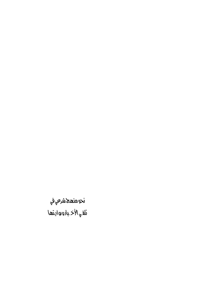.<br>نحو منعج ش*رع*ي في نَلقي الأخـيارورواينَعا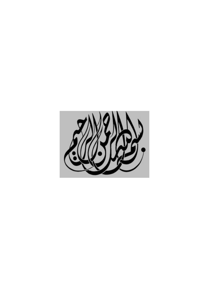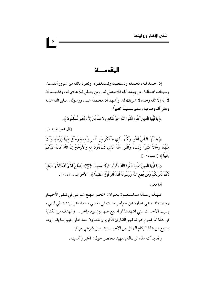المقدمــــة

إن الحمد لله، نحمده ونستعينه ونستغفره، ونعوذ بالله من شرور أنفسنا، وسيئات أعمالنا ، من يهده الله فلا مضل له ، ومن يضلل فلا هادي له ، وأشهــد أن لا إله إلا الله وحده لا شريك له، وأشهد أن محمدًا عبده ورسوله، صلى الله عليه وعلى آله وصحبه وسلم تسليمًا كثيرًا .

﴿ يَا أَيُّهَا الَّذينَ آمَنُوا اتَّقُوا اللَّهَ حَقَّ تُقَاته وَلا تَمُوتُنَّ إِلاَّ وَأَنتُم مُّسْلمُونَ ﴾.

[آل عمران: ١٠٢]

﴿ يَا أَيُّهَا النَّاسُ اتَّقُوا رَبَّكُمُ الَّذي خَلَقَكُم مّن نَّفْس واحدَة وخَلَقَ منْهَا زَوْجَهَا وَبَتَّ منْهُمَا رجَالاً كَثِيرًا وَنسَاءً وَاتَّقُوا اللَّهَ الَّذي تَسَاءَلُونَ به وَالأَرْحَامَ إِنَّ اللَّهَ كَانَ عَلَيْكُمْ رَقيبًا ﴾ [النساء: ١ ] .

﴿ يَا أَيُّهَا الَّذينَ آمَنُوا اتَّقُوا اللَّهَ وَقُولُوا قَوْلاً سَديدًا ﴿ ۖ } يُصْلِحْ لَكُمْ أَعْمَالَكُمْ وَيَغْفر لَكُمْ ذُنُوبَكُمْ وَمَن يُطع اللَّهَ وَرَسُولَهُ فَقَدْ فَازَ فَوْزًا عَظيمًا ﴾ [الأحزاب : ٧٠ ، ٧٠ ] .

أما يعد :

فهـذه رسـالة مـخـتـصـرة بـعنوان : «نحـو منهـج شـرعـى في تلقـى الأخـبـار وروايتها»، وهي عبارة عن خواطر جالت في نفسي، ومشاعر ترددت في قلبي، بسبب الأحداث التي أشهدها أو أسمع عنها بين يوم وآخر . . والهدف من الكتابة في هذا الموضوع هو تذكير القارئ الكريم والتعاون معه على تمييز ما يقرأ وما يسمع من هذا الركام الهائل من الأخبار ، بتأصيل شرعي موثق .

وقد بدأت هذه الرسالة بتمهيد مختصر حول: الخبر وأهميته .

 $\bullet$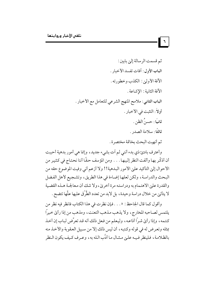ثم قسمت الرسالة إلى بابين : الباب الأول: أفات تفسد الأخبار . الآفة الأولىٰ: الكذب وخطورته . الآفة الثانية : الإشاعة . الباب الثاني: ملامح المنهج الشرعي للتعامل مع الأخبار . أولاً : التثبت في الأخبار . ثانيًا : حسنُ الظن . ثالثًا: سلامة الصدر . ثم أنهيت البحث بخاتمة مختصرة .

 $\mathbf{r}$ 

وأعترف بادئ ذي بدء أنني لم اّت بشيء جديد، وإنما هي أمور بدهية أحببت أن أذكَّر بها وألفت النظر إليها . . . ومن المؤسف حقًّا أننا نحتاج في كثير من الأحوال إلىٰ التأكيد علىٰ الأمور البدهية!! ولا أزعم أني وفيت الموضوع حقه من البحث والدراسة، ولكن لعلها إضاءة في هذا الطريق، وتشجيع لأهل الفضل والقدرة على الاهتمام به ودراسته مرة أخرىٰ ، ولا شك أن معالجة هـذه القضية لا يتأتين من خلال دراسة وحيدة، بل لابد من تعدد الطَّرْق عليها علَّها تتضح .

وأقول كما قال الجاحظ: « . . . فإن نظرت في هذا الكتاب فانظر فيه نظر من يلتمس لصاحبه المخارج، ولا يذهب مذهب التعنت، ومذهب من إذا رأىٰ خيراً كتـمه، وإذا رأيٰ شـرًا أذاعـه، وليـعلم من فـعل ذلك أنه قـد تعرَّض لبـاب إن أخـذ بمثله وتعرض له في قوله وكتبه، أن ليس ذلك إلا من سبيل العقوبة والأخذ منه بالظلامة، فلينظر فيه عليٰ مشال ما أدَّب الله به، وعرف كيف يكون النظر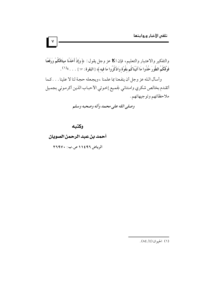والتفكير والاعتبار والتعليم، فإن ا£ عز وجل يقول : ﴿ وَإِذْ أَخَذْنَا مِيثَاقَكُمْ وَرَفَعْنَا فَوْقَكُمُ الطُّورَ خُذُوا مَا آتَيْنَاكُم بقُوَّةٍ وَاذْكُرُوا مَا فيه ﴾ [البقرة : ٦٣ ] . . . . »(١) . وأسأل الله عز وجل أن ينفعنا بما علمنا ، ويجعله حجة لنا لا علينا . . . كما أتقدم بخالص شكري وامتناني لجميع إخوتي الأحباب الذين أكرموني بجميل ملاحظاتهم وتوجيهاتهم .

وصلى الله على محمد وآله وصحبه وسلم

وكتبه

 $\vee$ 

أحمد بن عبد الرحمن الصويان الرياض ١١٤٩٦ ص.ب: ٢٦٩٧٠

(١) الحيوان (٤/ ٨٤).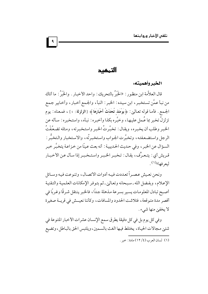التمهيد

 $\mathbf{A}$ 

الخبر وأهميته:

قال العلاَّمة ابن منظور : «الخَبَرُ بالتحريك : واحد الأخبار . والخَبَرُ : ما أتاك من نبأ عمَّن تستخبر ، ابن سيده : الخبر : النبأ ، والجمع أخبار ، وأخابير جمع الجمع. فأما قوله تعالىي: ﴿يَوْمَئِذْ تُحَدِّثُ أَخْبَارَهَا﴾ [الزلزلة: ٤] ، فمعناه: يوم تزلزلُ تخبر بما عُـملِ عليهـا، وخبَّره بكذا وأخبـره: نبـأه، واستـخبره: سـأله عن الخبر وطلب أن يخبره، ويقال: تخبَّرتُ الخبر واستخبرته، ومثله تضعَّفْتُ الرجل واستضعفته، وتخبَّرت الجواب واستخبرتُه، والاستخبار والتخبُّر : السؤال عن الخبر ، وفي حديث الحديبية : أنه بعث عينًا من خزاعة يتخبَّر خبر قـريش أي: يتـعـرَّف، يقـال: تـخبـر الخـبـر واستـخـبـر إذا سـأل عـن الأخبـار ليعرفها»<sup>(۱)</sup>.

ونحن نعيش عصـراً تعـددت فيـه أدوات الاتصـال، وتنوعت فيه وسـائل الإعلام، وبفضل الله ـ سبحانه وتعالىٰ ـ ثم بتوفر الإمكانات العلمية والتقنية أصبح تبادل المعلومات يسير بسرعة مذهلة جداً، فالخبر ينتقل شرقًا وغربًا في أقصر مدة متوقعة، فتلاثنت الحدود والمسافات، وكأننا نعيــش في قريــة صغيرة لا يخفين منها شيء .

وفي كل يوم بل في كل دقيقة يطرق سمع الإنسان عشرات الأخبار المتنوعة في شتني مجالات الحياة، يختلط فيها الغث بالسمين، ويلتبس الحق بالباطل، وتضيع

<sup>(</sup>١) لسان العرب (٤/ ١٢) مادة : خير .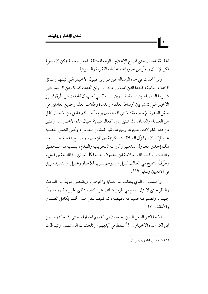الحقيقة بالخيال حتىٰ أصبح الإعلام ـ بألوانه المختلفة ـ أخطر وسيلة يمكن أن تصوغ فكر الإنسان وتغيَّر من تصوراته واتجاهاته الفكرية والسلوكية .

ولن أتحدث في هذه الرسالة عن موازين قبول الأخبار التي تبثها وسائل الإعلام العالمية، فلهذا الفن أهله ورجاله . . . ولن أتحدث كذلك عن الأخبار التي يثيـرها الدهمـاء بين عـامـة المسلمين . . . ولكـني أحب أن أتحـدث عن طُرق تميـيز الأخبار التي تنتشر بين أوساط العلماء والدعاة وطلاب العلم وجميع العاملين في حقل الدعوة الإسلامية؛ لأنني أفاجأ بين يوم وأخر بكم هائل من الأخبار تنقل عن العلماء والدعاة . . ثم تبنيٰ ردود أفعال متباينة حيال هذه الأخبار . . . وكثير من هذه المنقولات ـ بعجرها وبجرها ـ تثير ضغائن النفوس ، وتحيى النفس الغضبية عند الإنسان، وتمزِّق العلاقات الكريمة بين المؤمنين، وتصـبح هذه الأخـبـار بعـد ذلك إحدىٰ معـاول التدمير وأدوات التخريب والهدم، بسبب قلة التـحقيق والتثبت . وكـما قال العـلامـة ابن خلدون رحمـه ا tK تعـالين : «فالتـحقيق قليل ، وطَرْفُ التنقيح في الغـالب كليل، والوهم نسيب للأخبار وخليل، والتـقليد عريق في الأدميين وسليل»<sup>(١)</sup> .

وأحسب أن الذي يتطلب منا العناية والحرص، ويقتضي مزيدًا من البحث والنظر حتىٰ لا تزل القدم في طريق شـائك هو : كيف نتلقىٰ الخبر ونفـهمه فـهمًا جيداً، ونصوغـه صيـاغـة دقـيـقـة، ثم كـيف ننقل هـذا الخبـر بكامل الصـدق والأمانة . . ؟!

ألا ما أكثر الناس الذين يحملون في أيديهم أخبارًا، حتىٰ إذا سألتهم : من أين لكم هذه الأخبار . . ؟ أُسـقط في أيديهم، وتلـعثـمت ألـسنتـهم، وتبـاطأت

(١) مقدمة ابن خلدون (ص ٤).

 $\vert \cdot \vert$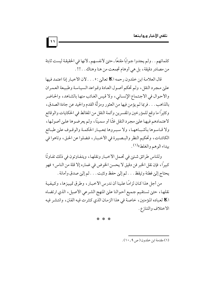كلماتهم . . ولم يجدوا جوابًا مقنعًا ـ حتىٰ لأنفسهم ـ لأنها في الحقيقة ليست ثابتة من مصادر دقيقة، بل هي أوهام تجمعت من هنا وهناك . . !! .

 $\left| \Delta \Delta \right|$ 

قال العلامة ابن خلدون رحمه ا Œ تعالىٰ: « . . . لأن الأخبار إذا اعتمد فيها على مجرد النقل، ولم تحكم أصول العادة وقواعد السياسة وطبيعة العمران والأحوال في الاجتماع الإنساني، ولا قيس الغائب منها بالشاهد، والحاضر بالذاهب . . . فربما لم يؤمن فيها من العثور ومزلَّة القدم والحيد عن جادة الصدق، وكثيرًا ما وقع للمؤرخين والمفسرين وأئمة النقل من المغالط في الحكايات والوقائع لاعتمادهم فيها عليٰ مجرد النقل غثًا أو سمينًا، ولم يعرضوها عليٰ أصولها، ولا قـاسوها بأشبـاههـا، ولا سبـروها بمعـيـار الحكمـة والوقـوف علىٰ طبـائع الكائنات، وتحكيم النظر والبصيرة في الأخبار ، فضلوا عن الحق، وتاهوا في بيداء الوهم والغلط»<sup>(١)</sup>.

وللناس طرائق شتيٰ في تحمل الأخبار ونقلها، ويتفاوتون في ذلك تفاوتًا كبيرًا ، فإن نقل الخبر فن دقيق لا يحسن الخوض في غماره إلا قلة من الناس؟ فهو يحتاج إلى فطنة وتيقظ . . . ثم إلى حفظ وتثبت . . . ثم إلى صدق وأمانة .

من أجل هذا كـان لزامًا علينا أن ندرس الأخبـار ، وطرق تمييزها، وكيفية نقلها، حتىٰ تستقيم جميع أحوالنا علىٰ المنهج الشرعي الأصيل، الذي ارتضاه ا Œ لعباده المؤمنين ، خاصة في هذا الزمان الذي كثرت فيه الفتن ، وانتشر فيه الاختلاف والتنازع.

\* \* \*

(١) مقدمة ابن خلدون (ص9 ـ ١٠).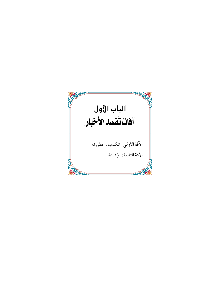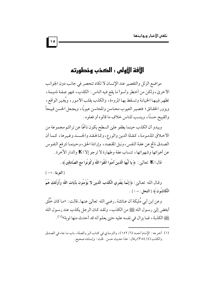# الأفة الأولى : الكذب وخطورته

مواضع الزلل والتقصير عند الإنسان لا تكاد تنحصر في جانب دون الجوانب الأخرىٰ، ولكن من أخطر وأسوأ ما يقع فيه الناس: الكذب، فهو صفة ذميمة، تظهر فيها الخيانة وتسقط بها المروءة، والكذب يقلب الأمور، ويُغير الواقع، ويزور الحقائق؛ فتصيير العيوب محاسن والمحاسن عيوبًا، ويجعل الحسن قبيحاً والقبيح حسنًا، وينسب للناس خلاف ما قالوه أو فعلوه .

ويبدو أن الكذب حينما يطفو عليٰ السطح يكون ناتجًا عن تراكم مجموعة من الأخلاق المذمومة، كقلة الدين والورع،وكالحقد والحسد وغيرها، كما أن الصدق ناتج عن عفة النفس، ونبل المقصد، وإرادة الحق، وحينما تترفع النفوس عن أهوائها وشهواتها، تنساب عفة وطهارة لا ترجو إلا ا EX والدار الآخرة .

قال ا tK تعالىٰ: ﴿ يَا أَيُّهَا الَّذِينَ آمَنُوا اتَّقُوا اللَّهَ وَكُونُوا مَعَ الصَّادقينَ﴾ .

[التوبة: ١١٩] وقـال الله تعـالـىٰ: ﴿ إِنَّمَا يَفْتَري الْكَذبَ الَّذينَ لا يُؤْمِنُونَ بِآيَاتِ اللَّهِ وَأُوْلَئكَ هُمُ الْكَاذِبُونَ ﴾ [النحل: ١٠٥] .

وعن ابن أبي مُليكة أن عـائشة ـ رضي الله تعالىٰ عنـها ـ قالت : «مـا كان خُلُق أبغض إلىٰ رسول الله ﷺ من الكذب، ولقد كان الرجل يكذب عند رسول الله يَّظِيَّةِ الكذبة ، فما يزال في نفسه عليه حتىٰ يعلم أنه قد أحدث منها توبة»(١) .

 $| \cdot |$ 

<sup>(</sup>١) أخرجه: الإمام أحمد (٦/ ١٥٢)، والترمذي في كتاب البر والصلة، باب ما جاء في الصدق والكذب (٤/ ٣٨٤) وقال: هذا حديث حسن. قلت: وإسناده صحيح.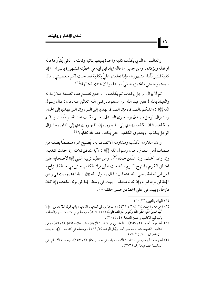والغالب أن الذي يكذب كذبة واحدة يتبعها بثانية وثالثة . . لكي يُقرِّر ما قاله أو نقله ويؤكده، ومن جميل ما قاله زياد ابن أبيه في خطبته المشهورة بالبتراء: «إن كذبة المنبر بَلْقاء مشهورة، فإذا تعلقتم عليَّ بكذبة فقد حلت لكم معصيتي، فإذا سمعتموها مني فاغتمزوها فيَّ، واعلموا أن عندي أمثالها»(١).

ثم لا يزال الرجل يكذب ثم يكذب . . . حتىٰ تصبح هذه الصفة ملازمة له والعياذ بالله ! فعن عبد الله بن مسعود ـ رضي الله تعالي عنه ـ قال : قال رسول الله ﷺ : «عليكم بالصدق، فإن الصدق يهدي إلى البـر ، وإن البر يهدي إلى الجنة ، ومـا يزال الرجل يصـدق،ويتـحرى الصـدق، حتى يكتب عند الله صـدِّيقًـا ، وإياكم والكذب، فإن الكذب يهدي إِلى الفجور، وإِن الفجور يهدي إِلى النار، وما يزال الرجل يكذب، ويتحرى الكذب، حتى يُكتب عند الله كذابًا»(٢).

وعند ملازمة الكذب ومداومة الاتصاف به، يُصبح المرء متصفًا بصفة من صفات أهل النفاق، قال رسول الله ﷺ : «آية المنافق ثلاث: إذا حدث كذب، وإِذا وعد أخلف، وإِذا ائتُمن خان،(٣) ، ومن عظيم تربية النبي ﷺ لأصحابه عليٰ الخلق الكريم والمنهج القويم، أنه حث علىٰ ترك الكذب حتىٰ في حـالة المـزاح، فعن أبي أمـامة رضي الله عنه قال : قـال رسول الله ﷺ : «أنا زعيم بيت في ربض الجنة لمن ترك المراء وإن كـان محـقـًا ، وبيـت في وسط الجنة لمن ترك الكـذب وإن كـان مازحًا، وبيت في أعلى الجنة لمن حسن خلقه»<sup>(٤)</sup>.

(١) السان والتسين (٢/ ٣٠).

 $\vert \cdot \cdot \vert$ 

- (٢) أخرجه : أحمد (١/ ٣٨٤ ، ٤٣٢)، والبخاري في كتاب : الأدب، باب قول اK تعالين : ﴿ يَا أَيُّهَا الَّذينَ آمَنُوا اتَّقُوا اللَّهَ وَكُونُوا مَعَ الصَّادقينَ﴾ (١٠/ ٥٠٧) ، ومسلـم في كتاب : البر والصلة ، باب قبح الكذب وحسن الصدق (٤/ ٢٠١٢).
- (٣) أخرجه: أحمد (٢/ ٣٥٧)، والبخاري في كتاب: الإيمان، باب علامة المنافق (١/ ٨٩)، وفي كتاب: الشهادات، باب مــن أمـر بإنجاز الوعـد (٥/ ٢٨٩)، ومسلم في كتـاب: الإيمان، بابٌ بيان خصال المنافق (١/ ٧٨) .
- (٤) أخرجه: أبو داود في كتاب: الأدب، باب في حسن الخلق (٤/ ٢٥٣)، وحسنه الألباني في السلسلة الصحيحة رقم (٢٧٣) .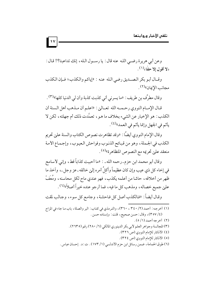وعن أبي هريرة رضي الله عنه قال: يا رسول الله، إنك تداعبنا؟! قال: «لا أقول إلا حقًا»<sup>(١)</sup>.

وقـال أبو بكر الصـديق رضي الله عنه : «إياكم والكذب؛ فـإن الكذب مجانب الإيمان»<sup>(٢)</sup> .

وقال مطرِّف بن طريف : «ما يسرني أني كذبت كذبة وأن لي الدنيا كلها»(٣) .

قـال الإمــام النووي رحـمــه الله تعــالين : «اعلـم أن مــذهب أهل الـسنة أن الكذب : هو الإخبار عن الشيء بخلاف ما هـو ، تعمَّدت ذلك أم جهلته ، لكن لا يأثم في الجهل وإنما يأثم في العمد»<sup>(٤)</sup>.

وقال الإمام النووي أيضًا : «وقد تظاهرت نصوص الكتاب والسنة علىي تحريم الكذب في الجملة، وهو من قبائح الذنوب وفواحش العيوب، وإجماع الأمة منعقد عليٰ تحريمه مع النصوص المتظاهرة»<sup>(٥)</sup>.

وقال أبو محمد ابن حزم ـ رحمه الله ـ : «ما أحببت كذاباً قط، وإني لأسامح في إخاء كل ذي عيب وإن كان عظيماً وأكلُّ أمره إلىٰ خالقه ـ عز وجل ـ، واَخذ ما ظهر من أخلاقه، حاشا من أعلمه يكذب، فهو عندي ماح لكل محاسنه، ومُعَفّ عليٰ جميع خصاله، ومذهب كل ما فيه، فما أرجو عنده خيراً أصلاً»(٦).

وقال أيضاً: «فالكذب أصل كل فاحشة، وجامع كل سوء، وجالب لمقت

 $\vert \cdot \rangle$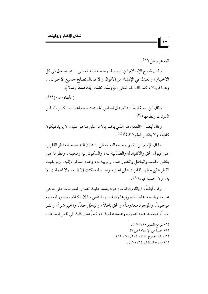الله عز وجل® <sup>(۱)</sup> .

 $\Lambda$ 

وقـال شيخ الإسلام ابن تيميـة ـ رحمـه الله تعـالـي ـ: «بالصـدق في كل الأخبار ، والعدل في الإنشاء من الأقوال والأعمال تصلح جميع الأحوال . . وهما قرينان، كما قال الله تعالىٰ: ﴿ وَتَمَّتْ كَلمَتُ رَبِّكَ صِدْقًا وَعَدْلاً ﴾ .

 $\left( \begin{smallmatrix} \mathcal{C} \end{smallmatrix} \right)$ الأنعام: ١١٥ - ١

وقال ابن تيمية أيضًا : «الصدق أساس الحسنات وجماعها ، والكذب أساس السيئات و نظامها»<sup>(٣)</sup> .

وقال أيضاً: «العدل هو الذي يخبر بالأمر عليٰ ما هو عليه، لا يزيد فيكون كاذباً، ولا ينقص فيكون كاتماً»<sup>(٤)</sup>.

وقال الإمام ابن القيم ـ رحمه الله تعالىٰ ـ: «فإن الله سبحانه فطر القلوب عليي قبول الحق والانقياد له والطمأنينة لـه، والسكون إليه ومحبته، وفطرها عليي بغض الكذب والباطل والنفور عنه ، والريبة به ، وعدم السكون إليه ، ولو بقيت الفطر علىٰ حالها لما أثرت علىٰ الحق سواه، ولما سكنت إلا إليه، ولا اطمأنت إلا به، ولا أحت غيره»<sup>(٥)</sup> .

وقال أيضاً : «إياك والكذب؛ فإنه يفسد عليك تصور المعلومات علىٰ ما هي عليه، ويفسد عليك تصويرها وتعليمها للناس، فإن الكاذب يصور المعدوم موجوداً، والموجود معدوماً، والحق باطلاً، والباطل حقاً، والخير شـراً، والشر خيراً، فيفسد عليه تصوره وعلمه عقوبة له، ثم يُصور ذلك في نفس المخاطب (١) المرجع السابق (١/ ١٧٥) . (٢) الحسبة في الإسلام (ص ٧). (٤، ٢) مجموع الفتاويٰ (٢٠/ ٧٤، ٨٤). (٥) مدارج السالكين (٣/ ٤٧١).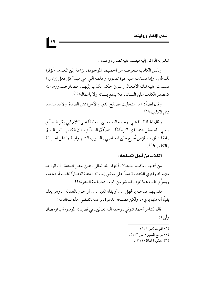المغتر به الراكن إليه فيفسد عليه تصوره وعلمه .

ونفس الكاذب معرضة عن الحقيقة الموجودة، نزَّاعة إلىٰ العدم، مُؤثرة للباطل . وإذا فسدت عليه قوة تصوره وعلمه التي هي مبدأ كل فعل إرادي؛ فسـدت عليه تلك الأفـعـال وسريٰ حكم الكذب إليهـا، فصـار صـدورها عنه كمصدر الكذب علىٰ اللسان، فلا ينتفع بلسانه ولا بأعماله»(١).

 $| \cdot |$ 

وقال أيضاً : «ما استجلبت مصالح الدنيا والآخرة بمثل الصدق ولامفاسدهما عِثا الكذب»<sup>(٢)</sup> .

وقال الحافظ الذهبي ـ رحمه الله تعالىٰ ـ تعليقًا علىٰ كلام أبي بكر الصدِّيق رضي الله تعالىٰ عنه الذي ذكره آنفًا ـ : «صَدَق الصدِّيق؛ فإن الكذب رأس النفاق وآية المنافق، والمؤمن يُطبع علىٰ المعـاصي والذنوب الشـهـوانيـة لا علىٰ الخـيـانة والكذب»<sup>(۳)</sup>.

#### الكذب من أجل المصلحة:

من أعجب مكائد الشيطان ـ أخزاه الله تعالىٰ ـ علىٰ بعض الدعاة : أن الواحد منهم قد يفتري الكذب قصداً علىٰ بعض إخوانه الدعاة انتصاراً لنفسه أو لفئته، ويسوِّغ لنفسه هذا المزلق الخطير من باب : «مصلحة الدعوة»!!

فقد يتهم صاحبه بالجهل . . . أو بقلة الدين . . . أو حتىٰ بالعمالة . . وهو يعلم يقينًا أنه منها بريء، ولكن مصلحة الدعوة ـ بزعمه ـ تقتضي هذه المخادعة!

قال الشاعر أحمد شوقي ـ رحمه الله تعالى ـ في قصيدته الموسومة بـ «رمضان ولگين»:

- (١) الفوائد (ص ١٥٢).
- (٢) المرجع السابق ( ص ١٥٣) .
	- (٣) تذكرة الحفاظ (١/ ٣).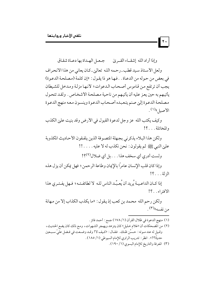$|\cdot|$ 

وإذا أراد الله إشقاء القريٰ مجعل الهداة بها دعاة شقاق

ولعل الأستاذ سيد قطب ـ رحمه الله تعالىٰ ـ كان يعاني من هذا الانحراف في بعض من حوله من الدعاة . . فها هو ذا يقول : «إن كلمة (مصلحة الدعوة) يجب أن ترتفع من قاموس أصحاب الدعوات؛ لأنها مزلة ومدخل للشيطان يأتيهم به حين يعز عليه أن يأتيهم من ناحية مصلحة الأشخاص . ولقد تتحول مصلحة الدعوة إليي صنم يتعبده أصحاب الدعوة وينسون معه منهج الدعوة الأصبا »(١).

وكيف يكتب الله عز وجل لدعوة القبول في الأرض وقد بنيت عليٰ الكذب والمخاتلة . . . ؟!

ولكن هذا البلاء يذكرني بجهلة المتصوفة الذين يلفقون الأحاديث المكذوبة علىٰ النبي ﷺ ثم يقولون: نحن نكذب له لا عليه. . . . . !!

ولست أدري أي سخف هذا. . . بل أي ضلال(٢)؟!

وإذا كان قلب الإنسان عامراً بالإيمان وطاعة الرحمن ؛ فهل يمكن أن يزل هذه الزلة . . . ؟!

إذا كـان الداعـيـة يُرِيد أن يُعبِّـد الناس للـه لا لطائفـتـه ؛ فـهل يفـتـرى هذا الافتراء . . ؟!

ولكن رحم الله محمد بن كعب إذ يقول : «ما يكذب الكذاب إلا من مهانة من نفسه»(۳).

- (١) منهج الدعوة في ظلال القرآن (١/ ١٧٨) جمع : أحمد فائز .
- (٢) من المضحكات أن «غلام خليل» كان يتزهد ويهجر الشهوات، ومع ذلك كان يضع الحديث، وقـيل له عند مـوته : حـسِّن ظـنك . فقـال : «كـيف لا! وقـد وضـعت في فـضل عليِّ سـبـعين حديثًا؟!» . انظر : تدريب الراوي للإمام السيوطي (١/ ١٨٥) . (٣) المعرفة والتاريخ للإمام البسوي (١/ ١٩٠).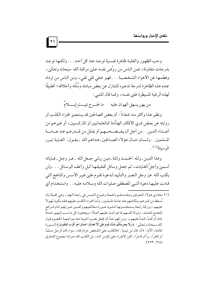وحب الظهور والغلبة ظاهرة نفسية توجيد عند كل أحيد . . . ولكنها توجد بدرجات متفاوتة، فمن الناس من روَّض نفسه عـلي مراقبة الله سبحانه وتعالي ، وفطمها عن الأهواء الشخصية . . . فهو خفي تقي نقي، ومن الناس من تزداد عنده هذه الظاهرة لدرجة تدعوه للتنازل عن بعض مبادئه ومُثُله وأخلاقه؛ تحقيقًا لهذه الرغبة المسيطرة علىٰ نفسه، وكما قال المتنبي :

من يهن يسهل الهوان عليه مصما لجسرح بميست إيــــــلامَ

ونظير هذا وأكثر منه خفاءاً: أن بعض الصالحين قد يستجيز افتراء الكذب أو روايته عن بعض ذوي الأفكار الهدَّامة كـالعلمانيين أو الماركسيين، أو غيرهم من أعـــداء الديـن . . من أجل أن يفـــضـــحـــهـم أو يقـلل من قـــدرهـم عند عـــامـــة المسلمين . . ولسـان حــال هؤلاء الصـالحين ـ هـداهـم الله ـ يـقـول : الغـايـة تبـرر الوسيلة (١).

وهذا الدين ـ ولله الحـمـد والمنة ـ ديـن رباني جـعل الله ـ عـز وجـل ـ غـاياته أسـميٰ وأجلِّ الغـايات، ثم جعـل وسائل تحقيقـهـا أنبل وأعف الوسـائل . . . ولن يكتب الله عز وجل النصر والتأييد لدعوة تقوم علىٰ غير الأسس والمناهج التي قامت عليها دعوة النبي المصطفىٰ صلوات الله وسلامه عليه . . واستخدام أي

(١) مخازي هؤلاء المنحرفين ومفاسدهم واضحة وضوح الشمس في رابعة النهار ، وهي كفيلة بأن تُسقط من قدرهم ومكانتهم عند عـامـة المسلمين، وأمـا افتـراء الكذب عليـهم فـقـد يكون لهم لا عليهم، وورقة رابحة يستخدمونها لتشويه صورة مخالفيهم وتحسين صورتهم أمام شرائح المجتمع المحايد، وتبرئة أنفسهم مما هو ثابت عليهم أصلاً، ويجعلون كل ما نسب إليهم ـ صدقاً كـان أو كذباً ـ كـذباً عليـهم ـ، ومن المهم جداً أن نجـعل نصب أعـيـننا عند مـواجـهــة الخـصوم قـول الله سبحانه وتعالى: ﴿ وَلَا يَجْرِمَنَّكُمْ شَنَآنُ قَوْمٍ عَلَىٰ أَلاَّ تَعْدَلُوا اعْدَلُوا هُوَ أَقْرَبُ للتَّقْوَىٰ ﴾ [ســورة المائدة، الآية : ٨]، قال ابن تيمية : «فالكذب عليٰ الشخص حرام كله، سواء كان الرجل مسلمًا أو كافرًا، برَّا أو فاجرًا، لكن الافتراء عليٰ المؤمن أشد، بل الكذب كله حرام» مجموع الفتاويٰ  $.$  (٢٢٣ / ٢٨)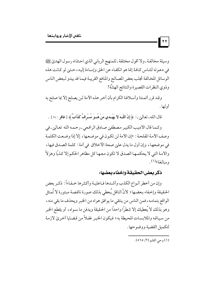وسيلة مخالفة ـ ولا أقول مختلفة ـ للمنهج الرباني الذي احتذاه رسول الهديٰ ﷺ في دعوته للناس كافة إنما هو انكفاء عن الحق وإساءة إليه، حـتي لو كـانت هذه الوسائل المخالفة تجلب بعض المصالح والمنافع القريبة فيما قد يبدو لبعض الناس وذوى النظرات القصيرة والنتائج الهشَّة!

وقد قرر أئمتنا وأسلافنا الكرام بأن أخر هذه الأمة لن يصلح إلا بما صلح به أو لها .

قال الله ـ تعالىٰ ـ : ﴿ إِنَّ اللَّـهَ لا يَهْـدي مَنْ هُــوَ مُسْرِفٌ كَذَّابٌ ﴾ [غافر : ٢٨ ] .

وكـما قال الأديب الكبير مصطفىٰ صادق الرافعي ـ رحـمـه الله تعـاليٰ ـ في وصف الأمة المفلحة : «إن الأمة لن تكون في موضعها ، إلا إذا وضعت الكلمة في موضعها، وإن أول ما يدل على صحة الأخلاق في أمة : كلمة الصدق فيها، والأمة التي لا يحكمها الصدق لا تكون معها كل مظاهر الحكم إلا كذبًا وهزلاً ومبالغة»<sup>(۱)</sup>.

### ذكر بعض الحقيقة وإخفاء بعضها:

وإن من أخطر أنواع الكذب وأشدها فـاعليـة وأكثرها خـفـاءاً : ذكـر بعض الحقيقة وإخفاء بعضها؛ لأنَّ الناقل يُعطى بذلك صورة ناقصة مبتورة لا تُمثل الواقع بتمامه، فمن الناس من ينتقى ما يوافق هواه من الخبر ويحذف ما بقى منه، وهو بذلك لا يُعطيك إلا شطرًا واحدًا من الحقيقة ويدفن ما سـواه، أو يقطع الخبر من سياقه والملابسات المحيطة به؛ فيكون الخبر غفلاً من قضايا أخرىٰ لازمة لتكميل القضية ووضوحها .

(١) وحي القلم (٢/ ٥٦٥).

 $\mathbf{r}$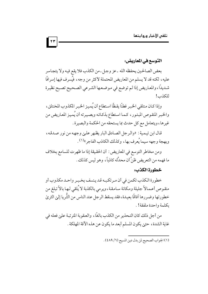التوسع في المعاربض:

بعض الصالحين يحفظه الله ـ عز وجل ـ من الكذب فلا يقع فيه ولا يتجاسر عليه، لكنه قد لا يسلم من المعاريض المحتملة لأكثر من وجه، فيُسرف فيها إسرافًا شديداً، والمعاريض إذا لم توضع في موضعها الشرعي الصحيح تصبح نظيرة للكذب!

وإذا كـان متلقى الخبر فطنًا يقظًا استطاع أن يُميز الخبر المكذوب المختلق، والخبر المنقوص المبتور، كما استطاع بذكائه وبصيرته أن يُميز المعاريض من غيرها، ويتعامل مع كل حدث بما يستحقه من الحكمة والبصيرة.

قال ابن تيمية : «والرجل الصادق البار يظهر على وجهه من نور صدقه ، وبهجة وجهه سيما يُعرف بها، وكذلك الكاذب الفاجر»<sup>(١)</sup>.

ومن مخاطر التوسع في المعاريض: أن الحقيقة إذا ما ظهر ت للسامع بخلاف ما فهمه من التعريض ظنَّ أن محدِّثه كاذباً، وهو ليس كذلك .

#### خطورة الكذب:

خطورة الكذب تكمن في أن مرتكبه قد ينسف بخبر واحد مكذوب أو منقوص أعمالاً جليلة ومكانة سامقة ،ويرمى بالكذبة لا يُلقى لـها بالاً تبلغ من خطورتها وضررها آفاقًا بعيدة، فقد يسقط الرجل عند الناس من الثَّريا إلىٰ الثريٰ يكلمة واحدة ملفقة! .

من أجل ذلك كان التحذير من الكذب بالغًا، والعقوبة المترتبة علىٰ فعله في غاية الشدة، حتىٰ يكون المسلم أبعد ما يكون عن هذه الأفة المهلكة .

 $|\mathbf{r}\mathbf{r}|$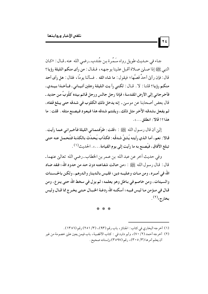$\mathbf{r}$ 

جـاء في حــديث طويل رواه سَـمُرة بـن جُندب ـ رضي الله عنه ـ قـال : «كـان النبي ﷺ إذا صلىٰ صلاة أقبل علينا بوجهه، فقال: من رأى منكم الليلة رؤيا؟ قال : فإن رأىٰ أحدٌ قصَّها ؛ فيقول : ما شاء الله . فسألنا يو مَّا ، فقال : هل رأى أحد منكم رؤيا؟ قلنا : لا . قـال : لكني رأيت الليلة رجلين أتيـاني ، فـأخـذا بيـدي ، فأخرجاني إِلى الأرض المقدسة ؛ فإذا رجل جالس ورجل قائم بيده َكلُّوبٌ من حديد ـ قال بعض أصحابنا عن موسىٰ \_ إنه يدخل ذلك الكلوب في شدقه حتى يبلغ قفاه ، ثم يفعل بشدقه الآخر مثل ذلك، ويلتئم شدقه هذا فيعود فيصنع مثله . قلت : ما هذا؟! قالا: انطلق . . . ».

إلىٰ أن قال رسول الله ﷺ : «قلت : طوَّفتماني الليلة فأخبراني عما رأيت . قالا : نعم، أما الذي رأيته يُشقُّ شدقُه : فكذَّاب يُحدِّث بالكذبة فتُحمل عنه حتى تبلغ الآفاق، فيُصنع به ما رأيت إلى يوم القيامة . . . » . الحديث<sup>(١)</sup> .

وفي حديث أخر عن عبد الله بن عـمر بن الخطاب ـ رضي الله تعاليٰ عنهما ـ قال : قـال رسول الله ﷺ : «من حـالت شفـاعتـه دون حـد من حدود الله ؛ فـقد ضـاد الله في أمــره، ومن مــات وعـليـــه دين ؛ فليس بالـدينار والـدرهم، ولكـن بالحــسـنات والسيئات، ومن خاصم في بـاطل وهو يعلمه ؛ لم يزل في سخط الله حتى ينز ع، ومن قـال في مـؤمن مـا ليـس فـيـه؛ أسكنـه الله ردغـة الخـبـال حـتـي يخـرج مما قـال وليس بخارج»<sup>(۲)</sup>.

\* \* \*

- (۱) أخرجه البخاري في كتاب: الجنائز ، باب رقم (۹۳)، (٣/ ٢٥١) رقم (١٣٨٦) .
- (٢) أخرجه أحمد (٢/ ٧٠)، وأبو داود في : كتاب الأقضية، باب فيمن يعين عليي خصومة من غير أن يعلم أمرها (٣/ ٣٠٥)، رقم (٣٥٩٧) وإسناده صحيح .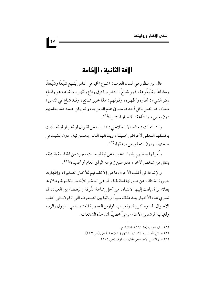## الآفة الثانية : الاشاعة

قال ابن منظور في لسان العرب : «شـاع الخبر في الناس يَشيع شَيْعًا وشَيَعانًا ومَشـاعًا وشَيْعُـوعة، فهـو شَائعٌ: انتشر وافـترق وذاع وظهـر، وأشاعـه هو وأشاع ذكْرِ الشيء : أطاره وأظهره، وقولهم : هذا خبر شائع، وقـد شـاع في الناس؛ معناه : قد اتصل بكل أحد فاستوىٰ علم الناس به، و لم يكن علمه عند بعضهم دون بعضٍ، والشَّاعة : الأخبار المنتشرة»<sup>(۱)</sup> .

والشائعات بمعناها الاصطلاحي : «عبارة عن أقبوال أو أخبار أو أحاديث يختلقها البعض لأغراض خبيثة، ويتناقلها الناس بحسن نية، دون التثبت في صحتها، ودون التحقق من صدقها»<sup>(٢)</sup> .

ويُعرفها بعضهم بأنها : «عبارة عن نبأ أو حدث مجرد من أية قيمة يقينية ، ينتقل من شخص لأخر ، قادر عليٰ زعزعة الرأي العام أو تجميده»(٣) .

والإِشاعة في أغلب الأحوال ما هي إلا تضخيم للأخبار الصغيرة، وإظهارها بصورة تختلف عن صورتها الحقيقية، أو هي تسخير للأخبار المكذوبة وطلاؤها بطلاء براق يلفت إليها الانتباه، من أجل إشاعة الفُرقة والبغضاء بين العباد، ثم تسرى هذه الأخبار بعد ذلك سيراً وبائيًا بين الصفوف التي تكون ـ في أغلب الأحوال ـ لسوء التربية، ولغياب الموازين العلمية المعتمدة في القبول والرد، ولغياب المرشدين الأمناء مرعي ًخصيبًا لمثل هذه الشائعات .

- (٢) وسائل وأساليب الاتصال للدكتور زيدان عبد الباقي (ص ٤٤٧).
	- (٣) علم النفس الاجتماعي لجان ميزونوف (ص ١٠٦).

<sup>(</sup>١) لسان العرب (٨/ ١٩١) مادة : شيع .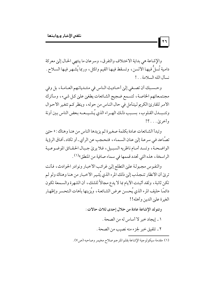والإشاعة هي بداية الاختلاف والتفرق، وسرعان ما ينتهي الحال إلىٰ معركة دامية تُسلُّ فيها الألسن، وتسقط فيها القيم والمثل، وربما يُشهر فيها السلاح. نسأل الله السلامة . . !

 $\mathbf{r}$ 

وحسبك أن تصغى إلى أحاديث الناس في منتـدياتـهم العـامـة، بل وفي مجتمعاتهم الخاصة، لتسمع ضجيج الشائعات يطغيٰ عليٰ كل شيء، وسأترك الأمر للقارئ الكريم ليتأمل في حال الناس من حوله، وينظر كم تتغير الأحوال وتتـبـدل القـلوب، بسـبب ذلك الهـراء الذي يُشـيـعـه بعض الناس بين آونة وأخرى . . . ؟!

وتبدأ الشائعات عـادة بكلمة صغيرة ثم يزيدها الناس من هنا وهناك : « حتىٰ تصـَّاعد فـي سرعـة إلىٰ عنان السـمـاء ، فتـحـجب عن الر أي ـ أو تكاد ـ آفـاق الر ؤية الواضحة، وتسد أمام ناظريه السبيل، فلا يريْ جبال الحقائق الموضوعية الراسخة، هذه التي تحدد قممها في سماء صافية من المنطق»<sup>(١)</sup>.

والنفوس مجبولة علىي التطلع إلىي غرائب الأخبار ونوادر الحوادث، فأنت تريٰ أن الأنظار تنجذب إليٰ ذلك المرء الذي يُثير الأخبار من هنا وهناك ولو لم تكن ثاتبة، ولقد أثبتت الأيام بما لا يدع مجالاً للشك، أن الشهرة والسمعة تكون دائمًا حليف المرء الذي يُحسن عرض الشائعة، ويُزينها باَهات التحسر وإظهار الغيرة علي الدين وأهله!!

> وتتولد الإشاعة عادة من خلال إحدى ثلاث حالات : ١ ـ إيجاد خبر لا أساس له من الصحة . ٢ ـ تلفيق خبر لجزء منه نصيب من الصحة .

(١) مقدمة سيكولوجية الإشاعة بقلم المترجم صلاح مخيمر وصاحبه (ص٧).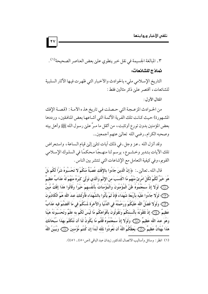$\mathbf{v}$ 

٣ ـ المبالغة الجسيمة في نقل خبر ينطوي علىٰ بعض العناصر الصحيحة```.

نماذج للشائعات:

التاريخ الإسلامي مليء بالحوادث والأخبار التي ظهرت فيها الأثار السلبية للشائعات، أقتصر على ذكر مثالين فقط:

المثال الأول:

من الحـوادث المزعـجـة التي حـصلت فـي تاريخ هذ ه الأمـة : (قصـة الإفك المشهورة) حيث كانت تلك الفرية الآثمة التي أشاعها بعض المنافقين، ورددها بعض المؤمنين بدون تورع أوتثبت، من أثقل ما مـرَّ عليٰ رسول الله ﷺ وأهل بيته وصحبه الكرام ـ رضي الله تعاليٰ عنهم أجمعين ـ.

وقد أنزل الله ـ عز وجل ـ في ذلك آيات تتليي إليي قيام الساعة ، واستعراض تلك الآيات بتدبر وخشـوع، يرسم لنا منهـجًا محكمًا في السلوك الإسلامي القويم، وفي كيفية التعامل مع الإِشاعات التي تنتشر بين الناس .

قال الله ـ تعالىٰ ـ : ﴿ إِنَّ الَّذِينَ جَاءُوا بِالإِفْكِ عُصْبَةٌ مّنكُمْ لا تَحْسَبُوهُ شَرًّا لَّكُم بَلْ هُوَ خَيْرٌ لَّكُمْ لكُلّ امْرِئَ مّنْهُم مَّا اكْتَسَبَ منَ الإِثْمِ وَالَّذي تَوَلَّىٰ كبْرَهُ منْهُمْ لَهُ عَذَابٌ عَظيمٌ ﴿ لَٰ ۖ لَوۡ لَا إِذۡ سَمَعْتُمُوهُ ظَنَّ الْمُؤۡمَنُونَ وَالْمُؤۡمَنَاتُ بِأَنفُسهِمْ خَيْراً وقَالُوا هَذَا إفْكٌ مُّبِينٌ ﴿ آيَا ﴾ لَوْلا جَاءُوا عَلَيْه بأَرْبَعَة شُهَدَاءَ فَإِذْ لَمْ يَأْتُوا بالشُّهَدَاء فَأُولَئكَ عندَ اللّه هُمُ الْكَاذبُونَ .<br>﴿ إِنَّ ﴾ وَلَوْلا فَضلُ اللَّهُ عَلَيْكُمْ وَرَحْمَتُهُ في الدُّنْيَا وَالآخرَة لَسَّكُمْ في مَا أَفَضْتُمْ فيه عَذَابٌ عَظِيمٌ ﴿ ٓ ۚ إِنَّ لَا قَوَّرْنَهُ بِأَلْسِنَتِكُمْ وَتَقُولُونَ بِأَفْوَاهِكُم مَّا لَيْسَ لَكُم به علْمٌ وتَحْسبُونَهُ هَيّنًا وَهُوَ عندَ اللَّه عَظِيمٌ ﴿ وَآوَ ۚ وَلَوْلا إِذْ سَمَعْتُمُوهُ قُلْتُم مَّا يَكُونُ لَنَا أَن نَّتَكَلَّمَ بهَذَا سُبْحَانَكَ هَذَا بُهْتَانٌ عَظيمٌ ﴿ آيَنَ ۖ يَعظُكُمُ اللَّهُ أَن تَعُودُوا لمَثْله أَبَدًا إِن كُنتُم مُّؤْمنينَ ﴿ لَآلَهُ وَيُبَيّنُ اللَّهُ

<sup>(</sup>١) انظر : وسائل وأساليب الاتصال للدكتور زيدان عبد الباقي (ص١٤٥٠. ٥١١).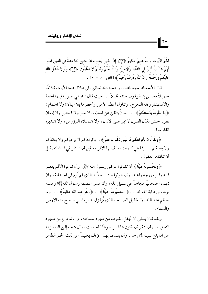لَكُمُ الآيَات وَاللَّهُ عَليمٌ حَكيمٌ ﴿۞﴾ إِنَّ الَّذينَ يُحبُّونَ أَن تَشيعَ الْفَاحشَةُ في الَّذينَ آمَنُوا لَهُمْ عَذَابٌ أَلِيمٌ في الدُّنْيَا وَالآخرَة وَاللَّهُ يَعْلَمُ وَأَنتُمْ لا تَعْلَمُونَ ﴿ ۚ وَلَوْلا فَضْلُ اللَّه عَلَيْكُمْ وَرَحْمَتُهُ وَأَنَّ اللَّهَ رَءُوفٌ رَّحيمٌ ﴾ [النور : ١١ – ٢٠ ] .

 $\mathbf{R}$ 

قال الأستـاذ سيد قطب ـ رحمـه الله تعـاليٰ ـ في ظلال هـذه الآيات كـلامًا جميلاً يحسن بنا الوقوف عنده قليلاً . . . حيث قال : «وهي صورة فيها الخفة والاستهتار وقلة التحرج، وتناول أعظم الأمور وأخطرها بلا مبالاة ولا اهتمام: ﴿إِذْ تَلَقَّوْنَهُ بِأَلْسِنَتِكُمْ﴾ . . . لسانٌ يتلقىٰ عن لسان، بلا تدبر ولا فحص ولا إمعان نظر ، حـتـيٰ لكأن القـول لا يمر عليٰ الأذان ، ولا تتـمـلاه الرؤوس ، ولا تتـدبره القلوب!.

﴿ وَتَقُولُونَ بِأَفْوَاهِكُم مَّا لَيْسَ لَكُم به علْمٌ ﴾ . . بأفواهكم لا بوعيكم ولا بعقلكم ولا بقلبكم . . . إنما هي كلمات تقذف بها الأفواه، قبل أن تستقر في المدارك وقبل أن تتلقاها العقول.

﴿ وَتَحْسَبُونَهُ هَيِّنًا ﴾ أن تقذفوا عرض رسول الله ﷺ، وأن تدعوا الألم يعصر قلبه وقلب زوجه وأهله، وأن تلوثوا بيت الصدِّيق الذي لم يُرم في الجاهلية، وأن تتهموا صحابيًا مجاهدًا في سبيل الله ، وأن تمسوا عصمة رسول الله ﷺ وصلته بربه، ورعـاية الـله له. . . ﴿ وَتَحْسَبُونَهُ ۖ هَيّنًا ﴾. . ﴿وَهُوَ عِندَ اللَّه عَظِيمٌ ﴾ . . . وما يعظم عند الله إلا الجليل الضــخم الذي تُزلزل له الرواسي وتضج منه الأرض والسماء .

ولقد كـان ينبغي أن تجفل القلوب من مجرد سـماعـه، وأن تتحرج من مـجرد النطق به ، و أن تنكر أن يكون هذا مو ضوعًا لـلحـديث ، و أن تتـجه إلـىٰ الله تنزهه عن أن يدع نبـيـه لمثل هذا ، وأن يقـذف بهـذا الإفك بـعـيـدًا عن ذلك الجـو الطاهر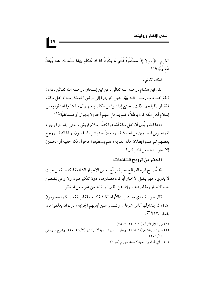الكربِم : ﴿ وَلَوْلا إِذْ سَمِعْتُمُوهُ قُلْتُم مَّا يَكُونُ لَنَا أَن نَّتَكَلَّمَ بِهَذَا سُبْحَانَكَ هَذَا بُهْتَانٌ عَظيمٌ ﴾»(١) .

المثال الثاني:

نقل ابن هشـام ـ رحمه الـله تعالىٰ ـ عن ابن إسـحاق ـ رحـمه الله تعـالىٰ ـ قال : «بلغ أصحاب رسول الله ﷺ الذين خرجوا إلىٰ أرض الحبشة إسلام أهل مكة ، فأقبلوا لما بلغهم ذلك، حتىٰ إذا دنوا من مكة، بلغهم أن ما كانوا تحدثوا به من إسلام أهل مكة كان باطلاً، فلم يدخل منهم أحد إلا بجوار أو مستخفيًا»<sup>(٢)</sup> .

فهذا الخبر يُبين أن أهل مكة أشاعوا كذبًا إسلام قريش، حتىٰ يضمنوا رجوع المهاجرين المسلمين من الحبشة، وفعلاً استبشر المسلمـون بهذا النبأ، ورجع بعضهم ثم علموا بطلان هذه الفرية، فلم يستطيعوا دخول مكة خفية أو محتمين إلا بجوار أحد من المشركين! .

### الحذر من ترويج الشائعات.

قد يُصبح المرء الصالح مطية يروِّج بعض الأخبار الشائعة المكذوبة من حيث لا يدري، فهو يتقبل الأخبار أيًا كان مصدرها، دون تفكير متزن ولا وعي بمقتضىٰ هذه الأخبار ومقاصدها، وإنما عن تلقين أو تقليد من غير تأمل أو نظر . . !

قال جـوزيف دي مسـتيـر : «الآراء الكاذبة كالعـملة المزيفة ، يسكـهـا مجرمون عتاة، ثم يتداولها أناس شرفاء، وتستمر علىٰ أيديهم الجريمة، دون أن يعلموا ماذا يفعلون؟!»(٣).

- (١) في ظلال القرآن (٤/ ٢٥٠٢\_ ٢٥٠٣).
- (٢) سيرة ابن هشام (١/ ٣٦٤)، وانظر : السيرة النبوية لابن كثير (٣/ ٥٦-٥٧)، وشرح الزرقاني  $.$  (۲۷۰/۱)
	- (٣) الرأي العام والدعاية لأحمد سويلم (ص١) .

79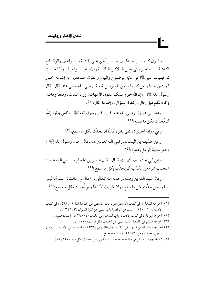وفيرق كسبيسر جبداً بين خسبير يُبنين علىي الأدلة والبسراهين والوقسائع الثابتـة . . . وآخـر يبنيْ علييٰ الدلائـل الظنـية والأسـانيـد الواهيـة، ولذا جـاءت توجيهات النبي ﷺ في غاية الوضوح والبيان والـقوة، للتحذير من إشاعة أخبار لم يتبين صدقها من كذبها، فعن المغيرة بن شعبة ـ رضي الله تعالىٰ عنه ـ قال : قال ر سول الله ﷺ : «إن الله حرَّم عليكم عقوق الأمهات، ووأد البنات، ومنعًا وهات، وكره لكم قيل وقال، وكثرة السؤال، وإضاعة المال»<sup>(١)</sup> .

 $\vert \cdot \cdot \vert$ 

وعند أبي هريرة ـ رضي الله عنه ـ قال : قال رسول الله ﷺ : «كفي بالمرء إثمًا أن يُحدِّث بكل ما سمع»<sup>(٢)</sup> .

و في رواية أخرىٰ : « كفي بالمرء كذبًا أن يُحدِّث بكل ما سمع»<sup>(٣)</sup> .

وعن حذيفة بن اليمان ـ رضي الله تعالىٰ عنه ـ قال : قال رسول الله ﷺ : «بئس مطية الرجل زعموا»<sup>(٤)</sup>.

وعن أبي عـثـمـان النهـدي قــال : قـال عـمـر بن الخطاب ـ رضي الـله عنه ـ : «بحسب المرء من الكذب أن يحدِّث بكل ما سمع»(٥) .

وقال عبد الله بن وهب-رحمه الله تعاليٰ ـ: «قال لي مالك: اعلم أنه ليس يسلم رجل حدَّث بكل ما سمع ، ولا يكون إمامًا أبدًا وهو يُحدث بكل ما سمع "<sup>(٦)</sup> .

- (١) أخرجه البخاري في كتاب الاستقراض، باب ما ينهيٰ عن إضاعة المال (٥/ ٦٨)، وفي كتاب الأدب (١٠/ ٤٠٥)، ومسلم في الأقضية باب النهي عن كثرة السؤال (٣/ ١٣٤١). (٢) أخرجه أبو داود في كتاب الأدب، باب التشديد في الكذب (٤/ ٢٩٨)، وإسناده صيح .
	- (٣) أخرجه مسلم في المقدمة، باب النهي عن الحديث بكل ما سمع (١/ ١٠).
- (٤) أخرجه عبد الله بن المبارك في : الزهد والرقائق رقم (٣٧٧) ، وأبو داود في الأدب، باب قول الرجل زعموا، رقم (٤٩٧٢). وإسناده صحيح.
	- (٢، ٦) أخرجهما : مسلم في مقدمة صحيحه، باب النهي عن الحديث بكل ما سمع (١/ ١١) .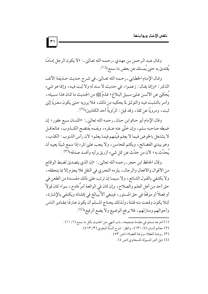وقال عبد الرحمن بن مهدي-رحمه الله تعالى ـ: «لا يكون الرجل إمامًا يُقتديٰ به حتىٰ يُمسك عن بعض ما سمع»(١) .

وقال الإمام الخطابي ـ رحمه الله تعـاليٰ ـ في شـرح حـديث حـذيفـة الآنف الذكر : «وإنما يقال : زعموا، في حديث لا سند له ولا ثبت فيه، وإنما هو شيء يُحكي عن الألسن عـليٰ سبـيل البـلاغ ؛ فـذمَّ ﷺ من الحـديث ما كـان هذا سـبـيله ، وأمر بالتثبت فيه والتوثق لما يحكيه من ذلك، فلا يرويه حتىٰ يكون معزيًا إلىٰ ثبت، ومرويًا عن ثقة، وقد قيل : الرَاويةُ أحد الكاذبين»<sup>(٢)</sup> .

وقال الإمام أبو حاتم ابن حبان ـ رحمه الله تعالى ـ: «اللسان سبع عقور ؛ إن ضبطه صاحبه سلم، وإن خلَّيْن عنه عــقره، وبفـمه يُفتضح الكــذوب، فـالعاقــل لا يشتغل بالخوض فيما لا يعلم فيَّتهم فيما يعلم؛ لأن رأس الذنوب: الكذب، وهو يبدي الفضائح، ويكتم المحاسن، ولا يجب عليٰ المرء إذا سمع شيئًا يعيبه أن م<br>يُحدِّث به ؛ لأن من حدَّث عن كل شيء أزريٰ برأيه وأفسد صدقه»(٣) .

وقال الحافظ ابن حجر ـ رحمه الله تعالى ـ : «إن الذي يتصدئ لضبط الوقائع من الأقوال والأفعال والرجال، يلزمه التحري في النقل فلا يجزم إلا بما يتحققه، ولا يكتفي بالقول الشائع، ولا سيما إن ترتب عليٰ ذلك مفسدة من الطعن في حق أحد من أهل العلم والصلاح، وإن كان في الواقعة أمرٌ فادح، سواء كان قولاً أو فعـلاً أو موقفًا في حق المستور ، فينبغي ألاَّ يُبالغ في إفشائه ويكتفي بالإشارة، لئلا يكون وقعت منه فلتة ، ولذلك يحتاج المسلم أن يكون عارفًا بمقادير الناس وأحوالهم ومنازلهم، فلا يرفع الوضيع ولا يضع الرفيع»(٤).

 $\vert \tau \rangle$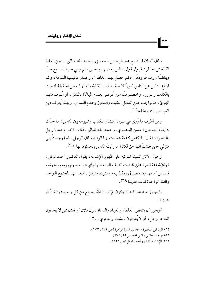وقال العلامة الشيخ عبد الرحمن السعدي-رحمه الله تعاليٰ.: «من الغلط الفاحش الخطر : قبول قول الناس بعضهم ببعض، ثم يبني عليه السامع حبًا وبغضًا، ومدحًا وذمًا، فكم حصل بهذا الغلط أمور صار عاقبتها الندامة، وكم أشاع الناس عن الناس أموراً لا حقائق لها بـالكلية ، أو لهـا بعض الحقيقة فنميت بالكذب والزور ، وخصـوصًا من عُرفـوا بعـدم المبالاة بالـنقل ، أو عُـرف منهم الهويٰ، فـالواجب عليٰ العاقل التثبت والتحرز وعـدم التسرع، وبهـذا يُعرف دين العبد و د ذانته و عقله»<sup>(۱)</sup> .

ومن أطرف ما رُوي في سرعة انتشار الكذب وشيوعه بين الناس : ما حدَّث به إمام التـابعين الحسن البـصري ـ رحمه اللـه تعـالين ـ قـال : «خـرج عندنا رجل بالبصرة، فقال: لأكذبن كذبة يتحدث بها الوليد، قال الرجل: فما رجعتُ إلىٰ منزلي حتىٰ ظننتُ أنها حق لكثرة ما رأيتُ الناس يتحدثون بها!»(٢).

وحول الآثار السيئة المترتبة علىٰ ظهور الإشاعة ، يقول الدكتور أحمد نوفل : «وللإشاعة قدرة على تفتيت الصف الواحد والرأى الواحد وتوزيعه وبعثرته، فالناس أمامها بين مصدق ومكذب، ومتردد متبلبل، فغدا بها المجتمع الـواحد و الفئة الو احدة فئات عديدة»<sup>(٣)</sup> .

أفيجوز بعد هذا كله أن يكون الإنسان أذنًا يسمع من كل واحد دون تأنٍّ أو تثبت ؟!

أفيجوز أن ينتقص العلماء والعباد والدعاة لقول فلان أو فلان ممن لا يخافون الله عز وجل، أو لا يُعرفون بالتثبت والتحري . . ؟!

- (١) الرياض الناضرة والحدائق النيرة الزاهرة (ص ٢٧٢ ـ ٢٧٣).
	- (٢) بهجة المجالس وأنس المجالس (٢/ ٥٧٩).

 $|\mathbf{r}|\rangle$ 

(٣) الإشاعة للدكتور أحمد نوفل (ص ١٢٨).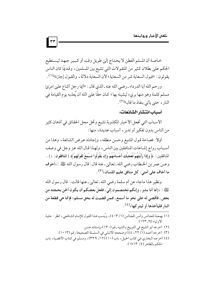خاصة أن المسلم الفطن لا يحتاج إلىي طويل وقت أو كبير جهد ليستطيع الحكم علىٰ بطلان كثير من المنقولات التي تشيع بين المسلمين، وقديمًا كان الناس يقولون: «قبول السعاية شر من السعاية ؛ لأن السعاية دلالة ، والقبول إجازة»(١) .

 $\mathbf{r}$ 

ورحم الله أبا الدرداء ـ رضي الله عنه ـ الذي قال : «أيما رجل أشاع عليٰ امرئ مسلم كلمة وهو منها بريء ليشينه بها ؛ كـان حقًّا عليٰ الله أن يُعذبه يوم القيامة في النار ، حتىٰ يأتى بنفاذ ما قال»<sup>(٢)</sup> .

#### أسباب انتشار الشائعات:

الأسباب التي تجعل الأخبار المكذوبة تشيع وتحل محل الحقائق في أذهان كثير من الناس بدون تفكير أو تدبر ، أسباب عديدة، منها :

أولاً : فصاحة قـول المشيع وحسن منطقه، وإجادته عـرض الشائعة، وهذا من أسباب رواج إشاعات المنافقين بين الناس، ولهذا قال الله عز وجل في وصف المنافقين : ﴿ وَإِذَا رَأَيْتَهُمْ تُعْجِبُكَ أَجْسَامُهُمْ وَإِن يَقُولُوا تَسْمَعْ لقَوْلُهِمْ ﴾ [المنافقون : ٤ ] . وعـن عمر بن الخـطاب رضي الله ـ تعاليٰ ـ عنه قال : قال رسول الله ﷺ : «أخوف ما أخاف على أمتى : كل منافق عليم اللسان»<sup>(٣)</sup> .

ونظير هذا ماجاء عن أم سلمة رضي الله ـ تعالىٰ ـ عنها قالت : قال رسول الله عَلِيَّةِ : «إنما أنا بشر ، وإنكم تختصمون إلىّ ، فلعلَّ بعضكم أن يكون ألحن بحجته من بعض، فأقضى له على نحو ما أسمع، فـمن قضيت له بحق مسلم؛ فإنما هي قطعة من النار فليأخذها أو ليتر كها»<sup>(٤)</sup>.

- (١) بهجة المجالس وأنس المجالس (١/ ٤٠٣)، ويُنسب هذا القول للإمام الشافعي، انظر : حلية الأولياء (٩/ ١٢٣).
	- (٢) أخرجه أبو الشيخ في التوبيخ والتنبيه رقم (١٣٠) وإسناده حسن .
	- (٣) أخرجه أحمد (١/ ٢٢، ٤٤) وصححه الألباني في السلسلة الصحيحة رقم (١٠١٣).
- (٤) أخرجه البخاري في كتاب الحيل، باب (١٠) (١٢/ ٣٣٩)، ومسلم في كتاب الأقضية، باب الحكم بالظاهر (٤/ ١٧١٣).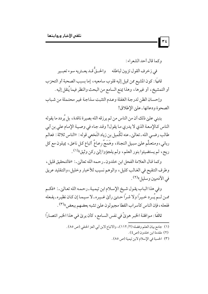وكما قال أحد الشعراء :

 $\mathbf{r}$ 

في زخرف القول تزيين لباطله موالحتيٌّ قـد يعــتريه سوء تعبــير

ثانيًا : كون المشيع ممن تميل إليه قلوب سامعيه ، إما بسبب الصحبة أو التحزب أو التمشيخ، أو غيرها، وهذا يمنع السامع من البحث والنظر فيما يُنقل إليه .

وإحسان الظن لدرجة الغفلة وعدم التثبت سذاجة غير محتملة من شباب الصحوة ودعاتها ـ علىٰ الإطلاق!

ينبني علىٰ ذلك أن من الناس من لم يرزقه الله بصيرة ناقدة، بل يُردد ما يقوله الناس كالإمعة الذي لا يدري ما يقول! وقد جاء في وصية الإمام على بن أبي طالب رضـي الله ـ تعالىي ـ عنه لكُميل بن زياد النَخعي قوله : «الناس ثلاثة : فعالم ربانيي، ومتعلِّم علىٰ سبيل النجاة، وهَمَجٌ رعـاعٌ أتباع كـل ناعق، يميلون مع كل ريح، لم يستضيئوا بنور العلم، ولم يلجؤوا إلى ركن وثيق»(١).

وكما قال العلامة الفحل ابن خلدون ـ رحمه الله تعاليٰ ـ: «فالتحقيق قليل، وطرف التنقيح في الغـالب كليل، والوهم نسيب للأخبار وخليل، والتـقليد عريق في الأدميين وسليل»<sup>(٢)</sup> .

وفي هذا الباب يقول شيخ الإسلام ابن تيمية ـ رحمه الله تعالىٰ ـ : «فكم ممـن لــم يُــرد خـيـرًا ولا شـرًا حـتـيٰ رأيٰ غــيـره ـ لا سـيـمـا إن كـان نظيـره ـ يفـعله ففعله، فإن الناس كأسراب القطا مجبولون على تشبه بعضهم ببعض" (٣).

ثالثًا : موافقة الخبر هويٌ في نفس السامع، كأن يري في هذا الخبر انتصاراً

- (١) جامع بيان العلم وفضله (٢/ ١١٢)، والاتباع لابن أبي العز الحنفي (ص ٨٥).
	- (٢) مقدمة ابن خلدون (ص٤).
	- (٣) الحسبة في الإسلام لابن تيمية (ص ٨٥).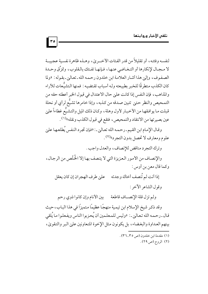لنفسه وفئته، أو تقليلاً من قدر الفئات الأخبر يٰ، وهـذه ظاهرة نفسية عجيبـة لا مجال لإنكارها أو التـغـاضي عنـهـا، فـإنهـا تفـتك بالـقلوب، وتمزِّق وحـدة الصفوف، وإلىٰ هذا أشار العلامة ابن خلدون رحمه الله ـ تعالىٰ ـ بقوله : «ولما كان الكذب متطرقًا للخبر بطبيعته ولـه أسباب تقتضيـه : فمنها التشيُّعات للآراء والمذاهب، فإن النفس إذا كانت على حال الاعتدال في قبول الخبر أعطته حقه من التمحيص والنظر حتى تتبين صدقه من كذبه، وإذا خامرها تشيُّع لرأى أو نحلة قبلت ما يوافقها من الأخبار لأول وهلة، وكان ذلك الميل والتشيُّع غطاءاً علىٰ عين بصيرتها من الانتقاد والتمحيص، فتقع في قبول الكذب ونقله»<sup>(١)</sup>.

وقال الإمام ابن القيم ـ رحمه الله تعالىٰ ـ : «فإن تجرد النفس يُطلعها علىٰ علوم ومعارف لا تحصل بدون التجرد»(٢) .

وترك التجرد مناقض للإنصاف، والعدل واجب .

والإنصاف من الأمور العزيزة التي لا يتصف بها إلا الخُلَّص من الرجال، وكما قال معن بن أوس :

إذا أنت لم تُنصف أخاك وجدته معلى طرف الهجران إن كان يعقل

وقول الشاعر الآخر :

ولم تزل قلة الإنصـاف قاطعة مسمين الأنام وإن كانوا ذوي رحم

وقد ذكر شيخ الإسلام ابن تيمية منهجًا عظيمًا متميزًا في هذا الباب، حيث قال ـ رحمه الله تعالىٰ ـ : «وليس للمعلمين أن يُحزبوا الناس ويفعلوا ما يُلقى بينهم العداوة والبغضاء، بل يكونون مثل الإخوة المتعاونين علىي البر والتقوىٰ،

- (١) مقدمة ابن خلدون (ص ٣٥-٣٦).
	- (۲) الروح (ص ۲۹).

 $|r \circ$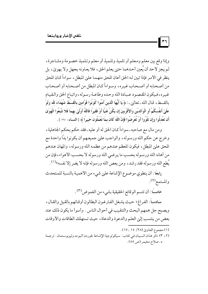وإذا وقع بين معلم ومعلم أو تلميذ وتلميذ أو معلم وتلميذ خصومة ومشاجرة، لم يجز لأحد أن يُعين أحدهما حتىٰ يعلم الحق، فلا يعـاونه بجهلٍ ولا بهويٰ، بل ينظر في الأمر فإذا تبين لـه الحق أعان المحق منهـمـا عليٰ المبطل ، سواءاً كـان المحق من أصحابه أو أصـحاب غيره، وسواءاً كـان المطل من أصـحابه أو أصحاب غيره، فيكون المقصود عبادة الله وحده وطاعـة رسوله، واتباع الحق والـقيام بِالقسطِ ، قـال الله ـ تعالىٰ ـ : ﴿ يَا أَيُّهَا الَّذينَ آمَنُوا كُونُوا قَوَّامِينَ بِالْقسْطِ شُهَدَاءَ للّه وَلَوْ عَلَىٰ أَنفُسكُمْ أَو الْوالدَيْنِ والأَقْرِبينَ إِن يَكُنْ غَنيًّا أَوْ فَقيراً فَاللَّهُ أَوْلَىٰ بهما فَلا تَتَّبعُوا الْهَوَىٰ أَن تَعْدلُوا وَإِن تَلْوُوا أَوْ تُعْرِضُوا فَإِنَّ اللَّهَ كَانَ بِمَا تَعْمَلُونَ خَبِيرًا ﴾ [النساء: ١٣٥ ] .

ومن مال مع صاحبه ـ سواءاً كـان الحق له أو عليه ـ فقد حكم بحكم الجاهلية ، وخرج عن حكم الله ورسوله، والواجب عليٰ جميعهم أن يكونوا يدًا واحدة مع المحق علىٰ المبطل، فيكون المعظم عندهم من عظمه الله ورسوله، والمهان عندهم من أهانه الله ورسوله بحسب ما يرضى الله ورسوله لا بحسب الأهواء، فإن من يُطع الله ورسوله فقد رشد، ومن يعص الله ورسوله فإنه لا يضر إلا نفسه»(١) .

رابعًا : أن ينطوي موضوع الإشاعة علىٰ شيء من الأهمية بالنسبة للمتحدث والمستمع(٢).

خامسًا : أن تتسم الوقائع الحقيقية بشيء من الغموض(٣) .

سادساً : الفراغ ؛ حيث يشغل الفارغون البطالون أوقاتهم بالقيل والقال ، ويصبح جل همهم البحث والتنقيب في أحوال الناس . وأسوأ ما يكون ذلك عند بعض من ينتسب إلىٰ العلم والدعوة والدعاة، حيث تستهلك الطاقات والأوقات

(١) مجموع الفتاوي (٢٨/ ١٥ ـ١٧).

 $\mathbf{r}$ 

(٢ ، ٣) ذكر هذان السببان في كتاب : سيكولوجية الإِشاعة لجوردن ألبوت وليوبوستمان . ترجمة د . صلاح مخيمر (ص ٥٥) .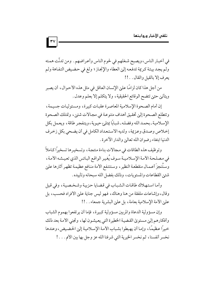في أخبار الناس، ويصبح شـغلهم في لحوم الناس وأعـراضهم . ومن تدنَّت همـته ولم يجد بيئة كريمة تدفعه إلىٰ العطاء والإنجاز ؛ ولغ في حضيض التفاهة ولم يعرف إلا بالقيل والقال . . !!

 $\mathbf{r}$ 

من أجل هذا كان لزامًا علىٰ الإنسان العاقل في مثل هذه الأحوال، أن يصبر ويتأني حتىٰ تتضح الوقائع الحقيقية، ولا يتكلم إلا بعلم وعدل .

إن أمام الصحوة الإسلامية المعاصرة عقبات كبيرة، ومسئوليات جسيمة، وتتطلع الصحوة إلى تحقيق أهداف متنوعة في مجالات شتيي، وتمتلك الصحوة الإسلامية ـ بحمد الله وفضله ـ شبابًا يمتلئ حيوية، ويتفجر طاقة، ويعمل بكل إخلاص وصدق وعزيمة، ولديه الاستعداد الكامل في أن يضحى بكل زخرف الدنيا ابتغاء رضوان الله تعالى والدار الآخرة .

وتوظيف هذه الطاقات في مجالات بناءة منتجة، وتسخيرها تسخيراً كـاملاً في مصلحة الأمة الإسلاميـة سـوف يُغيـر الواقـع البـائس الذي تعيـشـه الأمـة، وستَنجزَ أعـمـال منقطعـة النظير ، وسـتنتـفع الأمة منـافع عظيمـة تظهـر آثارها عليي شتني القطاعات والمستويات، وذلك بفضل الله سبحانه وتأييده .

وأما استهلاك طاقات الشباب في قضايا حزبية وشخصية، وفي قيل وقال، وإشاعات ملفقة من هنا وهناك، فهو ليس جناية علىٰ الأفراد فحسب، بل علىٰ الأمة الإسلامية بعامة، بل علىٰ البشرية جمعاء . . !!

وإن مسؤولية الدعاة والمربين مسؤولية كبيرة، فإما أن يرتفعوا بهموم الشباب وأفكارهم إلىي مستوى القضية الخطيرة التي يعيشون لها، وتجنى الأمة بعد ذلك خيرًا عظيمًا، وإما أن يهبطوا بشباب الأمة الإسلامية إلىٰ الحضيض، وعندها نخسر أنفسنا، ثم نخسر الخيرية التي شرفنا الله عز وجل بها بين الأمم. . . !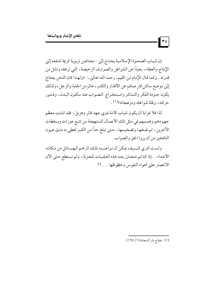إن شباب الصحوة الإسلامية يحتاج إلىي : محاضن تربوية كريمة تدفعه إلىي الإنتاج والعطاء، بعيدًا عن الشواغل والصوارف الرخيصة، التي ترهقه وتشل من قدرته . وكما قال الإمام ابن القيم ـ رحمه الله تعاليٰ ـ : «ولهـذا كان الذهن يحتاج إلىٰ موضع ساكن قارٍ صافٍ عن الأقذار والكدر ، خالٍ من الجلبة والزجل ، ولذلك يكون جـودة الفكر والتـذكر واسـتخراج الصواب عندسكون البدن، وفـتور حركته، وقلة شواغله ومزعجاته»<sup>(۱)</sup> .

لذا فلا غرابة أن يكون شباب الأمة ذوي جهد فاتر وهزيل، فقد تشتت معظم جهودهم وهممهم في مثل تلك الأعمال المستهجنة من تتبع عورات وسقطات الأخرين، ثم نفخها وتضخيمها، حتىٰ تبلغ حدًا من الكبر تغطي به مديٰ عيون النافخين من أن يروا الحق والصواب .

ولست أدري كسيف يمكن أن نواجسه ذلك الزخم الهسائل من مكائد الأعداء . . إذا كنا لم نتجاوز بعد هذه العقبات المحزنة ، ولم نستطع حتىٰ الآن الانتصار على أهواء النفوس وحظوظها . . . !!

 $\mathbf{r}$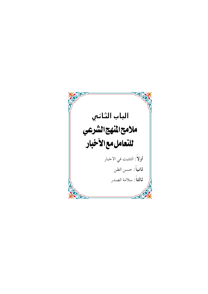الباب الثانبي ملامح المنهج الشرعي اللتعامل مع الأخبار أولاً : التثبت في الأخبار **ثانياً** : حسن الظن **ثالثاً**: سلامة الصدر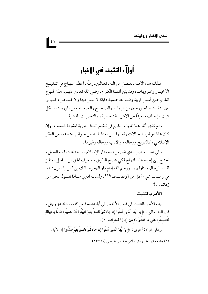# أولاً : التثبت في الأخبار

تمتلك هذه الأمـة ـ بفـضل من الله ـ تعـالـي ـ ومنَّه ـ أعظم منـهـاج في تنـقـيــح الأخبــار والمـرويـات، وقد بنيٰ أئمتنا الكـرام ـ رضي الله تعالىٰ عنهم ـ هذا المنهاج الكريم علىٰ أسس قويمة وضوابط علمية دقيقة لا لبس فيها ولا غموض، فميزوا بين الثقات والمجروحين من الرواة، والصحيح والضعيف من المرويات ، بكل تثبت وإنصاف، بعيدًا عن الأهواء الشخصية، والتعصيات المذهبية .

ولم تظهر أثار هذا المنهاج الكريم في تنقيح السنة النبوية المشرفة فحسب ـ وإن كان هذا هو أبرز المجالات وأجلها ـ بل تعداه ليشمل جوانب متعددة من الفكر الإسلامي، كالتاريخ ورجاله، والأدب ورجاله وغيرها .

وفي هذا العـصر الذي اندرس فيه منار الإسلام، واختلطت فيـه السبل، نحتاج إلى إحياء هذا المنهاج لكي يتضح الطريق، ونعرف الحق من الباطل، ونميز أقدار الرجال ومنازلهم، ورحم الله إمام دار الهجرة مالك بن أنس إذ يقول : «ما في زمــاننا شيء أقـل من الإنصــاف"<sup>(١)</sup> . ولست أدري مــاذا نقــول نحـن عن ذماننا . . ؟!

#### الأمر بالتثبت:

جاء الأمر بالتثبت في قبول الأخبار في آية عظيمة من كتاب الله عز وجل، قال الله تعالىٰ: ﴿ يَا أَيُّهَا الَّذينَ آمَنُوا إِن جَاءَكُمْ فَاسِقٌ بِنَبَأٍ فَتَبَيَّنُوا أَن تُصِيبُوا قَوْمًا بِجَهَالَةٍ فَتُصْبحُوا عَلَىٰ مَا فَعَلْتُمْ نَادمينَ ﴾ [الحجرات : ٦] .

وعلىٰ قراءة أخرىٰ : ﴿ يَا أَيُّهَا الَّذينَ آمَنُوا إِن جَاءَكُمْ فَاسقٌ بنَبَأ فَتَثَبَّتوا ﴾ الآية .

<sup>(</sup>١) جامع بيان العلم و فضله لابن عبد البر القرطبي (١/ ١٣٢).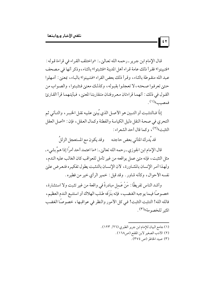قال الإمام ابن جرير -رحمه الله تعالىٰ. : «واختلف القراء في قراءة قوله : «فتبينوا» فقرأ ذلك عامة قراء أهل المدينة «فتثبتوا» بالثاء، وذكر أنها في مصحف عبد الله منقـوطة بالثـاء، وقـرأ ذلك بعض القراء «فـتبينوا» بالبـاء، بمعنىٰ: أمـهلوا حتهن تعرفوا صحته، لا تعجلوا بقيوله، وكذلك معنىٰ فتثبتوا، والصواب من القول في ذلك : أنهما قراءتان معروفتان متقاربتا المعنىٰ، فيأيتهما قرأ القارئ فمصيب»<sup>(۱)</sup>.

إذًا فـالتثـبت أو التـبين هو الأصـل الذي يُبنىٰ عليه نقـل الخبـر ، والتـأني ثم التحري في صحة النقل دليل الكياسة والفطنة وكمال العقل، فإن : «أصل العقل التثبت»<sup>(٢)</sup>، وكما قال أحد الشعراء :

قد يُدرك المتأني بعض حاجته مصوقد يكون مع المستعجل الزللُ

قال الإمام ابن الجوزي ـ رحمه الله تعالىٰ ـ : «ما اعتمد أحد أمرًا إذا همَّ بشيء ـ مثل التثبت، فإنه متىٰ عمل بواقعه من غير تأمل للعواقب كان الغالب عليه الندم، ولهذا أمر الإنسان بالمشاورة، لأن الإنسان بالتثبت يطول تفكيره فتعرض علىٰ نفسه الأحوال، وكأنه شاور . وقد قيل : خمير الرأى خير من فطيره .

وأشد الناس تفريطًا : مَنْ عَـمل مبادرةً في واقعة من غير تثبت ولا استشارة، خصوصًا فيما يوجبه الغضب، فإنه بنَزَقه طلب الهلاك أو استتبع الندم العظيم، فالله الله! التثبت التثبت! في كل الأمور والنظر في عواقبها، خصوصًا الغضب المثير للخصومة»(٣).

- (١) جامع البيان للإمام ابن جرير الطبري (٢٦/ ١٢٣) .
	- (٢) الأدب الصغير لابن المقفع (ص١٦٨).
		- (٣) صيد الخاطر (ص ٣٧٤).

 $\mathbf{r}$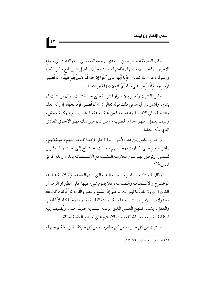وقال العلامة عبد الرحمن السعدي-رحمه الله تعالى .: «والتثبت في سماع الأخبار، وتمحيصها ونقلها وإذاعتها، والبناء عليها، أصل كبير نافع، أمر الله به ورسوله، قال الله تعالىٰ: ﴿ يَا أَيُّهَا الَّذِينَ آمَنُوا إِن جَاءَكُمْ فَاسقٌ بنبَأ فَتَبَيَّنُوا أَن تُصيبُوا قَوْمًا بِجَهَالَة فَتُصْبِحُوا عَلَىٰ مَا فَعَلْتُمْ نَادمينَ ﴾ [الحجرات : ٦] .

 $\mathbf{r}$ 

فأمر بالتثبت وأخبر بالأضرار المترتبة علىٰ عدم التثبت، وأن من تثبت لم يندم، وأشارإلين الميزان في ذلك قوله تعالين : ﴿ أَن تُصِيبُوا قَوْمًا بِجَهَالَةٍ ﴾ وأنه العلم والتحـقق في الإصـابة وعـدمـه، فـمن تحقق وعلم كـيف يسـمع، وكـيف ينقل، وكيف يعمل، فهو الحازم المصيب، ومن كان غير ذلك فهو الأحمق الطائش الذي مآله الندامة .

وأحوج الناس إلىي هذا الأمر : الولاة علىي اختـلاف مراتبهم وطبـقـاتهم، وأهل العلم عليي تفـاوت درجــاتهم، وذلك يحـتـاج إلـي اجـتــهـاد وتمرين للنفس، وتوطين لها عليٰ ملازمة التثبت مع الاستعانة بالله، والله الموفق المعين»<sup>(١)</sup>.

وقال الأستاذ سيد قطب ـ رحمه الله تعالى ـ: «والعقيدة الإسلامية عـقيدة الوضـوح والاستقـامة والنصـاعـة، فلا يقـوم شيء فيـها عـلي الظن أو الوهم أو الشبهـة ﴿ وَلا تَقْفُ مَا لَيْسَ لَكَ به علْمٌ إِنَّ السَّمْعَ وَالْبَصَرَ وَالْفُؤَادَ كُلُّ أُولَئكَ كَانَ عَنْهُ مَسْئُولاً ﴾ [الإِسراء: ٣٠]، وهذه الكلمات القليلة تقيم منهجًا كاملاً للقلب والعقل، يشمل المنهج العلمي الذي عرفته البشرية حديثًا جدًا، ويُضيف إليه استقامة القلب، ومراقبة الله، ميزة الإسلام علىٰ المناهج العقلية الجافة .

والتثبت من كل خبر ، ومن كل ظاهرة، ومن كل حركة، قبل الحكم عليها،

<sup>(</sup>١) الفتاوي السعدية (ص ٦٦ ـ ٦٧).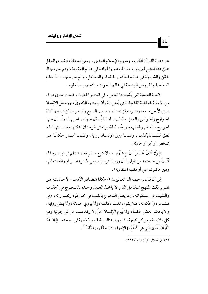هو دعوة القرآن الكريم، ومنهج الإسلام الدقيق، ومتىٰ استقام القلب والعقل علىٰ هذا المنهج لم يبق مجال للوهم والخرافة في عالم العقيدة، ولم يبق مجال للظن والشـبـهـة في عـالـم الحكم والقـضـاء والتـعـامل، ولم يبق مـجـال للأحكام السطحية والفروض الوهمية في عالم البحوث والتجارب والعلوم.

الأمانة العلمية التي يُشيد بها الناس، في العصر الحديث، ليست سويٰ طرف من الأمانة العقلية القلبية التي يُعلن القرآن تبعتها الكبريٰ، ويجعل الإنسان مسؤولأ عن سمعه وبصره وفؤاده، أمام واهب السمع والبصر والفؤاد، إنها أمانة الجوارح والحواس والعقل والقلب، أمانة يُسأل عنها صاحبها، وتُسأل عنها الجوارح والعقل والقلب جميعًا، أمانة يرتعش الوجدان لدقتها وجسامتها كلما نطق اللسـان بكلمـة، وكلمـا روىٰ الإنسـان رواية، وكـلمـا أصـدر حكمًـا علىٰ شخص أو أمر أو حادثة .

﴿ وَلَا تَقْفُ مَا لَيْسَ لَكَ بِهِ عِلْمٌ﴾ ، ولا تتبع ما لم تعلمه علم اليقين، وما لم تَثَّبَتْ من صحته؛ من قول يقـال ورواية تروىٰ، ومن ظاهرة تفسر أو واقعة تعلل، ومن حكم شرعي أو قضية اعتقادية» .

إلين أن قال ـ رحمه الله تعاليٰ ـ: «وهكذا تتضافر الآيات والأحاديث عليٰ تقـرير ذلك المنهج المتكامـل الذي لا يأخـذ العـقل وحـده بالتـحـرج في أحكامـه والتثبت في استقرائه، إنما يصل التحرج بالقلب في خواطره وتصوراته، وفي مشاعره وأحكامه، فلا يقول اللسان كلمة، ولا يروي حادثة، ولا ينقل رواية، ولا يحكم العقل حكمًا، ولا يُبرم الإنسان أمرًا إلا وقد تثبت من كل جزئية ومن كل ملابسـة ومن كل نتيجة، فلم يبق هنالك شـك ولا شبهة في صـحته : ﴿إِنَّ هَٰذَا الْقُرَّآنَ يَهْدي للَّتي هيَ أَقْوَمُ ﴾ [الإسراء : ٩] حقًّا وصدقًا»<sup>(١)</sup> .

(١) في ظلال القرآن (٤/ ٢٢٢٧).

 $|\mathfrak{t}\mathfrak{t}|$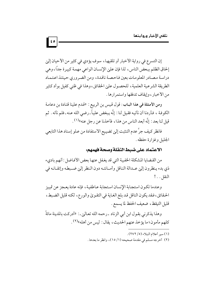إن التسرع في رواية الأخبار أو تلقيها ، سوف يؤدي في كثير من الأحيان إلي إلحاق الظلم ببعض الناس، لذا فإن عليٰ الإنسان الواعي مهمة كبيرة جدًّا، وهي دراسة مصادر المعلومات بعين فاحصة ناقدة، ومن الضروري حينئذ اعتماد الطريقة الشرعية العلمية ، للحصول علىٰ الحقائق ، وهذا في ظني كفيل بوأد كثير من الأخبار ، وإيقاف تدفقها واستمرارها .

 $|\mathfrak{so}|$ 

ومن الأمثلة في هذا الباب: قول قيس بن الربيع : «قدم علينا قتادة بن دعامة الكوفة ، فأردنا أن نأتيه فقيل لنا : إنَّه يبغض علياً ـ رضي الله عنه ـ فلم نأته . ثم قيل لنا بعد : إنَّه أبعد الناس من هذا ، فأخذنا عن رجل عنه»(١) .

فانظر كيف جرَّ عدم التثبت إلىٰ تضييع الاستفادة من عـلو إسناد هذا التابعي الجليل وغزارة حفظه .

## الاعتماد على ضبط النقلة وصحة فهمهم:

من القضايا المشكلة الخفية التي قد يغفل عنها بعض الأفاضل : أنهم باديء ذي بدء ينظرون إلىٰ عـدالة الناقل وأمـانتـه دون النظر إلىٰ ضـبطه وإتقـانـه في النقل. . . !

وعندما تكون استجابة الإنسان استجابة عـاطفية، فإنه عادة يعـجز عن تمييز الحقائق، فقد يكون الناقل قد بلغ الغاية في التقويٰ والورع، لكنه قليل الضبط، قليل التيقظ، ضعيف الحفظ لما يسمع .

وهذا يذكرني بقـول ابن أبي الزناد ـرحمه الله تعـالي ـ : «أدركت بالمدينة مائةً كلهم مأمون؛ ما يؤخذ عنهم الحديث، يقال: ليس من أهله»(٢).

- (١) سير أعلام النبلاء (٥/ ٢٧٢).
- (٢) أخرجه مسلم في مقدمة صحيحه (١/ ١٥)، وانظر ما بعدها .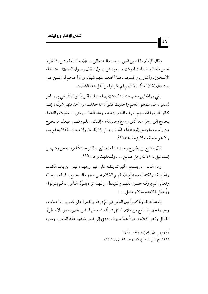وقال الإمام مالك بن أنس - رحمه الله تعالى ـ: «إن هذا العلم دين ، فانظروا عـمن تأخـذونـه، لقـد أدركت سبعين ممن يقـول: قـال رسـول الله عَلِيَّة . عند هذه الأساطين ـ وأشار إلىٰ المسجد ـ فما أخذت عنهم شيئًا ، وإن أحدهم لو ائتمن علىٰ بيت مال لكان أمينًا ، إلا أنهم لم يكونوا من أهل هذا الشأن» .

وفي رواية ابن وهب عنه : «أدركت بهـذه البلدة أقـوامًا لو استُسـقى بهم المطر لسقوا، قد سمعوا العلم والحديث كثيرًا، ما حدثت عن أحد منهم شيئًا، إنهم كانوا ألزموا أنفسهم خوف الله والزهد، وهذا الشأن ـ يعني : الحديث والفتيا ـ يحتاج إلىي رجل معه تُقيي وورع وصيانة ، وإتقان وعلم وفهم ، فيعلم ما يخرج من رأسه وما يصل إليه غداً، فأمــا رجــل بلا إتقــان ولا مـعرفـــة فلا ينتفع به، ولا هـو حجة، ولا يؤخذ عنه»(١).

قال وكـيع بن الجراح رحـمه الله تعاليٰ ـ وذكر حـديثًا يرويـه عن وهب بن إسماعيل ـ: «ذاك رجل صالح . . . وللحديث رجال»(٢) .

ومن الناس من يسـمع الخبـر ثم ينقله عليٰ غيـر وجهـه ، ليس من باب الكذب والخيانة، ولكنه لم يستطع أن يفهم الكلام علىٰ وجهه الصحيح، فالله سبحانه وتعالىٰ لم يرزقه حسن الفهم والتيقظ، ولهذا تراه يُقوّل الناس ما لم يقولوا، ويُحمَّل كلامهم ما لا يحتمل . . !

إن هناك تفاوتًا كبيرًا بين الناس في الإدراك والقدرة على تفسير الأحداث، وحينما يفهم السامع من كلام القائل شيئًا، ثم ينقل للناس مفهومه هو ـ لا منطوق القائل ونص كلامه ـ فإنَّ هذا سـوف يؤدي إلىٰ لبس شـديد عند الناس . وسـوء

(١) ترتيب المدارك (١/ ١٣٨\_١٣٩).

 $|\varepsilon\tau|$ 

(٢) شرح علل الترمذي لابن رجب الحنبلي (١/ ٩٤).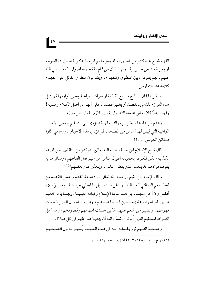الفهم شائع عند كثير من الخلق، وقد يسوء فهم المرء لما يذكر بقصد إرادة السوء، أو بغير قصد عن حسن نية ، ولهذا كان من تمام دقة علماء أصول الفقه ـ رضي الله عنهم ـ أنهم يفرقون بين المنطوق والمفهوم، ويُقدمون منطوق القائل علىي مفهوم كلامه عند التعارض.

ونظير هذا أن السامع يسمع الكلمة أو يقرأها، فيأخذ بعض لوازمها ثم ينقل هذه اللوازم للناس ـ بقصد أو بغير قصد ـ عليي أنها من أصل الكلام وصلبه! ولهذا أيضًا كان بعض علماء الأصول يقول : لازم القول ليس بلازم .

وعدم مراعاة هذه الجوانب والتنبه لها قد يؤدي إلىي التسليم ببعض الأخبار الواهية التي ليس لها أساس من الصحة، ثم تؤدي هذه الأخبار دورها في إثارة ضغائن النفوس . . . . !!

قال شيخ الإسلام ابن تيمية رحمـه الله تعالىٰ: «وكثير من الناقلين ليس قصده الكذب، لكن المعرفة بحقيقة أقوال الناس من غير نقل ألفاظهم، وسائر ما به يَعرف مرادهم قد يتعسر عليي بعض الناس، ويتعذر عليي بعضهم»(١) .

وقال الإمام ابن القيم ـ رحمه الله تعالىٰ ـ: «صحة الفهم وحسن القصد من أعظم نعم الله التي أنعم الله بها عليٰ عبده، بل ما أعطى عبد عطاء بعد الإسلام أفضل ولا أجل منهما، بل هما ساقا الإسلام وقيامه عليهما، وبهما يأمن العبد طريق المغضوب عليهم الذين فسد قصدهم، وطريق الضالين الذين فسدت فهومهم، ويصير من المنعم عليهم الذين حسنت أفهامهم وقصودهم، وهم أهل الصراط المستقيم الذين أُمرنا أن نسأل الله أن يهدينا صراطهم في كل صلاة .

وصححة الفـهم نور يقذفـه الـله في قلب الـعبـد، يُـميـز بـه بين الصـحـيح

 $\mathbf{v}$ 

<sup>(</sup>١) منهاج السنة النبوية (٦/ ٣٠٣) تحقيق د . محمد رشاد سالم .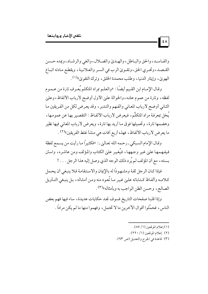والفياسيد، والحق والبياطل، والهيديٰ والضيلال، والغي والرشياد، ويمده حسين القـصـد، وتحـري الحق، وتقـويٰ الرب في السـر والعـلانيـة، ويقطـع مـادته اتبـاع الهويٰ، وإيثار الدنيا، وطلب محمدة الخلق، وترك التقويٰ» (١).

وقـال الإمـام ابن القـيم أيضًا : «والعلـم بمراد المتكلم يُعـرف تارة من عـمـوم لفظه، وتارة من عموم علته، والحوالة علىٰ الأول أوضح لأرباب الألفاظ، وعلىٰ الثاني أوضح لأرباب المعاني والفهم والتدبر ، وقد يعرض لكل من الفريقين ما يُخل بمعرفة مراد المتكلِّم، فيعرض لأرباب الألفاظ: التقصير بها عن عمومها، وهضمها تارة، وتحميلها فوق ما أريد بها تارة، ويعرض لأرباب المعاني فيها نظير ما يعرض لأرباب الألفاظ، فهذه أربع أفات هي منشأ غلط الفريقين»(٢).

وقـال الإمام السبكي ـ رحمه الله تعـاليٰ ـ : «فكثيراً مـا رأيت من يسـمع لفظة فيفهمها علىٰ غير وجهها، فيُغير علىٰ الكتاب والمؤلف ومن عاشره، واستن بسنته ، مع أن المؤلف لم يُرد ذلك الوجه الذي وصل إليه هذا الرجل . . . !

فإذا كان الرجل ثقة ومشهودًا له بالإيمان والاستقامة فلا ينبغي أن يحمل كلامـه وألفـاظ كـتـاباته علـيٰ غـيـر مـا تُعـود منه ومـن أمـثـاله، بـل ينبـغي التـأويل الصالح، وحسن الظن الواجب به وبأمثاله»(٣).

وإذا قلبنا صفحات التاريخ فسوف نجد حكايات عديدة ، ساء فيها فهم بعض الناس، فحمَّلوا أقوال الآخرين ما لا تحتمل، وفهموا منها ما لم يكن مرادًا .

(١) إعلام الموقعين (١/ ٨٧).

 $|\mathbf{t} \wedge$ 

- (٢) إعلام الموقعين (١/ ٢٢٠).
- (٣) قاعدة في الجرح والتعديل (ص ٩٣).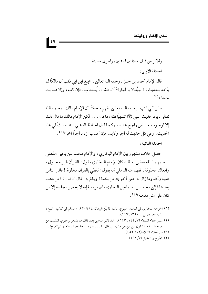قال الإِمام أحمد بن حنبل ـ رحمه الله تعالىٰ ـ : «بلغ ابن أبي ذئب أن مالكًا لم يأخذ بحديث : «البيِّعان بالخيار»(١)، فقال : يُستتاب، فإن تاب، وإلا ضربت عنقه!»(۲)

فابن أبي ذئب ـ رحمه اللـه تعالىٰ ـ فـهم مـخطئًا أن الإمـام مالك ـ رحـمـه الله تعالىٰ ـ يرد حديث النبي ﷺ تشهيًّا فقال ما قال . . . لكن الإمام مالك ما قال ذلك إلا لوجود معارض راجح عنده، وكما قال الحافظ الذهبي : «فـمالكٌ في هذا الحديث، وفي كل حديث له أجر ولابد، فإن أصاب ازداد أجراً آخر »(٣) .

الحادثة الثانية :

حصل خلاف مشهور بين الإمام البخاري، والإمام محمد بـن يحيي الذهلي ـ رحمهما الله تعالىٰ ـ، فقد كان الإمام البخاري يقول : القرآن غير مخلوق، وأفعالنا مخلوقة . ففهم منه الذهلي أنه يقول : لفظي بالقرآن مخلوق! فأثار الناس عليه وآذاه وما زال به حتيٰ أخرجه من بلده!! وبلغ به الحال أن قال : «من ذهب بعد هذا إلىٰ محمد بن إسـماعيل البخاري فاتهموه، فإنه لا يحضر مجلسه إلا من کان *ع*ليٰ مثل مذهبه»<sup>(٤)</sup>.

- (١) أخرجه البخاري في كتاب : البيوع، باب إذا بيَّن البيعان (٢٠٩/٤)، ومسلم في كتاب : البيع، باب الصدق في البيع (٣/ ١١٦٤).
- (٢) سير أعلام النبلاء (٧/ ١٤٢ ـ ١٤٣)، وقد ذكر الذهبي بعد ذلك ما يشعر بوجوب التثبت من صحة نسبة هذا القول إلي ابن أبي ذئب، إذ قال: « . . . ولم يسندها أحمد، فلعلها لم تصح» . (٣) سير أعلام النبلاء (١٢/ ٤٥٦).
	- (٤) الجرح والتعديل (٧/ ١٩١).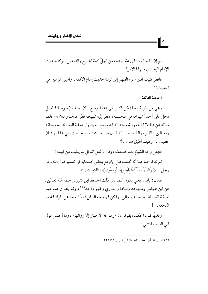ثم إن أبا حاتم وأبا زرعة ـ وهمـا من أجلّ أئمة الجرح والتعـديل ـ تركا حـديث الإمام البخاري، لهذا الأمر!

فانظر كيف أديٰ سوء الفهم إلىٰ ترك حديث إمام الأئمة ، وأمير المؤمنين في الحديث!!

الحادثة الثالثة :

 $\vert \cdot \rangle$ 

وهي من طريف ما يمكن ذكره في هذا الموضع : أن أحـد الإخـوة الأفـاضل دخل علىٰ أحد أشياخه في مجلسه، فنظر إليه شيخه نظر عتاب وملامة، فلما سأله عن ذلك؟! أخبره شيخه أنه قد سمع أنه يتأول صفة اليد لله ـ سبحانه وتعـاليي-بالقـوة والـقـدرة . . ! فـقـال صـاحـبنا : سـبـحـانك ربى هذا بـهـتـان عظيم . . . وكيف أطيق هذا . . ؟!

فتهلل وجه الشيخ بعد اطمئنانه ، وقال : لعل الناقل لم يتثبت من فهمه!

ثم تذكر صاحبنا أنه تحدث قبل أيام مع بعض أصحابه في تفسير قول الله ـ عز وجل ـ : ﴿ وَالسَّمَاءَ بَنَيْنَاهَا بِأَيْدِ وَإِنَّا لُموسعُونَ﴾ [الذاريات : ٤٧ ] .

فقال : بأيد، يعني بقوة، كما نقل ذلك الحافظ ابن كثير ـ رحمه الله تعاليٰ ـ عن ابن عباس ومجاهد وقتادة والثوري وغير واحد<sup>(١)</sup>، ولم يتطرق صاحبنا لصفة اليد لله ـ سبحانه وتعالىٰ ـ ولكن فـهم منه الناقل فهمًا بعيدًا عن المراد فـأبعد النحعة . . !

وقديمًا كـان الحكماء يقولون : «ومـا أفة الأخبـار إلا رواتها» ، وما أجـمل قول أبي الطيب المتنبي :

<sup>(</sup>١) تفسير القرآن العظيم للحافظ ابن كثير (٤/ ٢٣٧).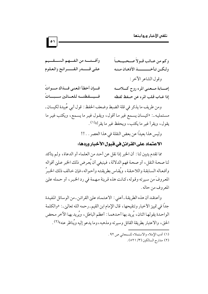وكم من عبائب قبولاً صبحيحياً وآفتــه من الفــهم الســقــيم على قــــدر القــــرائح والعلوم ولكين تبأخيسسية الأذهبان مبنيه وقول الشاعر الآخر: فسإن أخطأ المعنى فسذاك مسواتُ إصبابة مسعني المرء روح كسلامسه فسيسقظتيه للعبالمين سسبساتُ إذا غـاب قلب المرء عن حـفظ لفظه ومن طريف ما يذكر في قلة الضبط وضعف الحفظ : قول أبي عُبيدة لكيسان ـ مستمليه ـ: «كيسان يسمع غير ما أقول، ويقول غير ما يسمع، ويكتب غير ما

> يقول، ويقرأ غير ما يكتب، ويحفظ غير ما يقرأ»<sup>(١)</sup>. وليس هذا بعيدًا عن بعض النقلة في هذا العصر . . !!

الاعتماد على القرائن في قبول الأخبار وردها:

مما تقدم يتبين لنا : أن الخبر إذا نقل عن أحد من العلماء أو الدعاة، ولم يتأكد لنا صحة النقل، أو صحة فهم الدلالة، فينبغي أن يُعرض ذلك الخبر عليٰ أقواله وأفعاله السابقة واللاحقة، ويُقاس بطريقته وأحواله، فإن خالف ذلك الخبرُ المعروفَ من سيرته وقوله، كانت هذه قرينة مهمة في رد الخبر ، أو حمله عليٰ المعروف من حاله .

وأعتقد أن هذه الطريقة ـ أعنى : الاعتماد علىٰ القرائن ـ من الوسائل المفيدة جدًّا في تمييز الأخبار وتنقيحها ، قال الإمام ابن القيم ـ رحمه الله تعاليٰ ـ : «والكلمة الواحدة يقولها اثنان، يُريد بها أحدهما : أعظم الباطل، ويُريد بها الآخر محض الحق، والاعتبار بطريقة القائل وسيرته ومذهبه، وما يدعو إليه ويُناظر عنه»(٢).

- (١) أدب الإملاء والاستملاء للسمعاني ص ٩٢ .
	- (٢) مدارج السالكين (٣/ ٥٢١).

 $| \circ \setminus |$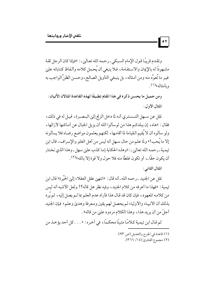وتقدم قريبًا قول الإمام السبكي-رحمه الله تعاليٰي: «فإذا كان الرجل ثقة مشهودًا له بالإيمان والاستقامة، فلا ينبغي أن يُحمل كلامه وألفاظ كتاباته عليٰ غير ما تُعوِّد منه ومن أمثاله ، بل ينبغي التأويل الصالح ، وحسن الظنِّ الواجب به ويأمثاله»<sup>(۱)</sup>.

ومن جميل ما يحسن ذكر ه في هذا المقام تطبيقًا لهذه القاعدة المثالان الآتيان : المثال الأول:

نقل عن سهل التـسـتري أنـه لما دخل الزنج إليٰ البـصـرة، قيـل له في ذلك، فقال: «هاه، إن ببلدكم هذا من لوسألوا الله أن يزيل الجبال عن أماكنها لأزالها، ولو سألوه أن لا يُقيم الـقيامة لما أقامـها، لكنهم يعلمون مواضع رضـاه فلا يسألونه إلا ما يُحب!» ولما علم من حال سـهل أنه ليس من أهل الغلو والإسراف، قال ابن تيمية ـ رحمه الله تعالىٰ ـ : «وهذه الحكاية إما كذب علىٰ سهل ـ وهذا الذي نختار أن يكون حقًّا ـ، أو تكون غلطًا منه فلا حول ولا قوة إلا بالله»(٢).

المثال الثاني :

 $\mathbin{\mid} \circ \mathbf{v}$ 

نقل عن الجنيد ـ رحمه الله ـ أنه قال : «انتهىٰ عقل العقلاء إلىٰ الخَيْرة» قال ابن تيمية : «فهذا ما أعرفه من كلام الجنيد، وفيه نظر هل قاله؟! ولعل الأشبه أنه ليس من كلامه المعهود، فإن كان قد قال هذا فأراد عدم العلم بما لـم يصل إليه، لم يُرد بذلك أن الأنبياء والأولياء لم يحصل لهم يقين ومعرفة وهدي وعلم؛ فإن الجنيد أجلِّ من أن يريد هذا، وهذا الكلام مردود علىٰ من قاله» .

ثم قال ابن تيمية كلامًا متينًا محكمًا، في أخره: « . . . كل أحد يؤخذ من

- (١) قاعدة في الجرح والتعديل (ص ٩٣).
	- (٢) مجموع الفتاوي (١٤/ ٣٦٦).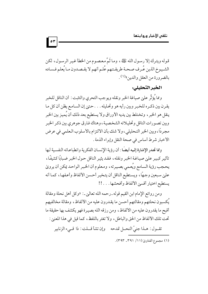قوله ويترك إلا رسول الله ﷺ ، وما ثَمَّ معصوم من الخطأ غير الرسول، لكن الشـيـوخ الذين عُـرف صـحـة طريقـتـهم عُلـم أنهم لا يقـصـدون مـا يُعلم فـسـاده بالضرورة من العقل والدين»<sup>(١)</sup> .

الخبر التحليلي:

ومما يُؤثِّر علىٰ صياغة الخبر ونقله ويوجب التحري والتثبت : أن الناقل للخبر يقرن بين ذكره للخبر وبين رأيه هو وتحليله . . . حتىٰ إن السامع يظن أن كل ما ينقل هو الخبر ، وتختلط بين يديه الأوراق ولا يستطيع بعد ذلك أن يُميز بين الخبر وبين تصورات الناقل وتحليلاته الشخصية، وهناك فارق جوهري بين ذكر الخبر مجردًا، وبين الخبر التحليلي، ولا شك بأن الالتزام بالأسلوب العلمي في عرض الأخبار شرط أساس في صحة النقل وإبراء الذمة .

ومما تجدر الإشارة إليه أيضًا : أن رؤية الإنسـان الفكرية وانطباعـاته النفسـية لـها تأثير كبير علىٰ صياغة الخبر ونقله، فقد يثير الناقل حول الخبر ضبابًا كثيفًا، يحجب رؤية السامع ويُعمى بصيرته، ومعلوم أن الخبر الواحد يمكن أن يرويٰ علىٰ سبعين وجهًا، ويستطيع الناقل أن يتخير أحسن الألفاظ وأعفها، كما أنه يستطيع اختيار أقسى الألفاظ وأفحشها . . . !!

ومن روائع الإمام ابن القيم قوله ـ رحمه الله تعالىٰ ـ: «وكل أهل نحلة ومقالة يُكسبون نحلتهم ومقالتهم أحسن ما يقدرون عليه من الألفاظ، ومقالة مخالفيهم أقبح ما يقدرون عليه من الألفاظ، ومن رزقه الله بصيرة فهو يكشف بها حقيقة ما تحت تلك الألفاظ من الحق والباطل، ولا تغتر باللفظ، كما قيل في هذا المعنى:

تقـول : هـذا جنيّ النحـل تمدحه \_ وإن تشأ قــلت : ذا قــىء الزنابير

(١) مجموع الفتاويٰ (١١/ ٣٩١. ٣٩٣).

 $\bullet$ r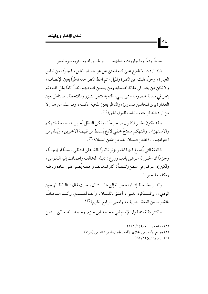مدحًا وذمًا وما جاوزت وصفهما والحــق قد يعـــتريه سوء تعبير

فإذا أردت الاطلاع علىٰ كنه المعنىٰ هل هو حق أو باطل، فجرَّده من لباس العبارة، وجرِّد قلبك عن النفرة والميل، ثم أعط النظر حقه ناظرًا بعين الإنصاف، ولا تكن ممن ينظر في مقالة أصحابه ومن يحسن ظنه فيهم ـ نظرًا تامًا بكل قلبه ، ثم ينظر في مقالة خصومه وممن يسيء ظنه به كنظر الشزر والملاحظة، فالناظر بعين العداوة يري المحاسن مساوئ، والناظر بعين المحبة عكسه، وما سلم من هذا إلا من أراد الله كرامته وإرتضاه لقبول الحق»<sup>(۱)</sup> .

وقد يكون الخبر المنقول صحيحًا، ولكن الناقل يُخبر به بصيغة التهكم والاستهزاء، والتهكم سلاحٌ خفى لاذع يُسقط من قيمة الآخرين، ويُقلل من احترامهم . . «فطعن اللسان أنفذ من طعن السنان»(٢) .

فاللغة التي يُصاغ فيها الخبر تؤثر تأثيرًا بالغًا علىٰ المتلقى، سلبًا أو إيجابًا، وجزمًا أن الخبر إذا عرض بأدب وورع : تقبله المخالف واطمأنت إليه النفوس، ولكن إذا عرض في سفهِ وتشفٍّ : أثار المخالف وجعله يُصر عليٰ عناده وباطله وتكذيبه للخبر !!

وأشار الجاحظ إشارة عجيبة إلىٰ هذا الشأن، حيث قال: «اللفظ الهجين الرديء، والمستكره الغبيي، أعلق باللسـان، وألف لـلسـمع،وأشـد التـحـامًـا بالقلب، من اللفظ الشريف، والمعنىٰ الرفيع الكريم»(٣).

وأكثر دقة منه قول الإمام أبي محمد ابن حزم ـ رحمه الله تعاليٰ ـ: «من

- (٢) جوامع الآداب في أخلاق الأنجاب لجمال الدين القاسمي (ص٧) .
	- (٣) السان و التسين (١/ ٤٨).

 $\mathbf{e}$ 

<sup>(</sup>١) مفتاح دار السعادة (١/ ١٤١).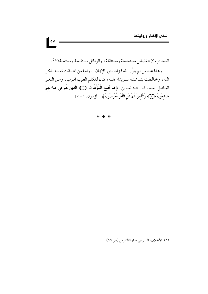العجائب أن الفضائل مستحسنة ومستثقلة ، والرذائل مستقبحة ومستحبة»(١) .

وهذا عند من لم ينوِّر الله فؤاده بنور الإِيمان . . وأما من اطمأنت نفسه بذكر الله، وخالطت بشاشته سـويداء قلبه، كـان لـلكلم الطيب أقرب، وعـن اللغو البـاطل أبعـد، قـال الله تعـالـين: ﴿ قَدْ أَفْلَحَ الْمُؤْمِنُونَ ﴿ إِنَّيْ الَّذِينَ هُمْ فِي صَلاتِهِمْ خَاشعُونَ ﴿ لَكَ وَالَّذِينَ هُمْ عَنِ اللَّغْوِ مُعْرِضُونَ ﴾ [المؤمنون : ١ – ٢ ] .

\* \* \*

<sup>(</sup>١) الأخلاق والسير في مداواة النفوس (ص ٢٦).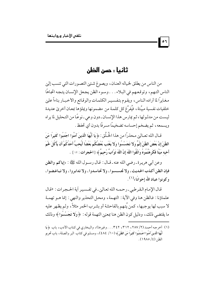# ثانيا : حسن الظن

 $\overline{\phantom{a}}$  or

من الناس من يطلق لخياله العنان، ويصوغ شتيي التصورات التي تنسب إليي الناس التهم، وتوقعهم في البلاء. . . وسوء الظن يجعل الإنسان يتجه اتجاهًا مغايرًا لما أراده الناس، ويقوم بتفسيـر الكلمات والوقائع والأخبـار بناءاً عليٰ خلفيات نفسية مبيَّتة ، فيُفرِّغ كل كلمـة من مضمو نها ويملؤها بمعـان أخرىٰ عديدة ليست من مدلولها، ثم يمارس هذا الإنسان ـ دون وعي ـ نوعًا من التحليل لما يراه ويسمعه، ثم يضخم إحساسه تضخيمًا مسرفًا بدون أي تحفظ .

قـال الله تعـالين مـحذراً من هذا الخُـلُق : ﴿ يَا أَيُّهَا الَّذينَ آمَنُوا اجْتَنبُوا كَثِيراً مّنَ الظَّنّ إِنَّ بَعْضَ الظَّنّ إِثْمٌ وَلا تَجَسَّسُوا وَلا يَغْتَب بَّعْضُكُم بَعْضًا أَيُحبُّ أَحَدُكُمْ أَن يَأْكُلَ خُمَ أَخيه مَيْتًا فَكَرِهْتُمُوهُ وَاتَّقُوا اللَّهَ إِنَّ اللَّهَ تَوَّابٌ رَّحيمٌ ﴾ [الحجر ات : ١٢ ] .

وعن أبي هريرة ـ رضي الله عنه ـ قـال : قـال رسـول الله ﷺ : «إياكم والظن فإن الظن أكذب الحديث، ولا تجسسوا، ولا تحاسدوا، ولا تدابروا، ولا تباغضوا، وكونوا عباد الله إخوانًا»<sup>(١)</sup> .

قال الإمام القرطبي-رحمه الله تعالىٰ-في تفسير أية الحجرات: «قال علماؤنا : فالظن هنا وفي الآية : التهمة، ومحل التحذير والنهي : إنما هـو تهمـة لا سبب لها يوجبها، كمن يُتهم بالفاحشة أو بشرب الخمر مثلاً، ولم يظهر عليه ما يقتضي ذلك، ودليل كون الظن هنا بمعنىٰ التهمة قوله : ﴿ وَلا تَجَسَّسُوا ﴾ وذلك

<sup>(</sup>١) أخرجه أحمد (٢/ ٢٨٧، ٣١٢، ٣٤٢. . . وغيرها)، والبخاري في كتاب الأدب، باب ﴿ يَا أَيُّهَا الَّذينَ آمَنُوا اجْـتَنبُوا كَثيراً مّنَ الظَّنِّ ﴾ (١٠/ ٤٨٤)، ومسلم في كتاب البر والصلة، باب تحريم  $(19\lambda 0/\xi)$ الظن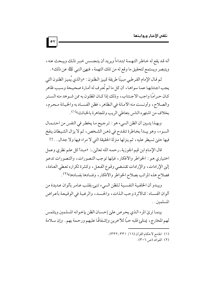أنه قد يقع له خاطر التهمة ابتداءاً ويريد أن يتجسس خبر ذلك ويبحث عنه ، ويتبصر ويستمع لتحقيق ما وقع له من تلك التهمة ، فنهي النبي ﷺ عن ذلك» .

ثم قـال الإمام القـرطبي مبينًا طريقة تمييز الـظنون : «والذي يُميـز الظنون التي يجب اجتنابها عما سواها، أن كل ما لم تُعرف له أمارة صحيحة وسبب ظاهر كـان حـر امَّـا واجب الاجـتناب، وذلك إذا كــان المظنو ن به ممن شــو هد منه الســتر والصلاح، وأونست منه الأمانة في الظاهر ، فظن الفسـاد به والخيانة مـحرم، بخلاف من اشتهره الناس بتعاطي الريب والمجاهرة بالخبائث»<sup>(١)</sup>.

وبهذا يتـبين أن الظن السيء هو : ترجيح ما يخطر في النفس من احتـمـال السوء، وهو يبدأ بخاطرة تنقدح في ذهن الشخص، ثم لا يزال الشيطان ينفخ فيها حتى تسيطر عليه، ثم ينزلها منزلة الحقيقة التي لا مراء فيها ولا جدال . . !!

قال الإمام ابن قيم الجوزية ـ رحمه الله تعالىٰي ـ: «مبدأ كل علم نظري وعمل اختياري هـو : الخواطر والأفكار ، فإنها توجب التصورات ، والتصورات تدعـو إلىٰ الإرادات، والإرادات تقتـضي وقـوع الفـعـل، وكـثـرة تكراره تعـطي العـادة، فصلاح هذه المراتب بصلاح الخواطر والأفكار ، وفسادها بفسادها»(٢).

ويبدو أن الخلفية النفسية للظن السيء تنبئ بقلب عـامر بألوان عـديدة من ألوان الفساد : كالأثرة وحب الذات، والحسد، والرغبة في الوقيعة بأعراض المسلمين.

بينما ترئ المرء الـذي يحرص علىٰ إحسـان الظن بإخـوانه المسلـمين ويتلمس لهم المخارج، يمتلئ قلبه حبًّا للآخرين وإشفاقًا عليهم ورحمة بهم . وإن سلامة

- (١) الجامع لأحكام القرآن (١٦/ ٣٣١\_٣٣٢).
	- (٢) الفوائد (ص ٣٠٦).

 $\bullet$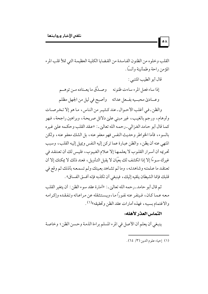القلب وخلوه من الظنون الفاسدة من القضايا الكلية العظيمة التي تملأ قلب المرء المؤمن راحة و طمأنينة وأنساً .

قال أبو الطيب المتنبي : إذا ساء فعل المرء ساءت ظنونه موصدَّق ما يعــتاده مـن توهــم وعــاديٰ محبــيه بفــعل عداته موأصبح في ليل من الجهل مظلم

والظن ـ في أغلب الأحـوال ـ عند كـثيـر من الناس ، ما هو إلا تخرصـات وأوهام، ورجم بالغيب، غير مبنى عليٰ دلائل صريحة، وبراهين راجحة، فهو كما قال أبو حامد الغزالي ـ رحمه الله تعالىٰ ـ : «عقد القلب وحكمه علىٰ غيره بالسوء، فأما الخواطر وحديث النفس فهو معفو عنه، بل الشك معفو عنه، ولكن المنهي عنه أن يظن، والظن عبارة عما تركن إليه النفس ويميل إليه القلب، وسبب تحريمه أن أسرار القلوب لا يعلمها إلا علام الغيوب، فليس لك أن تعتقد في غيرك سوءًا إلا إذا انكشف لك بعَيَان لا يقبل التأويل، فعند ذلك لا يمكنك إلا أن تعتقد ما عـلمتـه وشاهدتـه، وما لـم تشـاهد بعـينك ولـم تسمـعـه بأذنك ثـم وقع في قلبك فإنما الشيطان يلقيه إليك، فينبغي أن تكذبه فإنه أفسق الفساق».

ثم قال أبو حامد<sub>-</sub>رحمه الله تعالىٰ ـ: «أمارة عقد سوء الظن : أن يتغير القلب معه عـمـا كـان، فـينفـر عنه نفـورًا مـا، ويسـتـثـقله عن مـراعـاته وتـفـقـده وإكـرامـه والاغتمام بسببه، فهذه أمارات عقد الظن وتحقيقه»(١).

### التماس العذر لأهله:

 $\overline{\phantom{a}}$ 

ينبغي أن يعلم أن الأصل في المرء المسلم براءة الذمة وحسن الظن ؛ وخاصة

(١) إحياء علوم الدين (٣/ ٦٤).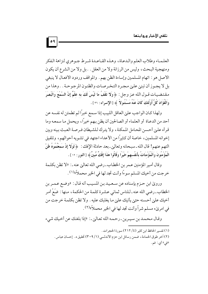العلمياء وطلاب العلم والدعياة، وهذه القياعيدة شيرط جبوهري لنزاهة الفكر ومنهجية البحث، وليس من الرزانة ولا من العقل . . بل ولا من الشرع أن يكون الأصل هو : اتهام المسلمين وإساءة الظن بهم . والمواقف وردود الأفعال لا ينبغي بل لا يجـوز أن تبنيٰ عليٰ مـجـرد التـخـرصـات والظنون المرجـوحـة . . وهذا من مقتضيات قـول الله عـز وجل : ﴿وَلا تَقْفُ مَا لَيْسَ لَكَ به علْمٌ إِنَّ السَّمْعَ وَالْبَصَرَ ۖ وَالْفُؤَادَ كُلُّ أُولَّئِكَ كَانَ عَنْهُ مَسْئُولاً ﴾ [الإسراء : ٣٦] .

 $| \circ \mathsf{q} |$ 

ولهذا كـان الواجب عليٰ العاقل اللبيب إذا سـمع خبراً لـم تطمئن له نفسه عن أحد من الدعـاة أو العلماء أو الصالحين أن يظن بـهم خيراً، ويحمل مـا سمعـه وما قرأه عليٰ أحسن المحامل الممكنة، ولا يترك للشيطان فـرصـة العبث بينه وبين إخوانه المسلمين، خاصة أن كثيرًا من الأعداء اجتهد في تشويه أحوالهم، وتلفيق التهم عنهم! قال الله ـ سبحانه وتعالى ـ بعد حادثة الإفك : ﴿ لَوْلا إِذْ سَمِعْتُمُوهُ ظَنَّ الْمُؤْمِنُونَ وَالْمُؤْمِنَاتُ بِأَنفُسهِمْ خَيْرًا وَقَالُوا هَذَا إِفْكٌ مُّبِيٌّ ﴾ [النور : ١٢ ] .

وقال أمير المؤمنين عـمر بن الخطـاب ـ رضي الله تعاليٰ عنه ـ : «لا تظن بكلـمة خرجت من أخيك المسلم سوءًا وأنت تجد لها في الخير محملاً»(١) .

ورويٰ ابن حـزم بإسناده عن سـعـيـد بـن المسـيـب أنه قـال : «وضـع عـمـر بن الخطاب ـ رضي الله عنه ـ لـلناس ثماني عشرة كلمـة من الحكمة، منها : ضَعْ أمر أخيك علىٰ أحسنه حتىٰ يأتيك علىٰ ما يغلبك عليه . ولا تظن بكلمة خرجت من في امريٰء مسلم شراً وأنت تجد لها في الخير محملاً»(٢).

وقال محمد بن سيـرين ـ رحمه الله تعـالين ـ: «إذا بلغك عن أخيك شيء

(١) تفسير الحافظ ابن كثير (٤/ ٢١٢) سورة الحجرات. (٢) آخر طوق الحمامة ، ضمن رسائل ابن حزم الأندلسي (١/ ٣٠٩) تحقيق د . إحسان عباس . «في» أي : فم .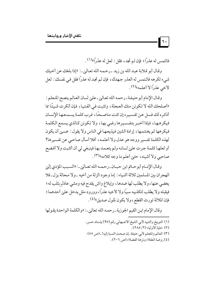فالتمس له عذراً؛ فإن لم تجد، فقل: لعل له عذراً»(١).

 $\vert \cdot \vert$ 

وقال أبو قلابة عبد الله بن زيد ـ رحمه الله تعالى ِ.: «إذا بلغك عن أخيك شيىء تكرهه فالتمس له العذر جهدك، فإن لم تجد له عذراً فقل في نفسك : لعل لأخى عذرًا لا أعلمه»(٢).

وقال الإمام أبوحنيفة ـ رحمه الله تعالىٰ ـ علىٰ لسان العالم ينصح المتعلم : «أصلحك الله لا تكونن منك العجلة، وتثبت في الفتيا، فإن أنكرت شيئًا مما أذكره لك فسل عن تفسيره إن كنت مناصحًا، فرب كلمة يسمـعـها الإنسـان فيكرهها، فإذا أخبر بتفسيرها رضى بها، ولا تكونن كالذي يسمع الكلمة فيكرهها ثم يغتنمها، إرادة الشين فيذيعها في الناس ولا يقول: عسين أن يكون لهذه الكلمة تفسير ووجه هو عدل ولا أعلمه، أفلا أسأل صاحبي عن تفسيرها؟ أو لعلهـا كلمـة جـرت عليٰ لسانـه ولم يتعـمـد بهـا فينبـغي لي أن أتثبت ولا أفـضح صاحبي ولا أشينه ، حتىٰ أعلم ما وجه كلامه»(٣) .

وقـال الإمـام أبو حـاتم ابن حبـان ـ رحـمـه الله تعـاليٰ ـ : «السـبب المؤدي إليٰ الهجران بين المسلمين ثلاثة أشياء : إما وجود الزلة من أخيه ـ ولا محالة يزل ـ فلا يغضي عنها، ولا يطلب لها ضدها، وإبلاغ واش يقدح فيه ومشي عاذلٍ بثلب له؛ فيقبله ولا يطلب لتكذيبه سببًا ولا لأخيه عذرًا، وورود ملل يدخل عليٰ أحدهما؛ فإن الملالة تورث القطع، ولا يكون لملول صديق»(٤).

وقال الإمام ابن القيم الجوزية ـ رحمه الله تعالىٰ ـ: «والكلمة الواحدة يقولها

(١) التوبيخ والتنبيه لأبي الشيخ الأصبهاني رقم (٩٧) بإسناد حسن . (٢) حلية الأولياء (٢/ ٢٨٥). (٣) العالم والمتعلم لأبي حنيفة ـ إن صحت النسبة إليه! ـ (ص ٥٥). (٤) روضة العقلاء ونزهة الفضلاء (ص ٢٠٦).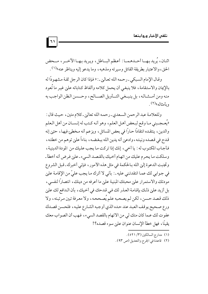اثنان، يُريد بهــا أحــدهـمــا : أعـظم البـــاطل، ويريد بـهــا الآخـــر ، مـــحض الحق، والاعتبار بطريقة القائل وسيرته ومذهبه، وما يدعو إليه ويناظر عنه»(١).

 $\vert$  ٦١

وقال الإمام السبكي ـ رحمه الله تعاليٰ ـ : « فإذا كان الرجل ثقة مشهودًا له بالإيمان والاستقامة، فلا ينبغيي أن يحمل كلامه وألفاظ كتاباته علىٰ غير ما تُعود منه ومن أمشاله، بل ينبـغي التـأويل الصــالح، وحــسن الظن الواجب به و مأمثاله»<sup>(۲)</sup> .

وللعلامة عبد الرحمن السعدي ـ رحمه الله تعالىٰ ـ كلام متين، حيث قال : «يُعـجــبني مـا وقـع لبـعض أهـل العلم، وهو أنـه كـتب له إنـسـان من أهل الـعلم والدين، ينتقده انتقادًا حـارًا في بعض المسائل، ويزعم أنه مـخطئ فيهـا، حتىٰ إنه قدح في قصده ونيته، وادعيْ أنه يدين الله ببغضه، بناءاً على توهم من خطئه، فأجاب المكتوب له : يا أخيي، إنك إذا تركت ما يجب عليك من المودة الدينية، وسلكت ما يحرم عليك من اتهام أخيك بالقصد السيء ـ علىي فرض أنه أخطأ ـ وتجنبت الدعوة إلىٰ الله بـالحكمة في مثل هذه الأمور ، فإني أخبرك ـ قبل الشروع في جوابي لك عما انتقدتني عليه ـ: بأني لا أترك ما يجب عليّ من الإقامة عليٰ مودتك والاستمرار علىٰ محبتك المبنية علىٰ ما أعرفه من دينك، انتصاراً لنفسى، بل أزيد علىٰ ذلك بإقامة العذر لك في قدحك في أخيك، بأن الدافع لك علىٰ ذلك قصد حسن، لكن لم يصحبه علم يُصححه، ولا معرفة تبين مرتبته، ولا ورع صحيح يوقف العبد عند حده الذي أوجبه الشارع عليه، فلحسن قصدك عفوت لك عما كان منك لي من الاتهام بالقصد السيء، فهب أن الصواب معك يقينًا، فهل خطأ الإنسان عنوان على سوء قصده؟!

- (١) مدارج السالكين (٣/ ٥٢١).
- (٢) قاعدة في الجرح والتعديل (ص ٩٣).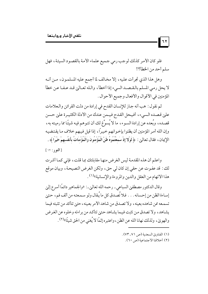فلو كان الأمر كذلك لوجب رمي جميع علماء الأمة بالقصود السيئة، فهل سلم أحد من الخطأ؟!

وهل هذا الذي تجرأت عليه، إلا مخالف لما أجمع عليه المسلمون، مـن أنـه لا يحل رمي المسلم بالقـصـد السيء إذا أخطأ، والـله تعـالين قـد عـفـا عـن خطأ المؤمنين في الأقوال والأفعال وجميع الأحوال .

ثم نقول : هب أنه جاز للإنسان القدح في إرادة من دلت القرائن والعلامات على قصده السيء، أفيحل القدح فيمن عندك من الأدلة الكثيـرة على حسن قصـده، وبُعده عن إرادة السـوء، ما لا يُسوِّغ لك أن تتـوهـم فيـه شيئًا مما رميته به، وإن الله أمر المؤمنين أن يظنوا بإخوانهم خيراً، إذا قيل فيهم خلاف ما يقتضيه الإِيمان ، فقال تعالىٰ : ﴿ لَوْلا إِذْ سَمِعْتُمُوهُ ظَنَّ الْمُؤْمِنُونَ وَالْمُؤْمِنَاتُ بِأَنفُسهمْ خَيْرًا ﴾ .

[النور: ١٢]

واعلم أن هذه المقدمة ليس الغرض منها مقابلتك بما قلت، فإني كما أشرت لك : قد عفوت عن حقى إن كان لي حق، ولكن الغرض النصيحة، وبيان موقع هذا الاتهام من العقل والدين والمروءة والإنسانية»(١) .

وقال الدكتور مصطفىٰ السباعي ـ رحمه الله تعالىٰ ـ: «والجماهير دائمًا أسرع إلىٰ إساءة الظن من إحسانه . . . فلا تُصدق كل ما يُقال ولو سـمـعتـه من ألف فم، حـتىٰ تسمعه ممن شاهده بعينه، ولا تصدق من شاهد الأمر بعينه، حتىٰ تتأكد من تثبته فيما يشاهد، ولا تصدق من تثبت فيما يشاهد حتىٰ تتأكد من براءته وخلوه عن الغرض والهويٰ، ولذلك نهانا الله عن الظن، واعتبره إثمًا لا يُغنى من الحق شيئًا»<sup>(٢)</sup> .

- (١) الفتاوي السعدية (ص ٧١\_٧٣).
	- (٢) أخلاقنا الاجتماعية (ص ٢٠).

 $\mathbf{r}$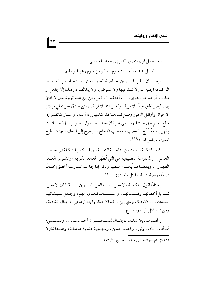وما أجمل قول منصور النمري رحمه الله تعاليٰ : لعـــل له عـــذرًا وأنــت تلوم \_ وكم من ملوم وهو غير مليم

وإحسان الظن بالمسلمين ـ خـاصـة العلمـاء منهم والدعـاة ـ من القـضـايا الواضحة الجلية التي لا شك فيها ولا غموض، ولا يخالف في ذلك إلا جاهل أو مكابر ، أو صاحب هويٰ. . . وأعتقد أن: «من رقين إلى هذه الربوة بعين لا قذيٰ بها، أبصر الحق عيانًا بلا مرية، وأخبر عنه بلا فرية، ومتىٰ صدق نظرك في مبادئ الأحوال وأوائل الأمور وضح لك هذا كله كالنهار إذا أمتع، واستنار كالقمر إذا طلع، ولم يبق حينئذ ريب في عـرفان الحق وحصول الصـواب، إلا مـا يلتـاث بالهويٰ، ويَسْمَح بالتعصب، ويجلب اللجاج، ويخرج إلىٰ المحك، فهناك يطيح المعنين ويضل المراد»<sup>(۱)</sup> .

إذًا فـالمشكلة ليـست من الناحيـة النظرية ، وإنما تكمن المشكلة في الجـانب العملي . والممارسة التطبيقية هي التي تُظهر المعادن الكريمة ، والنفوس العبقة الطهور . . وبعضنا قد يُحسن التنظير ولكن إذا جاءت الممارسة أخفق إخفاقًا ذريعًا، وتلاشت تلك المثل والمبادئ . . . !!

وختامًا أقول: فكما أنه لا يجوز إساءة الظن بالمسلمين . . . فكذلك لا يجوز تسبويغ أخطائهم وكتبمانها، واعتبساف المعاذير لهم، وجعل سيئاتهم حسنات . . . لأن ذلك يؤدي إلىٰ تراكم الأخطاء واجترارها في الأجيال القادمة ، ومن ثم يتأكل البناء ويتصدع!

والمطلوب ـ بلا شك ـ أن يقــال للمـحـسـن : أحـسنت . . . وللمـسىء أسأت . . بأدب ولين، وقصد حسن، ومنهجية علمية صادقة، وعندها تكون

<sup>(</sup>١) الإمتاع والمؤانسة لأبي حيان التوحيدي (١/ ٧٦).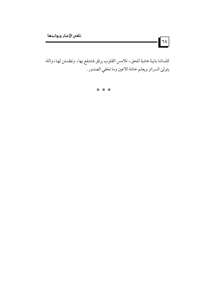كلماتنا بانية هادية للحق، تلامس القلوب برفق فتنتفع بها، وتطمئن لها،والله يتولىٰ السرائر ويعلم خائنة الأعين وما تخفي الصدور .

1 E

\* \* \*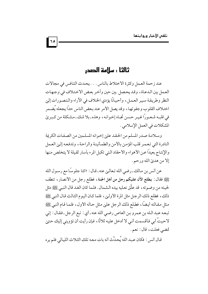# ثالثا : ساامة الصدر

عند زحمة العمل وكثرة الاختلاط بالناس . . . يحدث التنافس في مجالات العمل بين الدعاة، وقد يحصل بين حين وأخر بعض الاختلاف في وجهات النظر وطريقة سير العمل، وأحيانًا يؤدي الخلاف في الأراء والتصورات إليي اختلاف القلوب وجفوتها، وقد يصل الأمر عند بعض الناس حدًا يجعله يُضمر في قلبـه شـعـوراً غـيـر حسن تجـاه إخـوانـه، وهذه ـ بلا شك ـ مشـكلة من كـبريٰ المشكلات في العمل الإسلامي .

وسلامة صدر المسلم من الحقد علىٰ إخوانه المسلمين من الصفات الكريمة النادرة التي تعمر قلب المؤمن بالأمن والطمأنينة والراحة، وتدفعه إلىي العمل والإنتاج بعيدًا عن الأهواء والأحقاد التي تكبل المرء بأسار ثقيلة لا يتخلص منها إلا من هديٰ الله ورحم .

عن أنس بن مـالك ـ رضي الله تـعالـيٰ عنه ـ قـال : «كنا جلوسًا مع رسـول الله يَّلِيَّةٍ فقال : يطلع الآن عليكم رجل من أهل الجنة ، فطلع رجل من الأنصار ، تنطف لحيته من وضوئه، قد علَّق نعليه بيده الشمال . فلما كان الغد قال النبي ﷺ مثل ذلك، فطلع ذلك الرجل مثل المرة الأولـيٰ، فلما كـان اليـوم الثـالث قـال النبي ﷺ مثل مقالته أيضًا، فطلع ذلك الرجل علىٰ مثل حاله الأول، فلما قام النبي ﷺ تبعه عبد الله بن عمرو بن العاص رضي الله عنه ـ أي : تبع الرجل ـ فقال : إني لاحيتُ أبي فأقسمت أني لا أدخل عليه ثلاثًا، فإن رأيت أن تؤويني إليك حتىٰ تمضي فعلت، قال: نعم.

قال أنس : فكان عبد الله يُحدِّث أنه بات معه تلك الثلاث الليالي فلم يره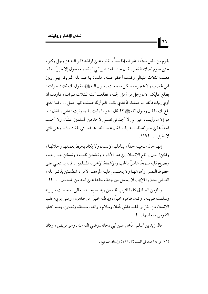يقوم من الليل شيئًا، غير أنه إذا تعارَّ وتقلب عليٰ فراشه ذكر الله عز وجل وكبر ، حتىٰ يقوم لصلاة الفجر ، قال عبد الله : غير أني لم أسمعه يقول إلا خيراً ، فلما مضت الثلاث الليالي وكدت أحتقر عمله، قلت: يا عبد الله! لم يكن بيني وبين أبي غضب ولا هجرة، ولكن سمعت رسول الله ﷺ يقول لك ثلاث مرات : يطلع عليكم الآن رجل من أهل الجنة، فطلعت أنت الثلاث مرات، فأردت أن أوي إليك فأنظر ما عملك فأقتدي بك، فلم أرك عـملت كبير عمل . . . فما الذي بلغ بك ما قال رسول الله ﷺ ؟! قال : هو ما رأيت . فلما وليت دعاني ، فقال : ما هو إلا ما رأيت، غير أني لا أجد في نفسي لأحد من المسلمين غشًا، ولا أحسد أحدًا علي خير أعطاه الله إياه، فقال عبد الله : هــذه التي بلغت بك، وهي التي  $Y$  نطبق  $\ldots$ !»

 $\mathbf{r}$ 

إنها حال عجيبة حقًا، يتأملها الإنسان ولا يكاد يحيط بعمقها وجلالها، ولكن! حين يرتفع الإنسان إلىٰ هذا الأفق، وتطمئن نفسه، وتسكن جوارحه، ويصبح قلبه سـمحًا عامرًا بالحب والإشفاق لإخوانه المسلمين، فإنه يستعلى عليٰ حظوظ النفس وأهوائها ولا يحتمل قلبه المرهف الآمن، المطمئن بذكر الله، النابض بحلاوة الإيمان أن يحمل بين جنباته حقدًا علىٰ أحد من المسلمين . . . !!

والمؤمن الصادق كلما اقترب قلبه من ربه ـ سبحانه وتعاليٰ ـ، حسنت سريرته وسلمت طويته، وكـان ظاهره خيراً، وباطنه خيـراً من ظاهره، ومـتىٰ برىء قلب الإنسان من الغل والحقد عاش بأمان وسلام، والله ـ سبحانه وتعالي ـ يعلم خفايا النفوس ومعادنها . .!

قال زيد بن أسلم : دُخل عليٰ أبي دجانة ـ رضي الله عنه ـ وهو مريض ، وكان

(١) أخرجه أحمد في المسند (٣/ ١٦٦) وإسناده صحيح .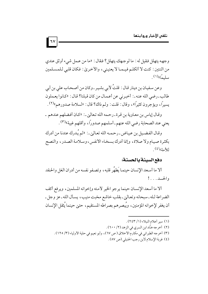وجهه يتهلل فقيل له : ما لوجهك يتهلل؟ فقال : «ما من عـمل شيء أوثق عندي من اثنتين : كنت لا أتكلم فيـمـا لا يعنيني، والأخرىٰ: فكان قلبي لـلمسـلمين سليماً»(١).

 $\vert \overline{\nu}$ 

وعن سفيان بن دينار قال : قلتُ لأبي بشير ـ وكان من أصـحـاب على بن أبي طالب ـ رضي الله عنه ـ : أخبرني عن أعمال من كان قبلنا؟ قال : «كانوا يعملون يسيرًا، ويؤجرون كثيرًا»، وقال: قلت: ولم ذاك؟ قال: «لسلامة صدورهم»(٢).

وقال إياس بن معاوية بن قرة ـ رحمه الله تعالى ـ : «كان أفضلهم عندهم ـ يعني عند الصحابة رضي الله عنهم ـ أسلمهم صدورًا، وأقلهم غيبة»(٣).

وقـال الفـضـيل بن عـيـاض ـ رحـمـه الله تعـاليٰ ـ : «لـم يُـدرك عندنا من أدرك بكثرة صيام ولا صلاة، وإنما أدرك بسخاء الأنفس، وسلامة الصدر، والنصح  $\mathcal{H}^{(3)}$ للأمة)

#### دفع السيئة بالحسنة:

ألا ما أسعد الإنسان حينما يَطهُر قلبه، وتصفو نفسه من أدران الغل والحقد والحسد . . . !

ألا ما أسعد الإنسان حينما يرجو الخير لأمته وإخوانه المسلمين، ويرفع أكف الضراعة لـله ـ سبحانه وتعـالي ـ بقلب خاشع مخبت منيب ، يسـأل الله ـ عز وجل ـ أن يغفر لإخوانه المؤمنين، ويُبصرهم بصراطه المستقيم، حتىٰ حينما يُثقل الإنسان

(١) سير أعلام النبلاء (١/ ٢٤٣). (٢) أخرجه هنَّاد ابن السري في الزهد (٢/ ٦٠٠) . (٣) أخرجه الطبراني في مكارم الأخلاق (ص ٦٧)، وأبو نعيم في حلية الأولياء (٣/ ١٢٥). (٤) غربة الإسلام لابن رجب الحنبلي (ص ٨٧).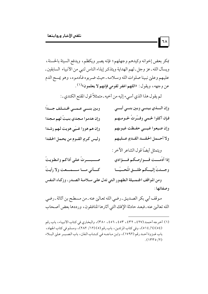بمكر بعض إخوانه وكيدهم وجهلهم؛ فإنه يصبر ويكظم، ويدفع السيئة بالحسنة، ويسأل الله ـ عز وجل ـ لهم الهداية ويتذكر إيذاء الناس لنبي من الأنبياء السابقين ـ عليهم وعليٰ نبينا صلوات الله وسلامه ـ حيث ضربوه فأدموه، وهو يمسح الدم عن وجهه، ويقول: «اللهم اغفر لقومي فإنهم لا يعلمون»(١).

| ੧∧

ثم يقول هذا الذي أسيء إليه من أخيه ـ متمثلاً قول المقنع الكندي ـ :

| وبين بنسي عـمـي لخـتـلف جــداً    | وإِن السذي بينسي وبين بنسي أبسي    |
|-----------------------------------|------------------------------------|
| وإِن هدموا مجدي بنيتُ لهم مجدا    | فإِن أكلوا لحمي وفسَّرتُ لحـومـهـم |
| وإِن هم هووا غـيّي هويت لهم رشـدا | وإن ضيعوا غيمبي حفيظت غيوبهم       |
| وليس كريم القموم من يحمل الحقدا   | ولاأحسمل الحقسد القمدي عسليهم      |

|                                     | ويتمثل أيضًا قول الشاعر الآخر :    |
|-------------------------------------|------------------------------------|
| صـــــبــــــرتُ على أذاكم وانطويتُ | إِذا أَدْمـــت قـــوارصكم فـــؤادي |
| كــأني مــا ســـمــعت ولا رأيتُ     | وجسئتُ إِليسكم طلسق المُحسيَّسا    |

ومن المواقف الجميلة الطهور التي تدل على سلامة الصلدر، وزكاء النفس وصفائها :

موقف أبي بكر الصديق-رضي الله تعاليٰ عنه ـ من مسطح بن أثاثة ـ رضي الله تعالى عنه ـ فبعد حادثة الإفك التي أثارها المنافقون، ورددها بعض أصحاب

(١) أخرجه أحمد (٤٢٧ ، ٤٣٢ ، ٤٥٣ ، ٤٥٦ ، ٣٨٠)، والبخاري في كتاب الأنبياء، باب رقم (٥٤) (٦/ ٥١٤)، وفي كتاب المرتدين، باب رقم (٥) (١٢/ ٢٨٢)، ومسلم في كتاب الجهاد، باب غـزوة أحـد رقم (١٧٩٢)، وابن مـاجـه في كـتـاب الفتن، باب الصـبـر عـليٰ البـلاء  $(1440/1)$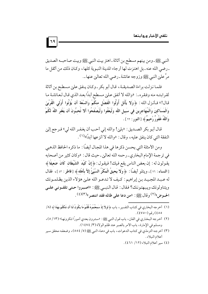النبي ﷺ- ومن بينهم مسطح بن أثاثة ـ اهتز بيت النبي ﷺ وبيت صاحبــه الصديق ـ رضي الله عنه ـ بل اهتزت لها أرجاء المدينة النبوية كلها، وكان ذلك من أثقل ما مرَّ عليٰ النبي ﷺ وزوجه عائشة ـ رضي الله تعاليٰ عنها ـ .

فلما نزلت براءة الصديقـة، قـال أبو بكر ـ وكـان يـنفق علىي مسطح بن أثاثة لقرابتـه منه وفقره ـ : «والله لا أنفق عـليٰ مسطح أبدًا بعـد الذي قـال لـعـائشـة مـا قال!» فـأنـزل الله : ﴿ وَلا يَأْتَل أُولُوا الْفَضْلِ منكُمْ وَالسَّعَة أَن يُؤْتُوا أُولَى الْقُرْبَىٰ وَالْمَسَاكِينَ وَالْمُهَاجِرِينَ فِي سَبِيلِ اللَّه وَلْيَعْفُوا وَلْيَصْفَحُوا أَلا تُحبُّونَ أَن يَغْفرَ اللَّهُ لَكُمْ وَاللَّهُ غَفُورٌ رَّحيمٌ ﴾ [النور: ٢٢ ] .

قال أبو بكر الصـديق : «بليٰ! والله إني أحب أن يغفـر الله لي» فـرجع إليٰ النفقة التي كان ينفق عليه، وقال : «والله لا أنزعها أبدًا»(١) .

ومن الأمثلة التي يحسن ذكر ها في هذا المجال أيضاً : ما ذكر ه الحافظ الذهبي في ترجمة الإمام البخاري ـ رحمه الله تعالىٰ ـ حيث قال : «وكان كثير من أصحابه يقولون له : إن بعض الناس يقع فيك! فيقول : ﴿ إِنَّ كَيْدَ الشَّيْطَانِ كَانَ ضَعِيفًا ﴾ [النساء : ٧٦]، ويتلو أيضًا : ﴿ وَلَا يَحِيقُ الْمَكْرُ السَّيِّئُ إِلاَّ بِأَهْلِهِ﴾ [فاطر : ٤٣]، فقال له عـبـد المجـيـد بـن إبراهيم : كـيف لا تـدعـو الله علـي هؤلاء الذين يظـلمـونك ويتناولونك ويبهتونك؟ فقال : قال النبيي ﷺ: «اصبروا حتى تلقـوني علـي الحـوض»<sup>(٢)</sup> وقال ﷺ: «من دعا على ظالمه فقد انتصر »(٣)(٤).

- (١) أخرجه البخاري في كتـاب التفسير ، باب ﴿لولاَ إِذْ سَمعْتُمُوهُ قُلْتُمْ مَا يكُونُ لَنَا أَن نَتَكَلَّمَ بهَذَا﴾ (٨/ ٥٥٤) رقم (٤٧٥٠) .
- (٢) أخرجه البخاري في الفتن، باب قول النبي ﷺ: «سترون بعدي أمورًا تنكرونها» (١٣/ ٥)، ومسلم في الإمارة، باب الأمر بالصبر عند ظلم الولاة (٣/ ١٤٧٤).
- (٣) أخرجه الترمذي في كتاب الدعوات، باب في دعـاء النبي ﷺ (٥/ ٥٥٤)، وضعفـه محقق سير أعلام النبلاء .
	- (٤) سبر أعلام النبلاء (١٢/ ٤٦١).

 $|79|$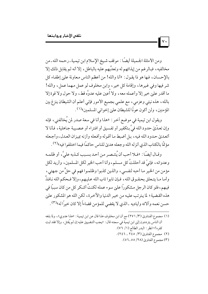ومن الأمثلة الجميلة أيضًا : موقف شيخ الإسلام ابن تيمية ـ رحمه الله ـ من مخالفيه، فبالرغم من إيذائهم له وتعدِّيهم عليه بالباطل، إلا أنه لم يقابل ذلك إلا بالإحسان، فها هو ذا يقول : «أنا والله! من أعظم الناس معاونة على إطفاء كل شر فيها وفي غيرها، وإقامة كل خير، وابن مخلوف لو عمل مهما عمل، والله! ما أقدر عليٰ خير إلا وأعمله معه، ولا أُعين عليه عدوَّه قط، ولا حول ولا قوة إلا بالله، هذه نيتي وعزمي، مع علمي بجميع الأمور فإني أعلم أن الشيطان ينزغ بين المؤمنين، ولن أكون عونًا للشيطان علىٰ إخواني المسلمين»(١).

ويقول ابن تيمية في موضع آخر : «هذا وأنا في سعة صدر لمن يُخالفني، فإنه وإن تعدَّىٰ حدود الله فيَّ بتكفير أو تفسيق أو افتراء أو عصبية جاهلية، فأنا لا أتعديٰ حدود الله فيه، بل أضبط ما أقوله وأفعله وأزنه بميزان العدل، وأجعله مؤ تمَّا بالكتاب الذي أنزله الله وجعله هديٰ للناس حاكمًا فيما اختلفوا فيه»<sup>(٢)</sup> .

وقـال أيضًا : «فـلا أحب أن يُنتـصـر مـن أحـد بسـبب كـذبه عليَّ، أو ظلمـه وعدوانه، فإنيِّ قد أحللتُ كل مسلم، وأنا أحب الخير لكل المسلمين، وأريد لكل مؤمن من الخير ما أحبه لنفسي، والذين كذبوا وظلموا فهم في حلٍّ من جهتي، وأما مـا يتـعلق بحقـوق الله، فـإن تابوا تاب الله عـليـهم، وإلا فـحكم الله نـافـذٌ فيهم، فلو كان الرجل مشكوراً علىٰ سوء عمله لكنتُ أشكر كل من كان سببًا في هذه القضية؛ لما يترتب عليه من خير الدنيا والآخرة، لكن الله هو المشكور علىٰ حسن نعمه وألائه وأياديه ـ الذي لا يقضي للمؤمن قضاءاً إلا كان خيراً له»(٣) .

- (١) مجموع الفتاويٰ (٣/ ٢٧١) مع أن ابن مخلوف هذا قال عن ابن تيمية : «هذا عدوي»، ولما بلغه أن الناس يترددون إلىٰ ابن تيمية في سجنه قال : «يجب التضييق عليه إن لم يُقتل ، وإلا فقد ثبت كفره!» انظر : البدر الطالع (١/ ٧٦).
	- (٢) مجموع الفتاويٰ (٣/ ٢٤٥ ـ ٢٤٦).
		- (٣) مجموع الفتاوي (٢٨/ ٥٥\_٥٦) .

 $\mathsf{v}\cdot$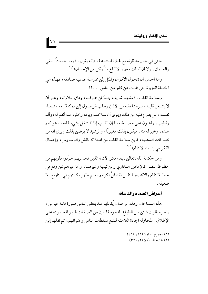حتىٰ في حال مناظرته مع غلاة المبتدعة، فإنه يقول : «وما أحببتُ البغي والعدوان، ولا أن أسلك معهم إلا أبلغ ما يُمكن من الإحسان»<sup>(١)</sup>.

 $|v\rangle$ 

وما أجمل أن تتحول الأقوال والمثل إلىي ممارسة عملية صادقة، فهذه هي الخصلة العزيزة التي غابت عن كثير من الناس . . . !!

وسلامة القلب : «مشهد شريف جبدًا لمن عبرف»، وذاق حلاوته، وهبو أن لا يشـغل قلبـه وسـره بما نالـه من الأذيٰ وطلب الوصـول إليٰ درك ثأره، وشـفـاء نفسه، بل يفرغ قلبه من ذلك ويرئ أن سلامته وبرده وخلوه منه أنفع له، وألذ وأطيب، وأعـون عليٰ مصـالحه، فإن القلب إذا اشتغل بشيء فاته مـا هو أهم عنده ، وخير له منه ، فيكون بذلك مغبونًا ، وإلر شيد لا يرضين بذلك ويرئ أنه من تصرفات السفيه، فأين سلامة القلب من امتلائه بالغل والوساوس، وإعمال الفكر في إدراك الانتقام»<sup>(٢)</sup>.

ومن حكمة الله ـ تعالىٰ ـ بقاء ذكر الأئمة الذين نحسبهم جرّدوا قلوبهم من حظوظ النفس كالإمامين البخاري وابن تيمية وغيرهما، وأما غيرهم ممن وقع في حمأ الانتقام والانتصار للنفس فقد قلَّ ذكرهم، ولم تظهر مكانتهم في التاريخ إلا ضعىفة .

#### أعراض العلماء والدعاة:

هذه السماحة، وهذه الرحمة، يُقابلها عند بعض الناس صورة قاتمة عبوس، زاخرة بألوان شتيى من الطباع المذمومة! وإن من الصفات غير المحمودة عليٰ الإطلاق: المحاولة الجادة اللاهثة لتتبع سقطات الناس وعثراتهم، ثم نقلها إلىي

- (١) مجموع الفتاوي (١١/ ٥٤).
	- (٢) مدارج السالكين (٢/ ٣٢٠) .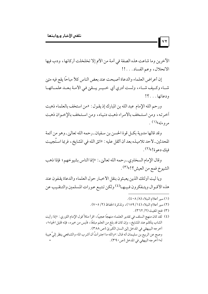الآخرين وما شاعت هذه الصفة في أمة من الأم إلا تخلخلت أركانها، ودب فيها الانحلال، وعم الفساد . . . !!

إن أعراض العلماء والدعاة أصبحت عند بعض الناس كلأ مباحًا يقع فيه متيٰ شاء وكيف شاء، ولست أدري أي خيـر يبـقيٰ في الأمـة بعـد علمـائهـا ودعاتها. . . ؟!

ورحم الله الإمام عبد الله بن المبارك إذ يقول : «من استخف بالعلماء ذهبت آخرته، ومن استخف بالأمراء ذهبت دنياه، ومن استخف بالإخـوان ذهبت مروءته»(۱) .

وقد قالها مدوية بكـل قوة الحسن بن سفيان ـ رحمه الله تعالىٰ ـ وهو من أئمة المحدثين ـ لأحد تلاميذه بعد أن أثقل عليه : «اتق الله في المشايخ ، فربما استُجيبت فيك دعوة!»(٢).

وقال الإمام السخاوي ـ رحمه الله تعاليٰ ـ : «إنما الناس بشيوخهم؛ فإذا ذهب الشيوخ فمع من العيش؟!»(٣) .

ويا ليت أولئك الذين يعبثون بنقل الأخبار حول العلماء والدعاة يقفون عند هذه الأقـوال ويتـفكرون فـيـهـا<sup>(٤)</sup> ولكن تتبـع عـورات المسلمين والتنقـيب عن

- (١) سبر أعلام النبلاء (١/ ٤٠٨).
- (٢) سير أعلام النبلاء (١٤/ ١٥٩)، وتذكرة الحفاظ (٢/ ٧٠٥).
	- (٣) فتح المغيث (٢/ ٣٦٢).

 $\mathsf{v}\mathsf{v}$ 

(٤) لقد كان منهج السلف في تقدير العلمـاء منهجًا عجيبًا، اقرأ مثلاً قول الإمام الثوري: «إذا رأيت الشاب يتكلم عند المشايخ، وإن كان قد بلغ من العلم مبلغًا، فأيس من خيره، فإنه قليل الحياء»، أخرجه الببيهقي في المدخل إلىٰ السنن الكبريٰ (ص ٣٨٨) . وصح عن الربيع بن سليمان أنه قـال : «والله ما اجتـرأتُ أن أشرب الماء والشـافعي ينظر إليَّ هيبة له» أخرجه البيهقي في المدخل (ص٣٩٠) .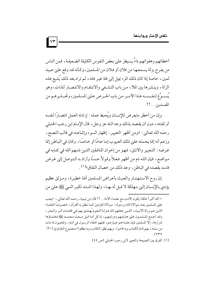أخطائهم وهفواتهم داءٌ يسيطر علىٰ بعض النفوس الكليلة الضعيفة، فمن الناس من يفرح بزلة يسمعها من فلان أو فلان من المسلمين، وكأنه قد وقع عليٰ صيد ثمين، خاصة إذا كان ذلك المرء يميل إلىٰ فئة غير فئته، ثم تراه بعد ذلك يَشيع هذه الزلة، وينشرها بين الملأ، من باب التشفي والانتقام والانتصار للذات، وهو يَســوِّغ لنفــســه هـذا الأمــر مـن باب الحــر ص عـليٰ المسلمين، وتحـــذير هـم من المفسدين . . !!

 $\mathbf{v}$ 

وإن من أخطر مايعرض للإنسـان ويُحبط عمله : إرادته العمل انتصـارًا لنفسه أو لفئته ، دون أن يقصد بذلك وجه الله عز وجل ، قال الإمام ابن رجب الحنبلي رحمه الله تعالىٰ: «ومن أظهر التعيير : إظهار السوء وإشاعته في قالب النصح، وزعم أنه إنما يحمله علىٰ ذلك العيوب إما عـامًا أو خـاصـًا، وكان في البـاطن إنما غرضه : التعيير والأذيٰ، فهو من إخوان المنافقين الذين ذمهم الله في كتابه في مواضع، فإن الله ذم من أظهر فعلاً وقولاً حسنًا وأراد به التوصل إلىي غرض فاسد يقصده في الباطن ، وعد ذلك من خصال النفاق»<sup>(١)</sup> .

إن روح الاستهتـار والعبث بأعـراض المسلمين أفـة خطيرة، ومـزلق عظيم يؤدي بالإنسـان إلـيٰ مـهلكة لا قبل له بهـا، ولهـذا اشـتـد نكيـر النبي ﷺ عليٰ من

= الله أكبر ! هكذا يكون الأدب مع علمـاء الأمة . . !! قال ابن تيمية ـ رحـمه الله تعاليٰ ـ : «يجب عليٰ المسلمين بعد موالاة الله ورسوله : موالاة المؤمنين كما نطق به القرآن، خصوصًا العلماء الذين هم ورثة الأنبياء، الذين جعلهم الله بمنزلة النجوم يُهتديٰ بهم في ظلمات البر والبحر، وقد أجمع المسلمون عليٰ هدايتهم ودرايتهم، إذ كل أمة قبل مبعث محمـد ﷺ فعلماؤها شرارها، إلا المسلمين فإن علماءهم خيارهم، فإنهم خلفاء الرسول في أمته، والمحيون لما مات من سنته ، بهم قـام الكتـاب وبه قامـوا ، وبهم نطق الكتاب وبه نـطقوا» مـجـموع الـفتـاويٰ (٢٠/  $(347)$ 

<sup>(</sup>١) الفرق بين النصيحة والتعيير لابن رجب الحنبلي (ص ٤٤).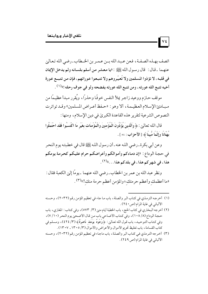اتصف بهـذه الصـفـة ، فـعن عـبـد الله بــن عـمـر بن الخــطاب ـ رضي الله تـعـالىٰ عنهـما \_قـال : قال رسـول الله ﷺ : «يا معشر من أسلم بلسـانه ولم يدخل الإيمان في قلبـه، لا تؤذوا المسلمين ولا تُعيِّروهم ولا تتبـعوا عـوراتهم، فإن مـن تتبــع عـورة أخيه تتبع الله عورته ، ومن تتبع الله عورته يفضحه ولو في جوف رحله !»<sup>(١)</sup> .

 $\sqrt{\epsilon}$ 

موقف حـازم ووعيد زاجـر يملأ النفس خوفًا وحذرًا، ويُقرر مبدأ عظيـمًا من مبادئ الإسلام العظيمة، ألا وهو : «حفظ أعراض المسلمين» وقـد تواترت النصوص الشرعية لتقرير هذه القاعدة الكبري في دين الإسلام، ومنها :

قال الله تعالىي : ﴿ وَالَّذِينَ يُؤَذُّونَ الْمُؤْمِنينَ وَالْمُؤْمِنَات بِغَيْرِ مَا اكْتَسَبُوا فَقَد احْتَمَلُوا بُهْتَانًا وَإِثْمًا مُّبِينًا ﴾ [الأحزاب: ٥٨ ] .

وعن أبي بكرة ـ رضي الله عنه ـ أن رسول الله ﷺ قال في خطبته يوم النحر في حجة الوداع : «إن دماءكم وأموالكم وأعراضكم حرام عليكم كحرمة يومكم هذا ، في شهر كم هذا ، في بلدكم هذا . . . »<sup>(٢)</sup> .

ونظر عبد الله بن عمر بن الخطاب ـ رضي الله عنهما ـ يومًا إليٰ الكعبة فقال : «ما أعظمك وأعظم حرمتك؛ والمؤمن أعظم حرمة منك!»(٣).

- (١) أخرجه الترمذي في كتاب البر والصلة، باب ما جاء في تعظيم المؤمن رقم (٢٠٣٢)، وحسنه الألباني في غاية المرام (ص ٤٠) .
- (٢) أخرجه البخاري في كتاب الحج، باب الخطبة أيام مني (٣/ ٥٧٣)، وفي كتاب: المغازي، باب حجة الوداع (٨/ ١٠٨)، وفي كتاب الأضاحي باب من قال الأضحىٰ يوم النحر (٧/١٠)، وفي كتاب التوحيد، باب قول الله تعالى: ﴿وُجُوهٌ يَوْمَئِذَ نَاضِرَةٌ﴾ (٣/ ٤٢٤)، ومسلم في كتاب القسامة، باب تغليظ تحريم الأموال والأعراض والأموالَ (٣/ ١٣٠٥\_ ١٣٠٧).
- (٣) أخرجه الترمذي في كتاب البر والصلة، باب ماجاء في تعظيم المؤمن رقم (٢٠٣٢)، وحسنه الألباني في غاية المرام (ص ٢٤٩) .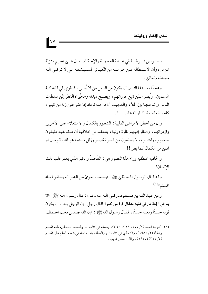نصب ص شيريفة في غياية العظمية والإحكام، تدل علىٰ عظيم منزلة المؤمن، وأن الاستطالة علىٰ حرمته من الكبائر المستبشعة التي لا ترضى الله سېجانه و تعاليږ .

وعجبًا بعد هذا التبيين أن يكون من الناس من لا يُبالىي، فيطوى في قلبه أذية المسلمين، ويُصر عـليٰ تتبع عوراتهم، ويصـبح ديدنه وهـجِّيراه الـنظر إليٰ سقطات الناس وإشاعتها بين الملأ ، والعجيب أن فرحته تزداد إذا عثر على زلة من كبير ، كأحد العلماء أو كبار الدعاة . . . ! .

وإن من أخطر الأمراض القلبية : الشعور بالكمال والاستعلاء علىٰ الأخرين وازدرائهم، والنظر إليهم نظرة دونية، يعتقد من خلالها أن مخالفيه مليئون بالعيوب والمثالب، لا يسلمون من كبير تقصير وزلل، بينما هو قاب قوسين أو أدنى من الكمال كما يظن!!

والخلفية المنطقية وراء هذا التصور هي : العُجِبُ والكبر الذي يعمر قلب ذلك الإنسان!

وقد قـال الرسـول المصطفىٰ ﷺ : «بحـسب امـرئ من الشـر أن يحـقـر أخـاه المسلم»<sup>(١)</sup>.

وعن عبد الله بن مسعود ـ رضي الله عنه ـ قـال : قال رسـول الله ﷺ: «لا يدخل الجنة من في قلبـه مثـقال ذرة من كبر » فقال رجل : إن الرجل يحب أن يكون ثويه حسنًا ونعـله حسنًا، فقـال رسـول الله ﷺ : «إن الله جـميل يحب الجـمال،

 $|v \circ$ 

<sup>(</sup>١) أخرجه أحمد (٢/ ٢٧٧، ٣٦١، ٣٦٠)، ومسلم في كتاب البر والصلة، باب تحريم ظلم المسلم وخذله (٤/ ١٩٨٦)، والترمذي في كتاب البر والصلة، باب ماجاء في شفقة المسلم عليٰ المسلم (٤/ ٣٢٥) (١٩٢٧)، وقال: حسن غريب.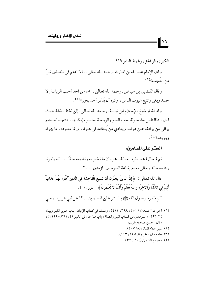الكبر : بطر الحق، وغمط الناس»(١) .

 $\mathsf{v}$ प

وقال الإمام عبد الله بن المبارك ـ رحمه الله تعالىٰي ـ : «لا أعلم في المصلين شرًا من العُجب»<sup>(٢)</sup> .

وقال الفضيل بن عياض ـ رحمه الله تعالىٰ ـ: «ما من أحد أحب الرياسة إلا حسد وبغي وتتبع عيوب الناس، وكره أن يُذكر أحد بخير ٣١".

وقد أشار شيخ الإسلام ابن تيمية ـ رحمه الله تعاليٰ ـ إليٰ نكتة لطيفة حيث قال: «فالنفس مشحونة بحب العلو والرياسة بحسب إمكانها، فتجد أحدهم يوالي من يوافقه عليٰ هواه، ويعادي من يُخالفه في هــواه، وإنما معبوده : ما يهواه ويريده»(٤).

## السترعلي المسلمين:

ثم (اسأل) هذا المرء العيابة : هب أن ما تخبر به وتشيعه حقًّا . . . ألم يأمر نا ربنا سبحانه وتعالى بعدم إشاعة السوء بين المؤمنين . . . ؟!

قال الله تعالىٰ: ﴿ إِنَّ الَّذِينَ يُحبُّونَ أَن تَشيعَ الْفَاحشَةُ في الَّذِينَ آمَنُوا لَهُمْ عَذَابٌ أَليمٌ في الدُّنْيَا والآخرَة واللَّهُ يَعْلَمُ وأَنتُمْ لا تَعْلَمُونَ ﴾ [النور : ١٩ ] .

ألم يأمرنا رسول الله ﷺ بالستر عليٰ المسلمين . . ؟! عن أبي هريرة ـ رضي

- (١) أخرجه أحمد (١/ ٤٥١، ٣٩٩، ٤١٢)، ومسلم في كتاب الإيمان، باب تحريم الكبر وبيانه (١/ ٩٣)، والترمذي في كتاب البر والصلة، باب ما جاء في الكبر (٤/ ٣٦١) (١٩٩٩)، وقال : حسن صحيح غريب . (٢) سير أعلام النبلاء (٨/ ٤٠٧).
	- (٣) جامع بيان العلم وفضله (١/ ١٤٣).
		- (٤) مجموع الفتاوي (١٤/ ٣٢٤).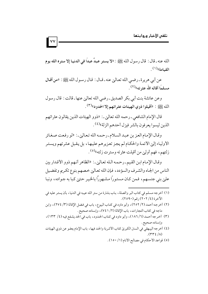الله عنه ـ قال : قال رسول الله ﷺ : «لا يستر عبدٌ عبدًا في الدنيـا إلا ستره الله يوم القيامة) (١)

عن أبي هريرة ـ رضي الله تعاليٰ عنه ـ قـال : قال رسـول الله ﷺ : «من أقـال مسلمًا أقاله الله عثر ته»(٢) .

وعن عائشة بنت أبي بكر الصديق ـ رضي الله تعالىٰ عنها ـ قالت : قال رسول الله ﷺ : «أقيلوا ذوى الهيئات عثر اتهم إلا الحدود»(٣) .

قال الإمام الشافعي ـ رحمه الله تعالىٰ. ـ : «ذوو الهيئات الذين يقالو ن عثر اتهم الذين ليسوا يعرفون بالشر فيزل أحدهم الزلة»<sup>(٤)</sup>.

وقال الإمام العز بن عبد السلام ـ رحمه الله تعالىٰ ـ : «لو رفعت صغائر الأولياء إلىٰ الأئمة والحكام لم يجز تعزيرهم عليها، بل يقبل عثرتهم ويستر زلتهم، فهم أوليٰ من أقيلت عثرته وسترت زلته»<sup>(٥)</sup>.

وقال الإمام ابن القيم ـ رحمه الله تعالىٰ ـ: «الظاهر أنهم ذوو الأقدار بين الناس من الجاه والشرف والسؤدد، فإن الله تعالى خصهم بنوع تكريم وتفضيل عليٰ بني جنسهم، فمن كـان مستورًا مشـهورًا بالخيـر حـتي كـبا به جـواده، ونبـا

- (١) أخرجه مسلم في كتاب البر والصلة، باب بشارة من ستر الله عيبه في الدنيا، بأن يستر عليه في الآخرة (٤/ ٢٠٢) , قير (٢٥٩٠) .
- (٢) أخرجه أحمد (٢/ ٢٥٢)، وأبو داود في كتاب البيوع، باب في فضل الإقالة (٣/ ٢٧٤)، وابن ماجه في كتاب التجارات، باب الإقالة (٢/ ٧٤١)، وإسناده صحيح.
- (٣) أخرجه أحمد (٦/ ١٨٦)، وأبو داود في كتاب الحدود، باب في الحد يشفع فيه (٤/ ١٣٣)، وإسناده صحيح .
- (٤) أخرجه البيهقي في السنن الكبريٰ كتاب الأشربة والحد فيها، باب الإمام يعفو عن ذوي الهيئات  $(YYE/A)$ 
	- (٥) قواعد الأحكام في مصالح الأنام (١/ ١٥٠).

 $\mathsf{v}\mathsf{v}$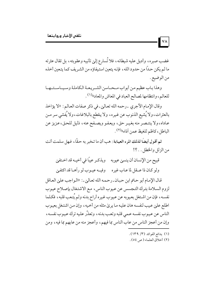غضب صبره، وأديل عليه شيطانه، فلا تُسارع إلىٰ تأنيبه وعقوبته، بل تقال عثرته ما لم يكن حداً من حدود الله ، فإنه يتعين استيفاؤه من الشـريف كما يتعين أخذه من الوضيع .

وهذا باب عظيم من أبواب مـحـاسن الشـريعـة الكاملة وسـيـاسـتــهـ للعالم، وانتظامها لمصالح العباد في المعاش والمعاد»(١) .

وقال الإمام الآجري \_رحمه الله تعاليٰ \_في ذكر صفات العالم : «لا يؤاخذ بالعثرات، ولا يُشيع الذنوب عن غيره، ولا يقطع بالبلاغات، ولا يُفشى سر مـن عاداه، ولا ينتـصـر منه بغيـر حق، ويعـفـو ويصـفح عنه، ذليل للحـق، عـزيز عن الباطل، كاظم للغيظ عمن آذاه»<sup>(٢)</sup>.

ثم أقول أيضًا لذلك المرء العيابة : هب أن ما تـخبر به حقًّا ، فـهل سلمت أنت من الزلل والخطل . . ؟!

قبيح من الإنسان أن ينسيٰ عيوبه ويذكـر عيبًا في أخيـه قد اخـتفيٰ

ولو كـان ذا عــقل لما عـاب غير ه وفيــه عيـوب لو رآهــا قد اكتفـىٰ

قال الإمام أبو حاتم ابن حبان ـ رحمه الله تعالىٰ ـ: «الواجب علىٰ العاقل لزوم السلامة بترك التجسس عن عيوب الناس، مع الاشتغال بإصلاح عيوب نفسـه، فإن من اشـتغل بعـيوبه عن عـيوب غـيره أراح بدنه ولـم يُتـعب قلبه، فكـلما اطلع عليٰ عيب لنفسه هان عليه ما يريٰ مثله من أخيه ، وإن من اشتغل بعيوب الناس عن عيوب نفسه عـمي قلبه وتعب بدنه ، وتعذَّر عليه ترك عيـوب نفسـه ، وإن من أعجز الناس من عاب الناس بما فيهم، وأعجز منه من عابهم بما فيه، ومن

(۱) بدائع الفوائد (۳/ ۱۳۹).

VA

(٢) أخلاق العلماء (ص ٥٤).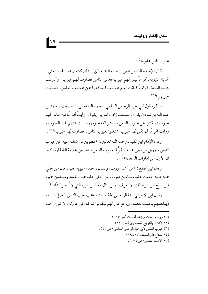عاب الناس عابو ه»<sup>(۱)</sup> .

قال الإمام مالك بن أنس ـ رحمه الله تعاليٰ ـ : «أدركت بهذه البلدة ـ يعني : المدينة النبوية ـ أقواماً ليس لهم عيوب فعابوا الناس فصارت لهم عيوب . وأدركت بهـذه البلـدة أقـوامـاً كـانت لهـم عـيـوب فـسكـتـوا عـن عـيـوب النـاس ، فنسـيت عيوبهم»<sup>(۲)</sup>.

ونظيره قول أبي عبد الرحمن السلمي-رحمه الله تعاليٰ.: «سمعت محمد بن عبد الله بن شـاذان يقول : سـمعت زاذان المدايني يقـول : رأيتُ أقوامًا من الناس لهم عيوب فسكتوا عن عيوب الناس، فستر الله عيوبهم وزالت عنهم تلك العيوب، ورأيت أقوامًا لم تكن لهم عيوب اشتغلوا بعيوب الناس، فصارت لهم عيوب"(٣) .

وقال الإمام ابن القيم ـ رحمه الله تعالىٰ ـ: «فطوبيٰ لمن شغله عيبه عن عيوب الناس، وويل لمن نسي عيبه وتفرَّغ لعيوب الناس، هذا من علامة الشقاوة، كما أن الأول من أمارات السعادة»<sup>(٤)</sup> .

وقال ابن المقفع : «من أشد عيوب الإنسان، خفاء عيوبه عليه، فإن من خفي عليه عيبه خفيت عليه محاسن غيره، ومن خفي عليه عيب نفسه ومحاسن غيره فلن يقلع عن عيبه الذي لا يعرف، ولن ينال محاسن غيره التي لا يُبصر أبدًا»<sup>(٥)</sup>.

وقال ابن الأعرابي : «قال بعض الحكماء : وعائب يعيب الناس بفضل عيبه، ويبغضهم بحسب بغضه، ويرفع عوراتهم ليكونوا شركاء في عورته . لا شيء أحب

- (٣) عيوب النفس لأبي عبد الرحمن السلمي (ص ١٢).
	- (٤) مفتاح دار السعادة (١/ ٢٩٨).
		- (٥) الأدب الصغير (ص ١٧٤).

 $\sqrt{9}$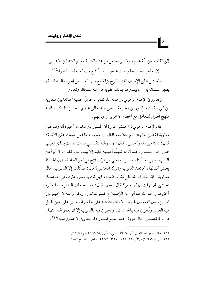إلىي الفاسق من زلَّة عالم، ولا إلىي الخامل من عثرة الشريف، ثم أنشد ابن الأعرابي : إن يعلموا الخير يخفوه وإن علموا شراً أذيع وإن لم يعلموا كذبوا»(١)

 $\lambda$ .

وأخشىٰ علىٰ الإنسان الذي يفرح بزلة يقع فيها أحد من إخوانه الدعاة، ثم يُظهر الشماتة به : أن يُبتليٰ هو بذلك عقوبة من الله سبحانه وتعالىٰ .

وقد رويٰ الإمام الزهري ـ رحمه الله تعالىٰ ـ حوارًا جميلاً ماتعًا بين معاوية بن أبي سفيان والمسور بن مخرمة ـ رضي الله تعاليٰ عنهـم ـ يحسن بنا ذكره، ففيه منهج أصيل للتعامل مع أخطاء الأخرين وعيوبهم .

قال الإمام الزهري : «حدثني عروة أن المسور بن مخرمة أخبره أنه وفد عليٰ معاوية فقضيٰ حاجته، ثم خلا به، فقال: يا مسور، ما فعل طعنك عليٰ الأئمة؟ قال : دعنا من هذا وأحسن . قال : لا، والله لتكلمني بذات نفسك بالذي تعيب عليِّ . قال مسـور : فلم أترك شيئًا أعيـبه عليه إلا بينت لـه . فقـال : لا أبرأ من الذنب، فهل تعدُّ لنا يا مسور ما نلي من الإصلاح في أمر العامة؛ فإن الحسنة بعشر أمثالها، أم تعد الذنوب وتترك المحاسن؟ قال : ما تُذكر إلا الذنوب . قال معـاوية : فإنا نعـترف لله بكل ذنب أذنبناه ، فهل لك يا مسور ذنوب في خـاصتك تخشىن بأن تهلك إن لم تغفر ؟ قال : نعم . قال : فما يجعلك الله بر جاء المغفرة أحق مني، فـوالله مـا ألى من الإصـلاح أكـثـر مما تلى، ولكن والـله لا أخيـر بين أمرين، بين الله وبين غيره، إلا اخترتُ الله عليٰ ما سواه، وإني عليٰ دين يُقبل فيه العـمل ويُجزئ فيه بـالحسنات، ويجزئ فيـه بالذنوب إلا أن يعـفو الله عنهـا . قال: فخصمني. قال عروة: فلم أسمع المسور ذكر معاوية إلا صلى عليه»(٢).

<sup>(</sup>١) المجالسة وجواهر العلم لأبي بكر الدينوري المالكي (٥/ ٣٨٩) رقم (٢٢٤٧) .

<sup>(</sup>٢) سير أعلام النبلاء (٣/ ١٥٠\_ ١٥١، ٣٩١. ٣٩٢)، وانظر : تخريج المحقق .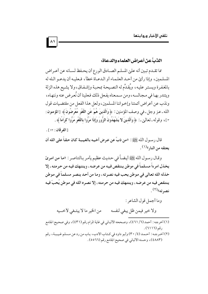## الذبُّ عن أعراض العلماء والدعاة:

مما تقـدم تبـين أنه عليٰ المسلـم الصـادق الورع أن يحـفظ لسـانه عن أعـراض المسلمين، وإذا رأيٰ من أحـد العلـمـاء أو الـدعـاة خطأ، فـعليـه أن يدعـو الـله له بالمغفرة ويستر عليه، ويُقدِّم له النصيحة بمحبة وإشفاق،ولا يشيع هذه الزلة ويتندر بها في مجالسه، ومن سمعناه يفعل ذلك فعلينا أن نُعرض عنه وننهـاه، ونذب عن أعراض أئمتنا وإخواننا المسلمين، ولعل هذا الفعل من مقتضيات قول الله ـ عـز وجل ـ في وصف المؤمنين : ﴿ وَالَّذِينَ هُمْ عَنِ اللَّغْوِ مُعْرِضُونَ﴾ [المؤمنون : ٢]، وقوله ـ تعالىٰ ـ : ﴿ وَالَّذِينَ لا يَشْهَدُونَ الزُّورَ وَإِذَا مَرُّوا بِاللَّغْوِ مَرُّوا كرَامًا ﴾.

[الفرقان: ٧٢] .

قال رسـول الله ﷺ : «من ذبَّ عن عـرض أخـيـه بالغـيـبـة كـان حـقـاً على الله أن يعتقه من النار»<sup>(۱)</sup> .

وقـال رسـول الله ﷺ أيـضـاً في حـديث عظيم يأمر بـالتناصـر : «مـا مـن امـرئ يخذل امرءاً مسلماً في موطن ينتقص فيه من عرضه، وينتهك فيه من حرمته، إلا خذله الله تعالى في موطن يحب فيه نصرته ، وما من أحد ينصر مسلماً في موطن ينتقص فيه من عرضه ، وينتهك فيه من حرمته ، إلا نصر ه الله في موطن يُحبّ فيه نصر ته»<sup>(۲)</sup>.

- وما أجمل قول الشاعر : من الخير ما لا يبتغي لأخــيه ولا خير فيمن ظل يبغي لنفسه
- (١) أخرجه : أحمد (٦/ ٤٦١)، وصححه الألباني في غاية المرام رقم (٤٣١)، وفي صحيح الجامع د قبر (١١١٦).
- (٢) أخرجه: أحمد (٤/ ٣٠) وأبو داود في كتاب الأدب، باب من رد عن مسلم غيبـة، رقم (٤٨٨٣)، وحسنه الألباني في صحيح الجامع رقم (٢٦٥٥).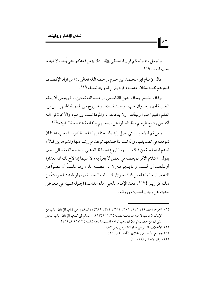وأجمل منه وأحكم قول المصطفىٰ ﷺ : «لا يؤمن أحدكم حتى يُحب لأخيه ما يحب لنفسه»<sup>(۱)</sup>.

قال الإمـام أبو محـمـد ابن حـزم ـ رحـمـه الـله تعـالين ـ : «من أراد الإنصـاف فليتوهم نفسه مكان خصمه، فإنه يلوح له وجه تعسفه»(٢).

وقال الشيخ جمال الدين القاسمي-رحمه الله تعاليٰ-: «وينبغي أن يعلم الطلبـة أنـهم إخـوان حب، واسـتـفـادة ،وخـروج من ظـلمـة الجـهل إلـي نور العلم، فليتراحموا وليتألفوا ولا يتخالفوا، والمودة نسب ورحم، والأخوة في الله آكد من وشيج الرحم، فليناضلوا عن صاحبهم بالمدافعة عنه وحفظ غيبته»(٣) .

ومن ثم فالأخبار التي تصل إلينا إذا لمحنا فيها هذه الظاهرة، فيجب علينا أن نتوقف في تصديقها، وإذا ثبت لنا صدقها توقفنا في إشاعتها ونشرها بين الملأ ، لعدم المصلحة من ذلك . . . وما أروع الحافظ الذهبي ـ رحمه الله تعاليٰ ـ حين يقول: «كلام الأقران بعضه في بعض لا يعبأ به، لا سيما إذا لاح لك أنه لعداوة أو لمذهب أو لحسد، وما ينجو منه إلا من عصمه الله، وما علمتُ أن عصرًا من الأعصار سلم أهله من ذلك سويٰ الأنبياء والصديقين، ولو شئت لسردتُ من ذلك كراريس!»<sup>(٤)</sup>. قعَّد الإمام الذهبي هذه القاعدة الجليلة المتينة في معرض حديثه عن رجال الحديث ورواته .

- (١) أخرجه أحمد (٢/ ١٧٦، ٢٠٦، ٢٥١ ، ٢٧٢، ٢٨٩)، والبخاري في كتاب الإيمان، باب من الإيمان أن يحب لأخيه ما يحب لنفسه (١/ ٥٦) (١٣)، ومسلم في كتاب الإيمان، باب الدليل عليٰ أن من خصال الإيمان أن يحب لأخيه المسلم ما يحبه لنفسه (١/ ٦٧) رقم (٤٥) .
	- (٢) الأخلاق والسير في مداواة النفوس (ص ٨٢). (٣) جوامع الآداب في أخلاق الأنجاب (ص ٢٤).
		- (٤) منذ ان الاعتدال (١/ ١١١).

 $\lambda$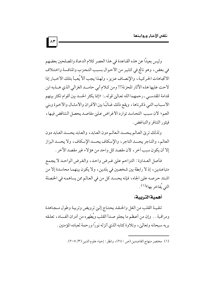وليس بعيدًا عن هذه القاعدة في هذا العصر كلام الدعاة والمصلحين بعضهم في بعض، وهو ناتج في كثير من الأحوال بسبب التحزب والمنافسة واختلاف الاتجاهات الحركية، والإنصاف عزيز، ولهذا يجب ألاَّ يُعبأ بتلك الأخبار إذا لاحت عليها هذه الآثار المحزنة!! ومن كلام أبي حامــد الغزالي الذي هــذبه ابن قدامة المقدسـي ـ رحمهما الله تعـاليٰ قوله ـ : «إنما يكثر الحسد بين أقوام تكثر بينهم الأسباب التي ذكرناها، ويقع ذلك غـالبًا بين الأقران والأمثـال والأخوة وبني العم؛ لأن سبب التحاسد توارد الأغراض علىٰ مقاصد يحصل التناقض فيها، فيثور التنافر والتباغض .

ولذلك تري العالم يحسد العالم دون العابد، والعابد يحسد العابد دون العالم، والتاجر يحسد التاجر، والإسكاف يحسد الإسكاف، ولا يحسد البزاز إلا أن يكون سبب آخر ، لأن مقصد كل واحد من هؤلاء غير مقصد الآخر .

فأصل العـداوة: التزاحم عليٰ غـرض واحد، والغرض الواحـد لا يجمع متباعـدين، إذ لا رابطة بين شخصين في بلدين، ولا يكون بينهمـا محاسدة إلا من اشتد حرصه علىٰ الجاه، فإنه يحسد كل من في العالم ممن يساهمه في الخصلة التي يُفاخر بها»<sup>(١)</sup> .

## أهمية التربية:

تنقيـة القلب من الغل والحـقـد يحتـاج إلـيٰ ترويض وتربيـة وطول مـجـاهدة ومراقبة . . وإن من أعظم ما يجلو صدأ القلب ويُطهره من أدران الفساد، تعلقه بربه سبحانه وتعالىٰ، وتلاوة كتابه الذي أنزله نوراً ورحمة لعباده المؤمنين .

 $\lambda r$ 

<sup>(</sup>١) مختصر منهاج القاصدين (ص ٢٤٠)، وانظر : إحياء علوم الدين (٣/ ٢٠٧).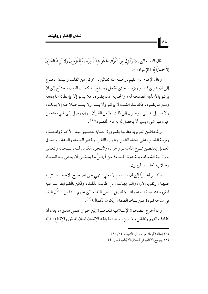قال الله تعالىٰ: ﴿ وَنُنَزِّلُ منَ الْقُرْآنِ مَا هُوَ شفَاءٌ وَرَحْمَةٌ لِّلْمُؤْمِنينَ وَلا يَزِيدُ الظَّالمينَ إِلاَّ خَسَارًا ﴾ [الإسراء: ٨٢ ] .

 $\lambda$ 

وقال الإمام ابن القيم ـ رحمه الله تعالىٰ ـ: «وكل من القلب والبدن محتاج إلىٰ أن يتربيٰ فينمو ويزيد، حتىٰ يكمل ويصلح، فكما أن البدن محتاج إلىٰ أن يزكو بالأغذية المصلحة له، والحمية عما يضره، فلا ينمو إلا بإعطائه ما ينفعه ومنع ما يضره، فكذلك القلب لا يزكو ولا ينمو ولا يتسم صلاحـه إلا بذلك، ولا سبيل له إليي الوصول إلي ذلك إلا من القرآن، وإن وصل إليي شيء منه من غيره فهو شيء يسير لا يحصل له به تمام المقصود»(١).

والمحاضن التربوية مطالبة بضرورة العناية بتعميق مبدأ الأخوة والمحبة، وتربية الشباب على صفاء النفس وطهارة القلب وتقدير العلماء والدعاة، وصدق العمل بمقتضى شرع الله ـ عز وجل ـ، والتـجرد الكامل لله ـ سبحانه وتعالىٰ ـ، وتربية الشبـاب بالقـدوة الحسـنة من أجـلِّ ما ينبغــي أن يعتني بــه العلمـاء وطلاب العلم والمربـون .

وأشير أخيراً إلىٰ أن ما تقدم لا يعني النهي عن تصحيح الأخطاء والتنبيه عليها، وتقويم الأراء والتوجهات، بل أطالب بذلك، ولكن بالضوابط الشرعية المقررة عند سلفنا وعلمائنا الأفاضل ـ رضي الله تعاليٰ عنهم ـ : «فمن تبادُل النقد في ساحة المودة على بساط الصفاء : يكون الكمال»(٢).

وما أحوج الصحوة الإسلامية المعاصرة إلىي حوار علمي هاديء، بدل أن نتقاذف التهم ونتقاتل بالألسن ، وحينما يفقد الإنسان لسان المنطق والإقناع؛ فإنه

- (١) إغاثة اللهفان من مصايد الشيطان (١/ ٤٦).
- (٢) جوامع الأداب في أخلاق الأنجاب (ص ٤٦).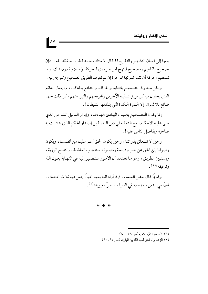يلجأ إلىٰ لسان التشهير والتقريع!! قال الأستاذ محمد قطب ـ حفظه الله ـ: «إن تصحيح المفاهيم وتصحيح المنهج أمر ضروري للحركة الإسلامية دون شك، وما تستطيع الحركة أن تثمر ثمرتها المرجوة إن لم تعرف الطريق الصحيح وتتوجه إليه .

 $\lambda$ 

ولكن محاولة التصحيح بالتنابذ والفرقة، والتدافع بالمناكب، والجدل الدائم الذي يحاول فيه كل فريق تسفيه الأخرين وتجريحهم والنيل منهم، كل ذلك جهد ضائع بلا ثمرة، إلا الثمرة النكدة التي يتلقفها الشيطان! .

إنما يكون التصحيح بالبيان الهادئ الهادف، وإبراز الدليل الشرعي الذي تبني عليه الأحكام، مع التفقه في دين الله، قبل إصدار الحكم الذي يتشبث به صاحبه ويفاصل الناس عليه! .

وحين لا نتـعلق بذواتنـا، وحين يكون الحـق أعـز علينـا من أنفـسنـا، ويكون وصولنا إلىي الحق عن تدبر ودراسة وبصيرة، ستنجاب الغاشية، وتتضح الرؤية، ويستبين الطريق، وهو ما نعتقد أن الأمور ستصير إليه في النهاية بعون الله و توفيقه»<sup>(۱)</sup>.

و قِديمًا قـال بعض العلماء : «إذا أر اد الله بعـبد خـبراً جعلٍ فـبه ثلاث خـصال : فقهاً في الدين، وزهادة في الدنيا، ويصراً بعبوبه»(٢).

\* \* \*

<sup>(</sup>١) الصحوة الإسلامية (ص ٧٩ ـ ٨٠).

<sup>(</sup>٢) الزهد والرقائق لعبد الله بن المبارك (ص ٩٥ ـ ٩٦).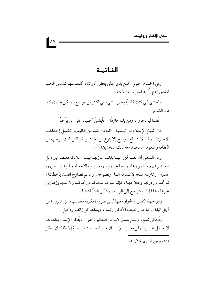الخاتمة

 $\wedge$ 

وفي الخـتـام : فـإني أضع يدي عـليٰ بعض أدوائنا ، أتلـمـسـهـا تـلمس المحب المشفق الذي يُريد الخير والعز لأمته .

وأخشين أني كنت قاسيًا بعض الشيء في أكثر من موضع، ولكن عذري كما قال الشاعر :

فَقَسا ليزدجروا، ومن يك حازمًا للَّذِيقسُ أحـيانًا علم من يُرْحمُ

قال شيخ الإسلام ابن تيـميـة : «المؤمن للمؤمن كاليدين تغسل إحداهما الأخريٰ، وقد لا ينقطع الوسخ إلا بنوع من الخشـونة، لكن ذلك يوجب من النظافة و النعو مة ما نحمد معه ذلك التخشين»<sup>(١)</sup> .

ومن البدهي أن الصالحين مهما بلغت منازلهم ليسوا ملائكة معصومين، بل هم بشر لهم ما لهم وعليـهم ما عليـهم، وتصـويب الأخطاء وتقـوعـهـا ضـرورة عملية، وممارسة ملحة لاستقامة البناء ونضوجه، وما لم نصارح أنفسنا بأخطائنا، ثم نجدّ في درئها وعلاجها، فإننا سوف نتحرك في أماكننا ولا نتجاوزها إليٰ غيرها، هذا إذا لم نتراجع إلىي الوراء، ونتأكل شيئًا فشيئًا!

ومواجهة النفس والحوار معها ليس ضرورة فكرية فحسب؛ بل ضرورة من أجل البقاء، فبالحوار تتجدد الأفكار وتنمو، ويسقط كل زائف ودخيل .

إذًا لكي ننتج، وننتج بعمق لابد من التفكير ـ أعني أن يُفكر الإنسان بعقله هو لا بعــقل غـيــره ـ ولن يحــيـا الإنســان حـيـاة مــسـتــقـيـمــة إلا إذا كـان يـفكر

<sup>(</sup>١) مجموع الفتاوي (٢٨/ ٥٣).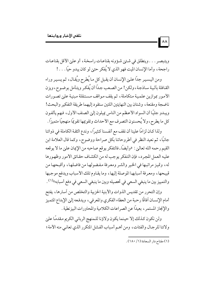ويتبصر . . . وينطلق في شتهر، شؤونه بقناعات راسخة ، أو على الأقل بقناعات راجحة، وأما الإنسان الميت فهو الذي لا يُفكر حتىٰ لو كان يبدو حيًّا . . . !

ومن اليسير جدًا علـيٰ الإنسان أن يقبل كل مـا يُطرح ويُقـال ، ثم يسـير وراء القـافلة بِألـيـة سـاذجـة، ولكن! من الصـعب جـدًا أن يُفكـر ويتـأمل بوضـوح، ويزن الأمور بموازين علمية متكاملة، ثم يقف مواقف مستقلة مبنية علىي تصورات ناضجة ومقنعة، وشتان بين النهايتين اللتين ستقود إليهما طريقة التفكير والبحث! ويبدو جليًّا أن السواد الأعظم من الناس يميلون إلىٰ الصنف الأول، فهم يألفون كل ما يطرح، ولا يُحسنون التصرف مع الأحداث وتقويمها تقويمًا منهجيًا متميزًا .

ولذا كـان لزامًا علينا أن نقف مع أنفسنا كـثيرًا، وندع الثقة الكاملة في ذواتنا جانبًا، ثم نعيد النظر في أطروحاتنا بكل صراحة ووضوح، وكما قال العلامة ابن القيم رحمه الله تعالىٰ: «وأيضًا ـ فالتفكر يوقع صاحبه من الإيمان علىٰ ما لا يوقعه عليه العمل المجرد، فإن التفكر يوجب له من انكشاف حقائق الأمور وظهورها له، وتميز مراتبها في الخير والشر ومعرفة مفضولها من فاضلها، وأقبحها من قبيحها، ومعرفة أسبابها الموصلة إليها، وما يقاوم تلك الأسباب ويدفع موجبها والتمييز بين ما ينبغي السعي في تحصيله وبين ما ينبغي السعي في دفع أسبابه»(١) .

وإن التحرر من تقديس الذوات والأبنية الحزبية والتخلص من أسارها، يفتح أمام الإنسـان أفاقًا رحبة من العطاء الفكري والمعرفي، ويدفعه إلىٰ الإبداع المتميز والإنجاز المستمر ، بعيدًا عن الصراعات الكلامية والمحاورات البيزنطية .

ولن نكون كذلك إلا حينما يكون ولاؤنا للمنهج الرباني الكريم مقدمًا عليي ولائنا للرجال والفئات، ومن أهم أسباب الفشل المتكرر الذي تعانى منه الأمة؛

 $\lambda$ 

<sup>(</sup>١) مفتاح دار السعادة (١/ ١٨٠).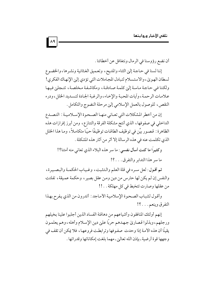أن نضع رؤوسنا في الرمال ونتغافل عن أخطائنا .

إننا لسنا في حاجة إلىي الثناء والمديح، وتعميق الغثائية ونشرها، والخضوع لسطان الهويٰ، والاستسلام لتبادل المجاملات التي تؤدي إلىٰ الإنهاك الفكري! ولكننا في حاجة ماسة إلى كلمة صادقة، ومكاشفة مخلصة، تتجلي فيها علامات الرحمة، وأيات المحبة والإخاء، والرغبة الجادة لتسديد الخلل، ودرء النقص، للوصول بالعمل الإسلامي إلى مرحلة النضوج والتكامل .

إن من أخطر المشكلات التي تعـاني منهـا الصـحوة الإسـلاميـة : التصـدع الداخلي في صفوفها، الذي أنتج مشكلة الفرقة والتنازع، ومن أبرز إفرازات هذه الظاهرة: قصور بيِّن في توظيف الطاقات توظيفًا حيًّا متكاملاً، وما هذا الخلل الذي تكلمت عنه في هذه الرسالة إلا أثر من آثار هذه المشكلة .

وكثيرًا ما كنت أسأل نفسي: ما سر هذه البلاء الذي تعاني منه أمتنا؟! ما سر هذا التدابر والتفرق . . . ؟!

ثم أقـول: لعل سـره في قلة العلم والـتثبت، وغـيـاب الحكمـة والبـصـيرة، والنفس إن لم يكن لها حارس من دين ومن عقل بصير ، وحكمة عميقة ، تفلتت من عقلها وصارت تتخبط في كل مهلكة . . !!

وأقول لشباب الصحوة الإسلامية الأماجد : أتدرون من الذي يفرح بهذا التفرق وينعم. . . ؟!

إنهم أولئك المنافقون وأشياعهم من دهاقنة الفساد الذين أجلبوا علينا بخيلهم ورجلهم، وبذلوا قصاريٰ جهدهم حربًا عليٰ دين الإسلام وأهله، وهم يعلمون يقينًا أن هذه الأمة إذا وحدت صفوفها وترابطت فروعها، فلا يمكن أن تقف في وجهها قوة أرضية ـ بإذن الله تعالىٰ ـ مهما بلغت إمكاناتها وقدراتها .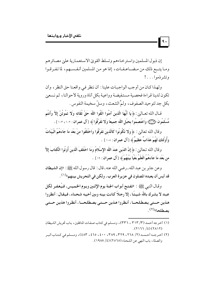إن ذبول المسلمين واستر خـاءهم وتسلط القويٰ الاستعمـارية علىٰ مصـائر هم ومـا يتــبع ذلك من مـضــاعـفـات، إنما هو مـن المسلمين أنـفـســهم، لما تـفـرقـوا وتشرذموا. . .!

 $\vert \cdot \vert$ 

ولهذا كان من أوجب الواجبات علينا : أن ننظر في واقعنا حق النظر ، وأن تكون لدينا قراءة فحصية مستفيضة وواعية بكل أناة وروية لأحوالنا، ثم نسعيٰ بكل جد لتوحيد الصفوف، ولمِّ الشعث، وسلِّ سخيمة النفوس.

قـال الله تعـالىٰ: ﴿ يَا أَيُّهَا الَّذِينَ آمَنُوا اتَّقُوا اللَّهَ حَقَّ تُقَاتِه وَلا تَمُوتُنَّ إلأً وأَنتُم مُّسلْمُونَ ﴿ رَبِّيَ؟ وَاعْتَصِمُوا بِحَبْلِ اللَّه جَميعًا وَلا تَفَرَّقُوا ﴾ [آل عمران : ١٠٢، ١٠٣ ] .

وقال الله تعالىٰ: ﴿ وَلا تَكُونُوا كَالَّذِينَ تَفَرَّقُوا وَاخْتَلَفُوا منْ بَعْد مَا جَاءَهُمُ الْبَيّنَاتُ وَأُوْلَئِكَ لَهُمْ عَذَابٌ عَظِيمٌ ﴾ [آل عمران : ١٠٥] .

وقال الله تـعالـىٰ : ﴿ إِنَّ الدِّينَ عندَ اللَّه الإِسْلامُ وَمَا اخْتَلَفَ الَّذينَ أُوتُوا الْكتَابَ إِلاَّ من بَعْد مَا جَاءَهُمُ الْعِلْمُ بَغْيًا بَيْنَهُمْ﴾ [آل عمران : ١٩ ] .

وعن جابر بن عبد الله ـ رضي الله عنه ـ قال : قال رسول الله ﷺ: «إن الشيطان قد أيس أن يعبده المصلون في جزيرة العرب، ولكن في التحريش بينهم»<sup>(١)</sup> .

وقـال النبي ﷺ : «تفتـح أبواب الجنة يوم الإثنين ويوم الخميس، فيُغفـر لكل عبـد لا يشـرك بالله شـيـئًـا ، إلا رجـلاً كـانت بينه وبين أخيـه شـحـناء ، فيـقـال : أنظروا هذين حستى يصطلحيا، أنظروا هذين حستى يصطلحيا، أنظروا هذين حستى بصطلحا»(٢).

<sup>(</sup>١) أخرجه أحمد (٣/ ٣١٣ ، ٣٣٦)، ومسلم في كتابٍ صفات المنافقين، بابٍ تحريش الشيطان  $(Y177/2)(YAY)$ 

<sup>(</sup>٢) أخرجه أحمد(٢/ ٢٦٨، ٣٢٩، ٣٨٩، ٣٨٩، ٤٠٠، ٤٦٥، ٤٨٣)، ومسلم في كتاب البر والصلة، باب النهي عن الشحناء (٢٥٦٥) (٤/ ١٩٨٧).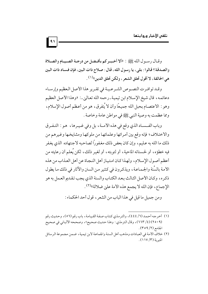و قبال د سبو ل الله ﷺ : «ألا أخسر كم بأفسل من درجية الصبيام والصلاة والصدقة؟ قالوا : بلي، يا رسول الله، قال : صلاح ذات البين، فإِن فساد ذات البين هي الحالقة ، لا أقول تحلق الشعر ، ولكن تحلق الدين»<sup>(١)</sup> .

وقيد توافيرت النصوص الشرعيية في تقرير هذا الأصل العظيم وإرساء دعائمه، قال شيخ الإسلام ابن تيمية ـ رحمه الله تعالىٰ ـ : «وهذا الأصل العظيم وهو : الاعتصام بحبل الله جميعًا وأن لا يُتفرق، هو من أعظم أصول الإسلام، ومما عظمت به وصية النبي ﷺ في مواطن عامة وخاصة .

وباب الفـسـاد الذي وقع في هذه الأمــة، بل وفي غـيـرها، هو : التـفـرق والاختلاف؛ فإنه وقع بين أمرائها وعلمائها من ملوكها ومشايخها وغيرهم من ذلك ما الله به عـليم، وإن كان بعض ذلك مغـفوراً لصاحبه لاجـتهاده الذي يغـفر فيه خطؤه، أو لحسناته الماحية، أو لتوبته، أو لغير ذلك، لكن يُعلم أن رعايته من أعظم أصول الإسلام، ولهذا كان امتياز أهل النجاة عن أهل العذاب من هذه الأمة بالسُنة والجماعة، ويذكرون في كثير من السنن والآثار في ذلك ما يطول ذكره، وكـان الأصل الثـالث بـعـد الكتـاب والسنة الذي يجب تـقـديم العـمل به هو الإجماع، فإن الله لا يجمع هذه الأمة علىٰ ضلالة»(٢).

ومن جميل ما قيل في هذا الباب من الشعر ، قول أحد الحكماء :

- (١) أخرجه أحمد (٦/ ٤٤٤)، والترمذي كتاب صفة القيامة، باب رقم (٥٦)، وحديث رقم (٢٥٠٩) (٤/ ٦٦٣)، وقال الترمذي: وهذا حديث صحيح»، وصححه الألباني في صحيح الجامع (٢/ ٥٩).
- (٢) خلاف الأمة في العبادات ومذهب أهل السنة والجماعة لابن تيمية، ضمن مجموعة الرسائل المنبرية (١١٧/٣).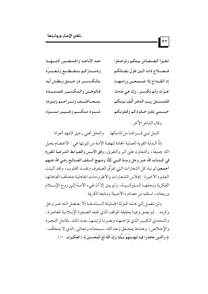$|41$ 

عند الأباعيد والحسضور الشيهًيد انفءا الضغائن بينكم وتواصلوا ودمساركيم بتبقيطسع وتيفسيرك فصلاح ذات البين طول بقبائكم بالكسب ذو حسنق وبطش أيِّد إن القسداح إذا جُسمعسن وراميهسا فالوهسن والتكسيم للمستبدِّد عَـزَّت ولـم تكســر ، وإن هـي بُددت فلمستثل ريب الدهر أُلِّف بينكم يتسعساطيسف وتسيراحسه وتسودد لمسود منكسم وغسيسر مسسود حسستي تلين جللودكم وقلوبكم

وقال الشاعر الآخر :

النعل تبنى قسراهيا من قاسكها والنحل تجنى رحيق الشهد أعوانا

إذًا البداية القوية العملية الجادة لنهضة الأمة من كبو تها هي : الاعتصام بحبل الله جميعًا ، والتعاون علىٰ البر والتقوىٰ ، وفق الأسس والضوابط الشرعية المقررة في كــتــاب الله عــز وجل وسنـة النبـي ﷺ ومنهـج السلف الصــالـح رضي الله عنـهم أجمعين ثم نبذ كل الشعارات التي تفرِّق الصفوف وتفسد القلوب، ولقد أثبتت العقود الأخيرة: إفلاس الشعارات والأطروحات الجاهلية بمختلف اتجاهاتها الفكرية ونحلهـا السلوكـيـة، ولم يبق إلا أن تفيء الأمـة إلـي روح الإسـلام وريحانه، تستقيه من مصادره الأصيلة ومنابعه الكريمة .

ولن نصل إلين هـذه المنزلة الجـليلة السـامـقـة إلا بـفـضل الـله عــز وجل وكرِ مه . . ثم بعمق وعينا بحقيقة الموقف الذي تقـفه الصحوة الإسلامية المعاصرة ، والتحدي الكبير الذي تواجهه ونصرنا لرايتها بعد ذلك ـ بكامل التجرد والإخلاص، وعندها يتحقق وعد الله ـ سبحانه وتعالىٰ ـ الذي لا يتخلَّف : ﴿ وَالَّذِينَ جَاهَدُوا فِينَا لَنَهْدِيَنَّهُمْ سُبُلَنَا وَإِنَّ اللَّهَ لَمَعَ الْمُحْسنينَ ﴾ [العنكبوت : ٦٩ ] .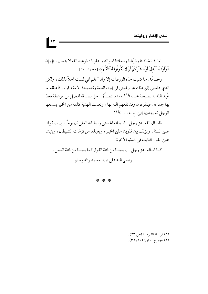أما إذا تخاذلنا وفرَّطنا وشغلتنا أموالنا وأهلونا؛ فوعيد الله لا يتبدل : ﴿ وَإِن تَتَوَلَّوْا يَسْتَبْدلْ قَوْمًا غَيْرَكُمْ ثُمَّ لا يَكُونُوا أَمْثَالَكُمْ ﴾ [محمد : ٣٨ ] .

وختامًا : ما كتبت هذه الورقات إلا وأنا أعلم أنى لست أهلاً لذلك، ولكن الذي دفعني إلىٰ ذلك هو رغبتي في إبراء الذمة ونصيحة الأمة ، فإن : «أعظم ما عُبد الله به نصيحة خلقه»(١) ،و«ما تصدَّق رجل بصدقة أفضل من موعظة يعظ بها جماعة ، فيتفرقون وقد نفعهم الله بها ، ونعمت الهدية كلمة من الخير يسمعها الرجل ثم يهديها إلىٰ أخ له . . . »(٢) .

فأسأل الله ـ عز وجل ـ بأسمائه الحسني وصفاته العليٰ أن يوحِّد بين صفوفنا علي السنة ، ويؤلف بين قلوبنا علي الخير ، ويعيذنا من نزغات الشيطان ، ويثبتنا على القول الثابت في الدنيا الآخرة .

كما أسأله ـ عز وجل ـ أن يعيذنا من فتنة القول كما يعيذنا من فتنة العمل . وصلى الله على نبينا محمد وآله وسلم

\* \* \*

(٢) مجموع الفتاوي (١٠/ ٣٩).

<sup>(</sup>١) الرسالة القبر صية (ص ٢٣).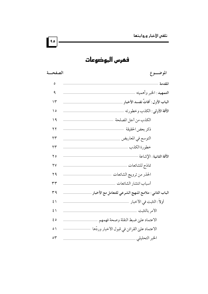فمرس الموضوعات

| الصفحسة                | الموضــــوع                                           |
|------------------------|-------------------------------------------------------|
| ٥                      | المقدمة                                               |
| ٩                      | التمهيد : الخبر وأهميته ـ                             |
| ۱۳                     | الباب الأول : آفاتٌ تفسد الأخبار ِ                    |
| ۱٥                     | الآفة الأولى: الكذب وخطورته                           |
| 19                     | الكذب من أجل المصلحة                                  |
| ۲۲                     | ذكر بعض الحقيقة                                       |
| $\gamma \gamma$        | التوسع في المعاريض                                    |
| $\gamma \gamma$        | خطورة الكذب                                           |
| ه ۲                    | الآفة الثانية : الإشاعة                               |
| $\mathsf{Y}\mathsf{V}$ | نماذج للشائعات                                        |
| ۲۹                     | الحذر من ترويج الشائعات                               |
| ٣٣                     | أسباب انتشار الشائعات                                 |
| ۳۹                     | الباب الثاني : ملامح المنهج الشرعي للتعامل مع الأخبار |
| $\mathcal{E}$          | أولاً : التثبت في الأخبار                             |
| $\mathcal{E}$          | الأمر بالتثبت                                         |
| ه ع                    | الاعتماد علىٰ ضبط النقلة وصحة فهمهم ـ                 |
| $\circ$ )              | الاعتماد عليٰ القرائن في قبول الأخبار وردّها          |
| $\circ \tau$           | الخبر التحليلي                                        |

90